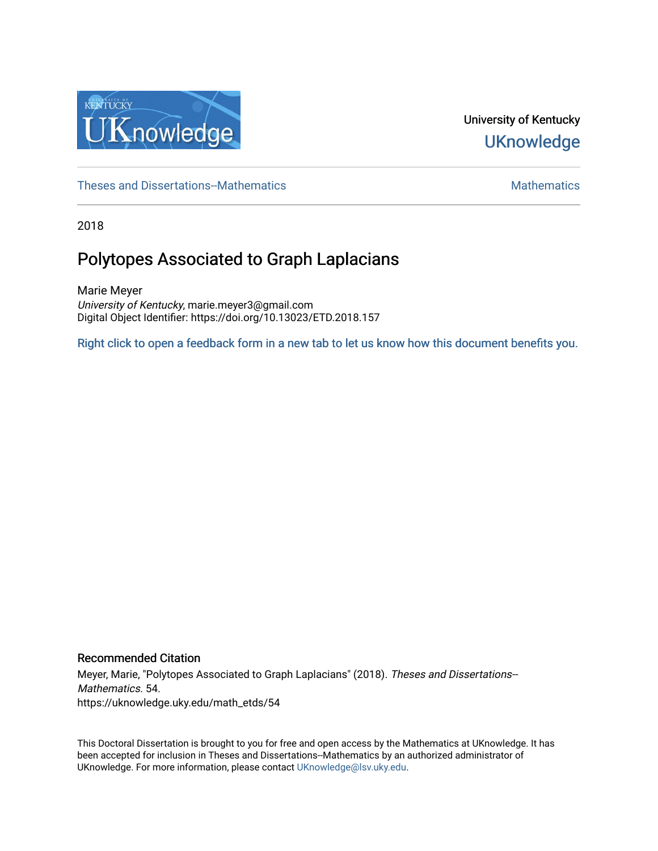

# University of Kentucky **UKnowledge**

[Theses and Dissertations--Mathematics](https://uknowledge.uky.edu/math_etds) [Mathematics](https://uknowledge.uky.edu/math) Mathematics Mathematics Mathematics

2018

# Polytopes Associated to Graph Laplacians

Marie Meyer University of Kentucky, marie.meyer3@gmail.com Digital Object Identifier: https://doi.org/10.13023/ETD.2018.157

[Right click to open a feedback form in a new tab to let us know how this document benefits you.](https://uky.az1.qualtrics.com/jfe/form/SV_9mq8fx2GnONRfz7)

#### Recommended Citation

Meyer, Marie, "Polytopes Associated to Graph Laplacians" (2018). Theses and Dissertations-- Mathematics. 54. https://uknowledge.uky.edu/math\_etds/54

This Doctoral Dissertation is brought to you for free and open access by the Mathematics at UKnowledge. It has been accepted for inclusion in Theses and Dissertations--Mathematics by an authorized administrator of UKnowledge. For more information, please contact [UKnowledge@lsv.uky.edu](mailto:UKnowledge@lsv.uky.edu).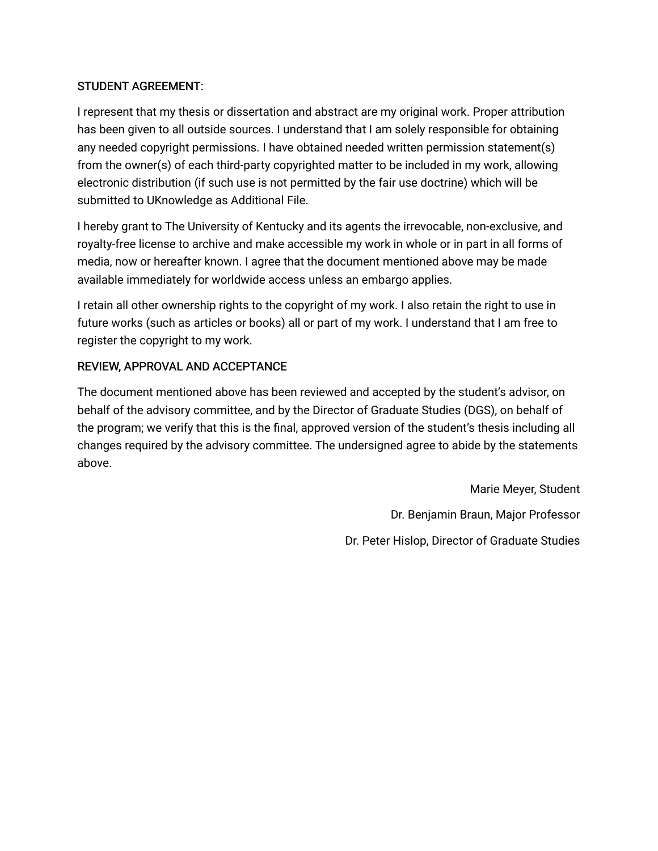## STUDENT AGREEMENT:

I represent that my thesis or dissertation and abstract are my original work. Proper attribution has been given to all outside sources. I understand that I am solely responsible for obtaining any needed copyright permissions. I have obtained needed written permission statement(s) from the owner(s) of each third-party copyrighted matter to be included in my work, allowing electronic distribution (if such use is not permitted by the fair use doctrine) which will be submitted to UKnowledge as Additional File.

I hereby grant to The University of Kentucky and its agents the irrevocable, non-exclusive, and royalty-free license to archive and make accessible my work in whole or in part in all forms of media, now or hereafter known. I agree that the document mentioned above may be made available immediately for worldwide access unless an embargo applies.

I retain all other ownership rights to the copyright of my work. I also retain the right to use in future works (such as articles or books) all or part of my work. I understand that I am free to register the copyright to my work.

## REVIEW, APPROVAL AND ACCEPTANCE

The document mentioned above has been reviewed and accepted by the student's advisor, on behalf of the advisory committee, and by the Director of Graduate Studies (DGS), on behalf of the program; we verify that this is the final, approved version of the student's thesis including all changes required by the advisory committee. The undersigned agree to abide by the statements above.

> Marie Meyer, Student Dr. Benjamin Braun, Major Professor Dr. Peter Hislop, Director of Graduate Studies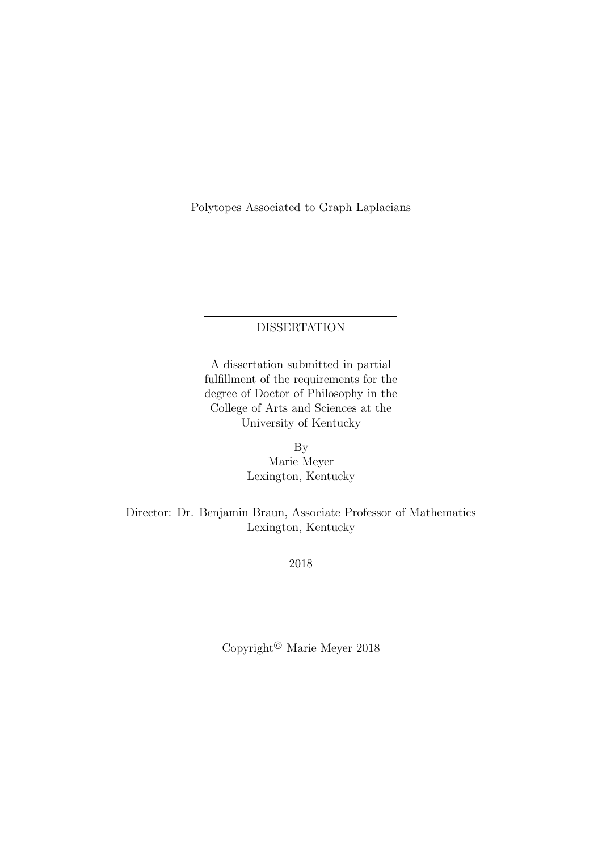Polytopes Associated to Graph Laplacians

## DISSERTATION

A dissertation submitted in partial fulfillment of the requirements for the degree of Doctor of Philosophy in the College of Arts and Sciences at the University of Kentucky

> By Marie Meyer Lexington, Kentucky

Director: Dr. Benjamin Braun, Associate Professor of Mathematics Lexington, Kentucky

2018

Copyright<sup>©</sup> Marie Meyer 2018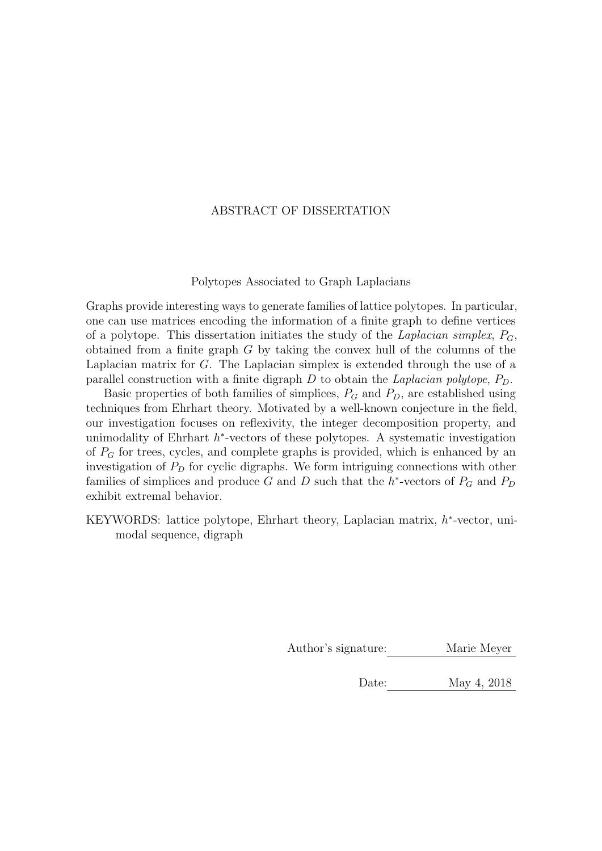### ABSTRACT OF DISSERTATION

#### Polytopes Associated to Graph Laplacians

Graphs provide interesting ways to generate families of lattice polytopes. In particular, one can use matrices encoding the information of a finite graph to define vertices of a polytope. This dissertation initiates the study of the Laplacian simplex,  $P_G$ , obtained from a finite graph  $G$  by taking the convex hull of the columns of the Laplacian matrix for G. The Laplacian simplex is extended through the use of a parallel construction with a finite digraph  $D$  to obtain the *Laplacian polytope*,  $P_D$ .

Basic properties of both families of simplices,  $P_G$  and  $P_D$ , are established using techniques from Ehrhart theory. Motivated by a well-known conjecture in the field, our investigation focuses on reflexivity, the integer decomposition property, and unimodality of Ehrhart  $h^*$ -vectors of these polytopes. A systematic investigation of  $P_G$  for trees, cycles, and complete graphs is provided, which is enhanced by an investigation of  $P<sub>D</sub>$  for cyclic digraphs. We form intriguing connections with other families of simplices and produce G and D such that the  $h^*$ -vectors of  $P_G$  and  $P_D$ exhibit extremal behavior.

KEYWORDS: lattice polytope, Ehrhart theory, Laplacian matrix,  $h^*$ -vector, unimodal sequence, digraph

Author's signature: Marie Meyer

Date: May 4, 2018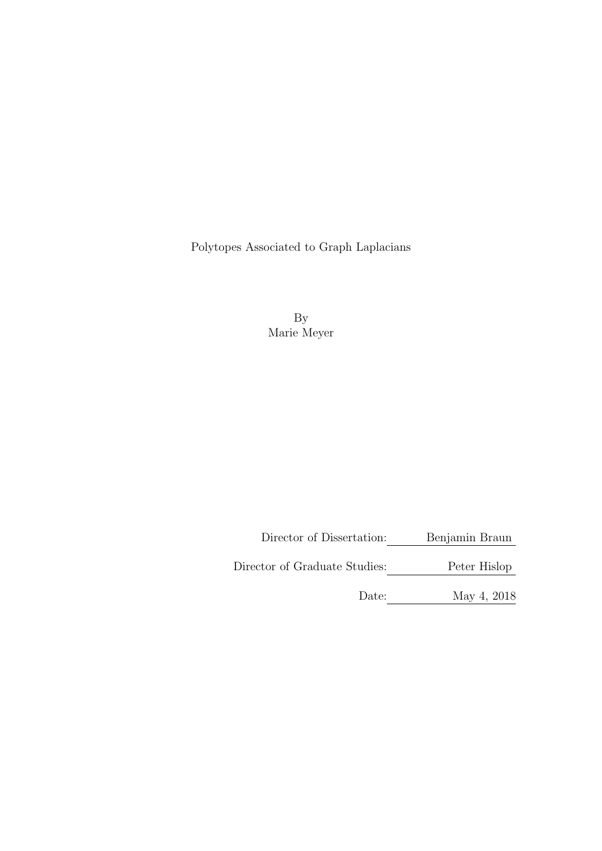Polytopes Associated to Graph Laplacians

By Marie Meyer

Director of Dissertation: Benjamin Braun

Director of Graduate Studies: Peter Hislop

Date: May 4, 2018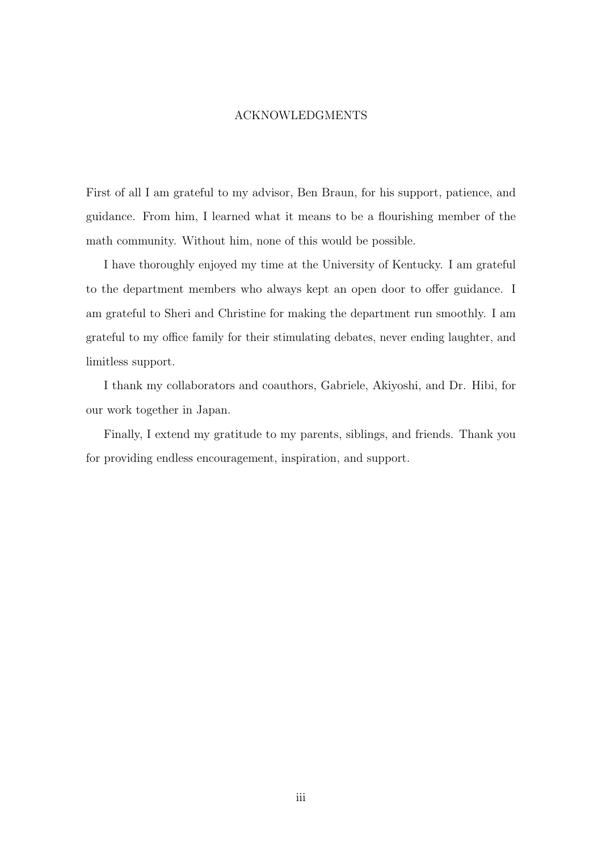#### ACKNOWLEDGMENTS

<span id="page-5-0"></span>First of all I am grateful to my advisor, Ben Braun, for his support, patience, and guidance. From him, I learned what it means to be a flourishing member of the math community. Without him, none of this would be possible.

I have thoroughly enjoyed my time at the University of Kentucky. I am grateful to the department members who always kept an open door to offer guidance. I am grateful to Sheri and Christine for making the department run smoothly. I am grateful to my office family for their stimulating debates, never ending laughter, and limitless support.

I thank my collaborators and coauthors, Gabriele, Akiyoshi, and Dr. Hibi, for our work together in Japan.

Finally, I extend my gratitude to my parents, siblings, and friends. Thank you for providing endless encouragement, inspiration, and support.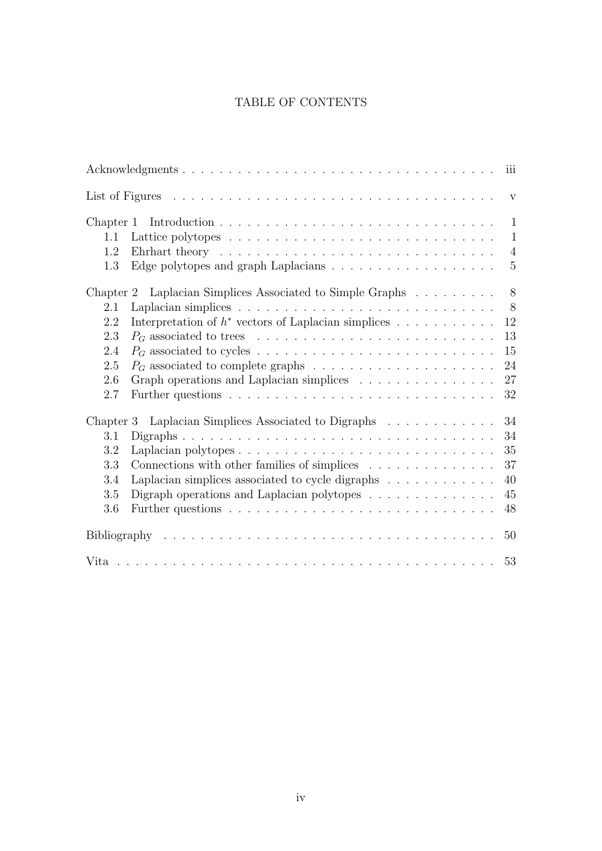## TABLE OF CONTENTS

|                                                               |                                                                                        | iii            |  |  |
|---------------------------------------------------------------|----------------------------------------------------------------------------------------|----------------|--|--|
|                                                               |                                                                                        | $\mathbf{V}$   |  |  |
| Chapter 1                                                     |                                                                                        | $\mathbf{1}$   |  |  |
| $1.1\,$                                                       |                                                                                        | $\mathbf{1}$   |  |  |
| 1.2                                                           | Ehrhart theory $\ldots \ldots \ldots \ldots \ldots \ldots \ldots \ldots \ldots \ldots$ | $\overline{4}$ |  |  |
| 1.3                                                           |                                                                                        | $\overline{5}$ |  |  |
| Chapter 2                                                     | Laplacian Simplices Associated to Simple Graphs                                        | 8              |  |  |
| 2.1                                                           |                                                                                        | 8              |  |  |
| 2.2                                                           | Interpretation of $h^*$ vectors of Laplacian simplices                                 | 12             |  |  |
| 2.3                                                           |                                                                                        | 13             |  |  |
| 2.4                                                           |                                                                                        | $15\,$         |  |  |
| 2.5                                                           |                                                                                        | 24             |  |  |
| 2.6                                                           | Graph operations and Laplacian simplices                                               | 27             |  |  |
| 2.7                                                           |                                                                                        | 32             |  |  |
| Laplacian Simplices Associated to Digraphs<br>34<br>Chapter 3 |                                                                                        |                |  |  |
| 3.1                                                           |                                                                                        | 34             |  |  |
| 3.2                                                           |                                                                                        | 35             |  |  |
| 3.3                                                           | Connections with other families of simplices                                           | 37             |  |  |
| 3.4                                                           | Laplacian simplices associated to cycle digraphs                                       | 40             |  |  |
| 3.5                                                           | Digraph operations and Laplacian polytopes $\dots \dots \dots \dots$                   | 45             |  |  |
| 3.6                                                           |                                                                                        | 48             |  |  |
|                                                               |                                                                                        | 50             |  |  |
|                                                               |                                                                                        | 53             |  |  |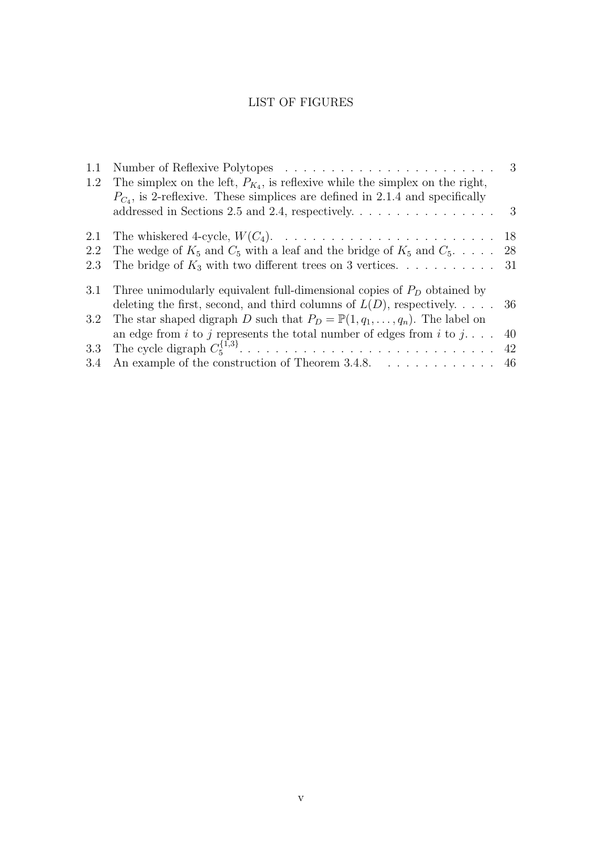## LIST OF FIGURES

<span id="page-7-0"></span>

| 1.1 |                                                                                            | $3\phantom{.0}$           |
|-----|--------------------------------------------------------------------------------------------|---------------------------|
| 1.2 | The simplex on the left, $P_{K_4}$ , is reflexive while the simplex on the right,          |                           |
|     | $P_{C_4}$ , is 2-reflexive. These simplices are defined in 2.1.4 and specifically          |                           |
|     | addressed in Sections 2.5 and 2.4, respectively. $\dots \dots \dots \dots \dots \dots$     | $\overline{\phantom{a}3}$ |
| 2.1 |                                                                                            |                           |
| 2.2 | The wedge of $K_5$ and $C_5$ with a leaf and the bridge of $K_5$ and $C_5$ 28              |                           |
| 2.3 | The bridge of $K_3$ with two different trees on 3 vertices. 31                             |                           |
| 3.1 | Three unimodularly equivalent full-dimensional copies of $P_D$ obtained by                 |                           |
|     | deleting the first, second, and third columns of $L(D)$ , respectively 36                  |                           |
| 3.2 | The star shaped digraph D such that $P_D = \mathbb{P}(1, q_1, \ldots, q_n)$ . The label on |                           |
|     | an edge from i to j represents the total number of edges from i to j                       | 40                        |
| 3.3 |                                                                                            | 42                        |
|     | 3.4 An example of the construction of Theorem 3.4.8. $\dots \dots \dots \dots$ 46          |                           |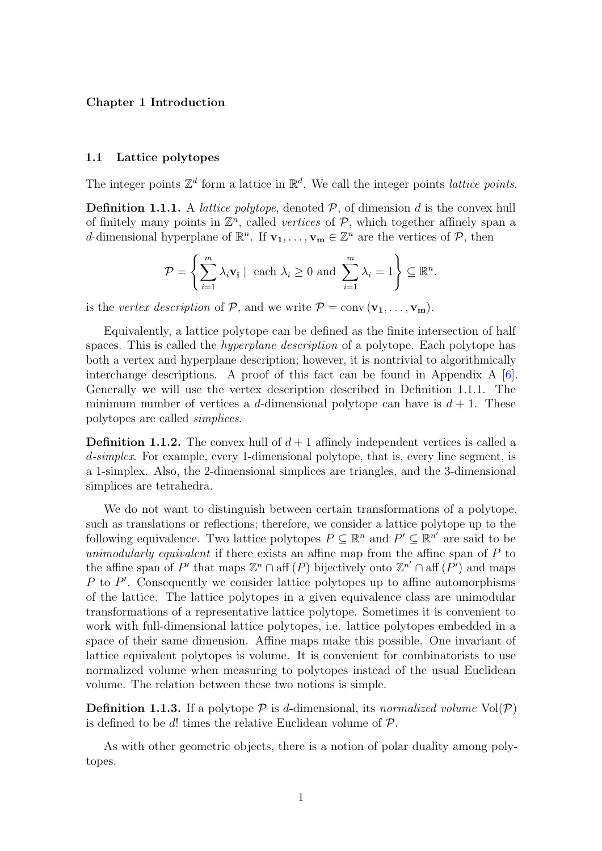#### <span id="page-8-0"></span>Chapter 1 Introduction

#### <span id="page-8-1"></span>1.1 Lattice polytopes

The integer points  $\mathbb{Z}^d$  form a lattice in  $\mathbb{R}^d$ . We call the integer points *lattice points*.

<span id="page-8-2"></span>**Definition 1.1.1.** A *lattice polytope*, denoted  $P$ , of dimension d is the convex hull of finitely many points in  $\mathbb{Z}^n$ , called vertices of  $P$ , which together affinely span a d-dimensional hyperplane of  $\mathbb{R}^n$ . If  $\mathbf{v}_1, \ldots, \mathbf{v}_m \in \mathbb{Z}^n$  are the vertices of  $\mathcal{P}$ , then

$$
\mathcal{P} = \left\{ \sum_{i=1}^m \lambda_i \mathbf{v_i} \mid \text{ each } \lambda_i \ge 0 \text{ and } \sum_{i=1}^m \lambda_i = 1 \right\} \subseteq \mathbb{R}^n.
$$

is the vertex description of P, and we write  $P = \text{conv}(\mathbf{v_1}, \dots, \mathbf{v_m})$ .

Equivalently, a lattice polytope can be defined as the finite intersection of half spaces. This is called the *hyperplane description* of a polytope. Each polytope has both a vertex and hyperplane description; however, it is nontrivial to algorithmically interchange descriptions. A proof of this fact can be found in Appendix A [\[6\]](#page-57-1). Generally we will use the vertex description described in Definition [1.1.1.](#page-8-2) The minimum number of vertices a d-dimensional polytope can have is  $d + 1$ . These polytopes are called simplices.

**Definition 1.1.2.** The convex hull of  $d+1$  affinely independent vertices is called a d-simplex. For example, every 1-dimensional polytope, that is, every line segment, is a 1-simplex. Also, the 2-dimensional simplices are triangles, and the 3-dimensional simplices are tetrahedra.

We do not want to distinguish between certain transformations of a polytope, such as translations or reflections; therefore, we consider a lattice polytope up to the following equivalence. Two lattice polytopes  $P \subseteq \mathbb{R}^n$  and  $P' \subseteq \mathbb{R}^{n'}$  are said to be unimodularly equivalent if there exists an affine map from the affine span of  $P$  to the affine span of P' that maps  $\mathbb{Z}^n \cap$  aff  $(P)$  bijectively onto  $\mathbb{Z}^{n'} \cap$  aff  $(P')$  and maps  $P$  to  $P'$ . Consequently we consider lattice polytopes up to affine automorphisms of the lattice. The lattice polytopes in a given equivalence class are unimodular transformations of a representative lattice polytope. Sometimes it is convenient to work with full-dimensional lattice polytopes, i.e. lattice polytopes embedded in a space of their same dimension. Affine maps make this possible. One invariant of lattice equivalent polytopes is volume. It is convenient for combinatorists to use normalized volume when measuring to polytopes instead of the usual Euclidean volume. The relation between these two notions is simple.

**Definition 1.1.3.** If a polytope  $P$  is d-dimensional, its normalized volume  $Vol(P)$ is defined to be  $d!$  times the relative Euclidean volume of  $\mathcal{P}$ .

As with other geometric objects, there is a notion of polar duality among polytopes.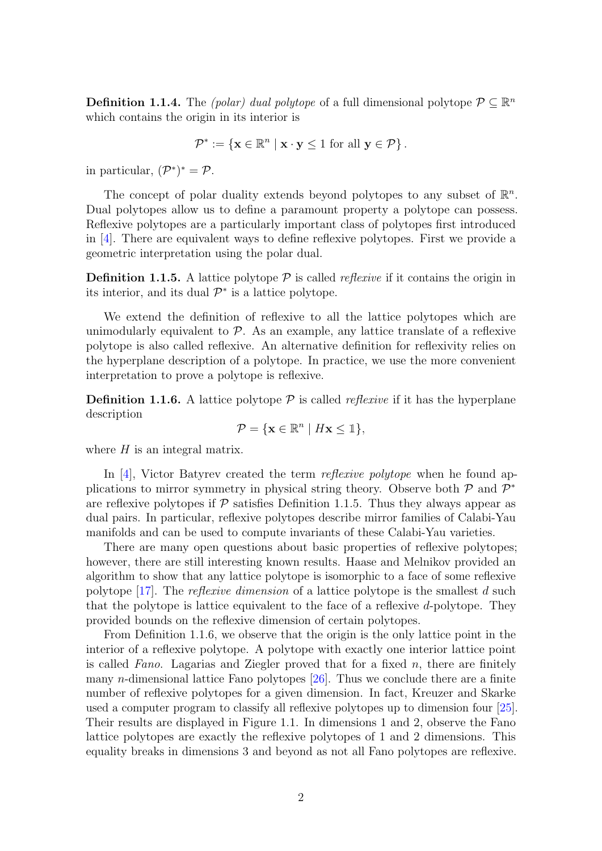**Definition 1.1.4.** The *(polar)* dual polytope of a full dimensional polytope  $P \subseteq \mathbb{R}^n$ which contains the origin in its interior is

$$
\mathcal{P}^* := \{ \mathbf{x} \in \mathbb{R}^n \mid \mathbf{x} \cdot \mathbf{y} \le 1 \text{ for all } \mathbf{y} \in \mathcal{P} \}.
$$

in particular,  $(\mathcal{P}^*)^* = \mathcal{P}$ .

The concept of polar duality extends beyond polytopes to any subset of  $\mathbb{R}^n$ . Dual polytopes allow us to define a paramount property a polytope can possess. Reflexive polytopes are a particularly important class of polytopes first introduced in [\[4\]](#page-57-2). There are equivalent ways to define reflexive polytopes. First we provide a geometric interpretation using the polar dual.

<span id="page-9-0"></span>**Definition 1.1.5.** A lattice polytope  $P$  is called *reflexive* if it contains the origin in its interior, and its dual  $\mathcal{P}^*$  is a lattice polytope.

We extend the definition of reflexive to all the lattice polytopes which are unimodularly equivalent to  $P$ . As an example, any lattice translate of a reflexive polytope is also called reflexive. An alternative definition for reflexivity relies on the hyperplane description of a polytope. In practice, we use the more convenient interpretation to prove a polytope is reflexive.

<span id="page-9-1"></span>**Definition 1.1.6.** A lattice polytope  $P$  is called *reflexive* if it has the hyperplane description

$$
\mathcal{P} = \{ \mathbf{x} \in \mathbb{R}^n \mid H\mathbf{x} \leq \mathbb{1} \},
$$

where  $H$  is an integral matrix.

In [\[4\]](#page-57-2), Victor Batyrev created the term *reflexive polytope* when he found applications to mirror symmetry in physical string theory. Observe both  $P$  and  $P^*$ are reflexive polytopes if  $\mathcal P$  satisfies Definition [1.1.5.](#page-9-0) Thus they always appear as dual pairs. In particular, reflexive polytopes describe mirror families of Calabi-Yau manifolds and can be used to compute invariants of these Calabi-Yau varieties.

There are many open questions about basic properties of reflexive polytopes; however, there are still interesting known results. Haase and Melnikov provided an algorithm to show that any lattice polytope is isomorphic to a face of some reflexive polytope [\[17\]](#page-58-0). The *reflexive dimension* of a lattice polytope is the smallest d such that the polytope is lattice equivalent to the face of a reflexive d-polytope. They provided bounds on the reflexive dimension of certain polytopes.

From Definition [1.1.6,](#page-9-1) we observe that the origin is the only lattice point in the interior of a reflexive polytope. A polytope with exactly one interior lattice point is called Fano. Lagarias and Ziegler proved that for a fixed  $n$ , there are finitely many *n*-dimensional lattice Fano polytopes  $[26]$ . Thus we conclude there are a finite number of reflexive polytopes for a given dimension. In fact, Kreuzer and Skarke used a computer program to classify all reflexive polytopes up to dimension four [\[25\]](#page-58-2). Their results are displayed in Figure [1.1.](#page-10-0) In dimensions 1 and 2, observe the Fano lattice polytopes are exactly the reflexive polytopes of 1 and 2 dimensions. This equality breaks in dimensions 3 and beyond as not all Fano polytopes are reflexive.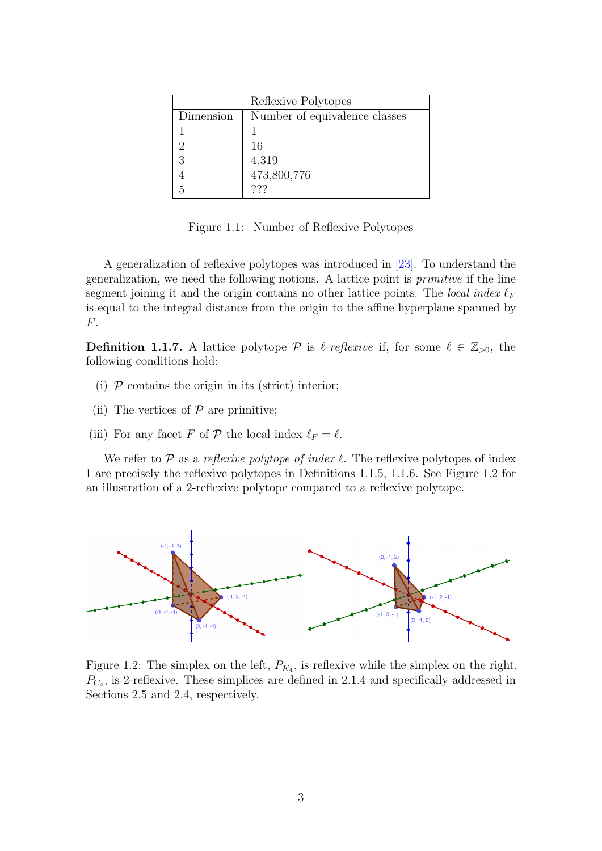<span id="page-10-0"></span>

| Reflexive Polytopes |                               |  |  |  |
|---------------------|-------------------------------|--|--|--|
| Dimension           | Number of equivalence classes |  |  |  |
|                     |                               |  |  |  |
|                     | 16                            |  |  |  |
| 3                   | 4,319                         |  |  |  |
|                     | 473,800,776                   |  |  |  |
|                     | ???                           |  |  |  |

Figure 1.1: Number of Reflexive Polytopes

A generalization of reflexive polytopes was introduced in [\[23\]](#page-58-3). To understand the generalization, we need the following notions. A lattice point is primitive if the line segment joining it and the origin contains no other lattice points. The local index  $\ell_F$ is equal to the integral distance from the origin to the affine hyperplane spanned by F.

**Definition 1.1.7.** A lattice polytope P is  $\ell$ -reflexive if, for some  $\ell \in \mathbb{Z}_{>0}$ , the following conditions hold:

- (i)  $\mathcal P$  contains the origin in its (strict) interior;
- (ii) The vertices of  $P$  are primitive;
- (iii) For any facet F of P the local index  $\ell_F = \ell$ .

We refer to  $\mathcal P$  as a reflexive polytope of index  $\ell$ . The reflexive polytopes of index 1 are precisely the reflexive polytopes in Definitions [1.1.5,](#page-9-0) [1.1.6.](#page-9-1) See Figure [1.2](#page-10-1) for an illustration of a 2-reflexive polytope compared to a reflexive polytope.

<span id="page-10-1"></span>

Figure 1.2: The simplex on the left,  $P_{K_4}$ , is reflexive while the simplex on the right,  $P_{C_4}$ , is 2-reflexive. These simplices are defined in [2.1.4](#page-16-0) and specifically addressed in Sections [2.5](#page-31-0) and [2.4,](#page-22-0) respectively.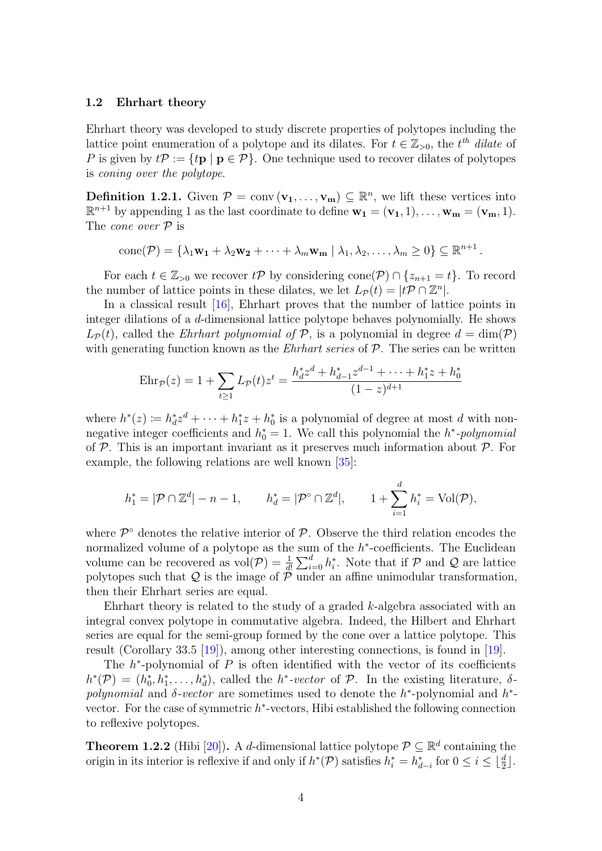#### <span id="page-11-0"></span>1.2 Ehrhart theory

Ehrhart theory was developed to study discrete properties of polytopes including the lattice point enumeration of a polytope and its dilates. For  $t \in \mathbb{Z}_{>0}$ , the  $t^{th}$  dilate of P is given by  $t\mathcal{P} := \{t\mathbf{p} \mid \mathbf{p} \in \mathcal{P}\}\$ . One technique used to recover dilates of polytopes is coning over the polytope.

<span id="page-11-1"></span>**Definition 1.2.1.** Given  $\mathcal{P} = \text{conv}(\mathbf{v_1}, \dots, \mathbf{v_m}) \subseteq \mathbb{R}^n$ , we lift these vertices into  $\mathbb{R}^{n+1}$  by appending 1 as the last coordinate to define  $\mathbf{w_1} = (\mathbf{v_1}, 1), \dots, \mathbf{w_m} = (\mathbf{v_m}, 1)$ . The *cone* over  $P$  is

$$
cone(\mathcal{P}) = \{ \lambda_1 \mathbf{w_1} + \lambda_2 \mathbf{w_2} + \cdots + \lambda_m \mathbf{w_m} \mid \lambda_1, \lambda_2, \ldots, \lambda_m \ge 0 \} \subseteq \mathbb{R}^{n+1}
$$

.

For each  $t \in \mathbb{Z}_{>0}$  we recover  $t\mathcal{P}$  by considering cone $(\mathcal{P}) \cap \{z_{n+1} = t\}$ . To record the number of lattice points in these dilates, we let  $L_{\mathcal{P}}(t) = |t\mathcal{P} \cap \mathbb{Z}^n|$ .

In a classical result [\[16\]](#page-58-4), Ehrhart proves that the number of lattice points in integer dilations of a d-dimensional lattice polytope behaves polynomially. He shows  $L_{\mathcal{P}}(t)$ , called the *Ehrhart polynomial of*  $\mathcal{P}$ , is a polynomial in degree  $d = \dim(\mathcal{P})$ with generating function known as the *Ehrhart series* of  $P$ . The series can be written

$$
Ehr_{\mathcal{P}}(z) = 1 + \sum_{t \ge 1} L_{\mathcal{P}}(t) z^{t} = \frac{h_{d}^{*} z^{d} + h_{d-1}^{*} z^{d-1} + \dots + h_{1}^{*} z + h_{0}^{*}}{(1 - z)^{d+1}}
$$

where  $h^*(z) := h_d^* z^d + \cdots + h_1^* z + h_0^*$  is a polynomial of degree at most d with nonnegative integer coefficients and  $h_0^* = 1$ . We call this polynomial the  $h^*$ -polynomial of  $P$ . This is an important invariant as it preserves much information about  $P$ . For example, the following relations are well known [\[35\]](#page-59-0):

$$
h_1^* = |\mathcal{P} \cap \mathbb{Z}^d| - n - 1, \qquad h_d^* = |\mathcal{P}^\circ \cap \mathbb{Z}^d|, \qquad 1 + \sum_{i=1}^d h_i^* = \text{Vol}(\mathcal{P}),
$$

where  $\mathcal{P}^{\circ}$  denotes the relative interior of  $\mathcal{P}$ . Observe the third relation encodes the normalized volume of a polytope as the sum of the  $h^*$ -coefficients. The Euclidean volume can be recovered as  $vol(\mathcal{P}) = \frac{1}{d!} \sum_{i=0}^{d} h_i^*$ . Note that if  $\mathcal{P}$  and  $\mathcal{Q}$  are lattice polytopes such that  $Q$  is the image of  $\tilde{\mathcal{P}}$  under an affine unimodular transformation, then their Ehrhart series are equal.

Ehrhart theory is related to the study of a graded k-algebra associated with an integral convex polytope in commutative algebra. Indeed, the Hilbert and Ehrhart series are equal for the semi-group formed by the cone over a lattice polytope. This result (Corollary 33.5 [\[19\]](#page-58-5)), among other interesting connections, is found in [\[19\]](#page-58-5).

The  $h^*$ -polynomial of  $P$  is often identified with the vector of its coefficients  $h^*(\mathcal{P}) = (h_0^*, h_1^*, \ldots, h_d^*)$ , called the  $h^* \text{-}vector$  of  $\mathcal{P}$ . In the existing literature,  $\delta$ polynomial and  $\delta$ -vector are sometimes used to denote the  $h^*$ -polynomial and  $h^*$ vector. For the case of symmetric  $h^*$ -vectors, Hibi established the following connection to reflexive polytopes.

**Theorem 1.2.2** (Hibi [\[20\]](#page-58-6)). A d-dimensional lattice polytope  $\mathcal{P} \subseteq \mathbb{R}^d$  containing the origin in its interior is reflexive if and only if  $h^*(P)$  satisfies  $h_i^* = h_{d-i}^*$  for  $0 \le i \le \lfloor \frac{d}{2} \rfloor$ .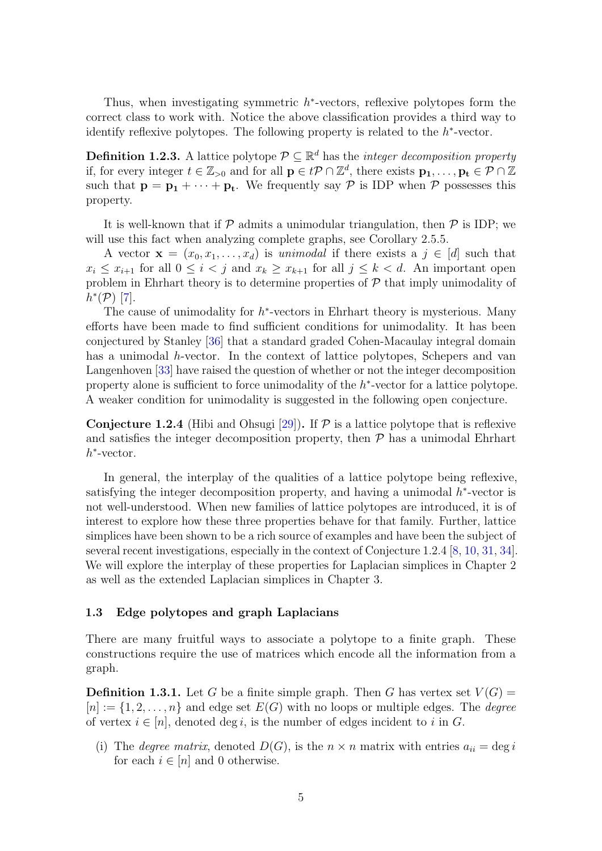Thus, when investigating symmetric  $h^*$ -vectors, reflexive polytopes form the correct class to work with. Notice the above classification provides a third way to identify reflexive polytopes. The following property is related to the  $h^*$ -vector.

**Definition 1.2.3.** A lattice polytope  $P \subseteq \mathbb{R}^d$  has the *integer decomposition property* if, for every integer  $t \in \mathbb{Z}_{>0}$  and for all  $\mathbf{p} \in t\mathcal{P} \cap \mathbb{Z}^d$ , there exists  $\mathbf{p_1}, \ldots, \mathbf{p_t} \in \mathcal{P} \cap \mathbb{Z}^d$ such that  $p = p_1 + \cdots + p_t$ . We frequently say P is IDP when P possesses this property.

It is well-known that if  $P$  admits a unimodular triangulation, then  $P$  is IDP; we will use this fact when analyzing complete graphs, see Corollary [2.5.5.](#page-33-0)

A vector  $\mathbf{x} = (x_0, x_1, \dots, x_d)$  is unimodal if there exists a  $j \in [d]$  such that  $x_i \leq x_{i+1}$  for all  $0 \leq i < j$  and  $x_k \geq x_{k+1}$  for all  $j \leq k < d$ . An important open problem in Ehrhart theory is to determine properties of  $\mathcal P$  that imply unimodality of  $h^*(\mathcal{P})$  [\[7\]](#page-57-3).

The cause of unimodality for  $h^*$ -vectors in Ehrhart theory is mysterious. Many efforts have been made to find sufficient conditions for unimodality. It has been conjectured by Stanley [\[36\]](#page-59-1) that a standard graded Cohen-Macaulay integral domain has a unimodal h-vector. In the context of lattice polytopes, Schepers and van Langenhoven [\[33\]](#page-59-2) have raised the question of whether or not the integer decomposition property alone is sufficient to force unimodality of the  $h^*$ -vector for a lattice polytope. A weaker condition for unimodality is suggested in the following open conjecture.

<span id="page-12-1"></span>**Conjecture 1.2.4** (Hibi and Ohsugi [\[29\]](#page-58-7)). If P is a lattice polytope that is reflexive and satisfies the integer decomposition property, then  $P$  has a unimodal Ehrhart h ∗ -vector.

In general, the interplay of the qualities of a lattice polytope being reflexive, satisfying the integer decomposition property, and having a unimodal  $h^*$ -vector is not well-understood. When new families of lattice polytopes are introduced, it is of interest to explore how these three properties behave for that family. Further, lattice simplices have been shown to be a rich source of examples and have been the subject of several recent investigations, especially in the context of Conjecture [1.2.4](#page-12-1) [\[8,](#page-57-4) [10,](#page-57-5) [31,](#page-59-3) [34\]](#page-59-4). We will explore the interplay of these properties for Laplacian simplices in Chapter [2](#page-15-0) as well as the extended Laplacian simplices in Chapter [3.](#page-41-0)

#### <span id="page-12-0"></span>1.3 Edge polytopes and graph Laplacians

There are many fruitful ways to associate a polytope to a finite graph. These constructions require the use of matrices which encode all the information from a graph.

<span id="page-12-2"></span>**Definition 1.3.1.** Let G be a finite simple graph. Then G has vertex set  $V(G)$  =  $[n] := \{1, 2, \ldots, n\}$  and edge set  $E(G)$  with no loops or multiple edges. The *degree* of vertex  $i \in [n]$ , denoted deg i, is the number of edges incident to i in G.

(i) The *degree matrix*, denoted  $D(G)$ , is the  $n \times n$  matrix with entries  $a_{ii} = \deg i$ for each  $i \in [n]$  and 0 otherwise.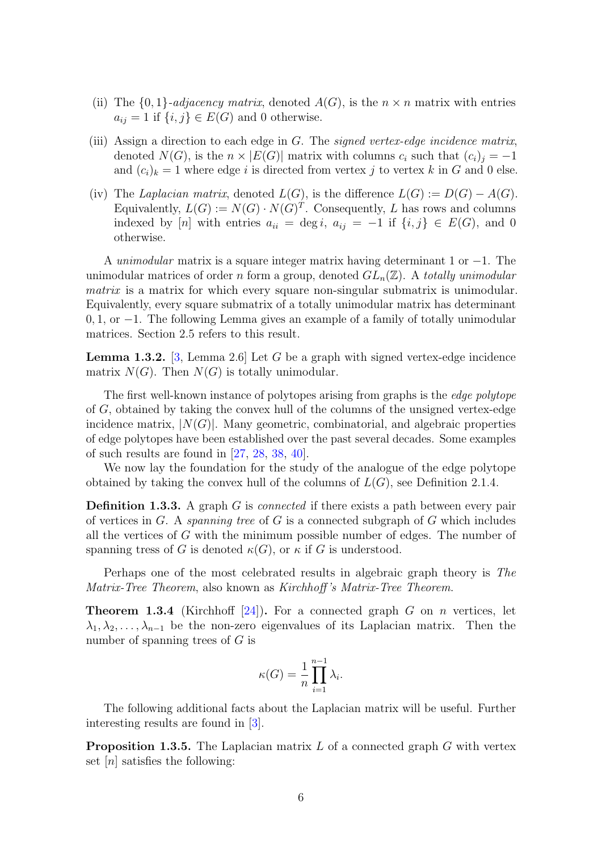- (ii) The  $\{0,1\}$ -adjacency matrix, denoted  $A(G)$ , is the  $n \times n$  matrix with entries  $a_{ij} = 1$  if  $\{i, j\} \in E(G)$  and 0 otherwise.
- (iii) Assign a direction to each edge in  $G$ . The signed vertex-edge incidence matrix, denoted  $N(G)$ , is the  $n \times |E(G)|$  matrix with columns  $c_i$  such that  $(c_i)_i = -1$ and  $(c_i)_k = 1$  where edge i is directed from vertex j to vertex k in G and 0 else.
- (iv) The Laplacian matrix, denoted  $L(G)$ , is the difference  $L(G) := D(G) A(G)$ . Equivalently,  $L(G) := N(G) \cdot N(G)^{T}$ . Consequently, L has rows and columns indexed by [n] with entries  $a_{ii} = \deg i, a_{ij} = -1$  if  $\{i, j\} \in E(G)$ , and 0 otherwise.

A unimodular matrix is a square integer matrix having determinant 1 or  $-1$ . The unimodular matrices of order n form a group, denoted  $GL_n(\mathbb{Z})$ . A totally unimodular matrix is a matrix for which every square non-singular submatrix is unimodular. Equivalently, every square submatrix of a totally unimodular matrix has determinant 0, 1, or −1. The following Lemma gives an example of a family of totally unimodular matrices. Section [2.5](#page-31-0) refers to this result.

<span id="page-13-2"></span>**Lemma 1.3.2.** [\[3,](#page-57-6) Lemma 2.6] Let G be a graph with signed vertex-edge incidence matrix  $N(G)$ . Then  $N(G)$  is totally unimodular.

The first well-known instance of polytopes arising from graphs is the edge polytope of G, obtained by taking the convex hull of the columns of the unsigned vertex-edge incidence matrix,  $|N(G)|$ . Many geometric, combinatorial, and algebraic properties of edge polytopes have been established over the past several decades. Some examples of such results are found in [\[27,](#page-58-8) [28,](#page-58-9) [38,](#page-59-5) [40\]](#page-59-6).

We now lay the foundation for the study of the analogue of the edge polytope obtained by taking the convex hull of the columns of  $L(G)$ , see Definition [2.1.4.](#page-16-0)

**Definition 1.3.3.** A graph G is *connected* if there exists a path between every pair of vertices in  $G$ . A *spanning tree* of  $G$  is a connected subgraph of  $G$  which includes all the vertices of G with the minimum possible number of edges. The number of spanning tress of G is denoted  $\kappa(G)$ , or  $\kappa$  if G is understood.

Perhaps one of the most celebrated results in algebraic graph theory is The Matrix-Tree Theorem, also known as Kirchhoff 's Matrix-Tree Theorem.

<span id="page-13-0"></span>**Theorem 1.3.4** (Kirchhoff [\[24\]](#page-58-10)). For a connected graph G on n vertices, let  $\lambda_1, \lambda_2, \ldots, \lambda_{n-1}$  be the non-zero eigenvalues of its Laplacian matrix. Then the number of spanning trees of  $G$  is

$$
\kappa(G) = \frac{1}{n} \prod_{i=1}^{n-1} \lambda_i.
$$

The following additional facts about the Laplacian matrix will be useful. Further interesting results are found in [\[3\]](#page-57-6).

<span id="page-13-1"></span>**Proposition 1.3.5.** The Laplacian matrix  $L$  of a connected graph  $G$  with vertex set  $[n]$  satisfies the following: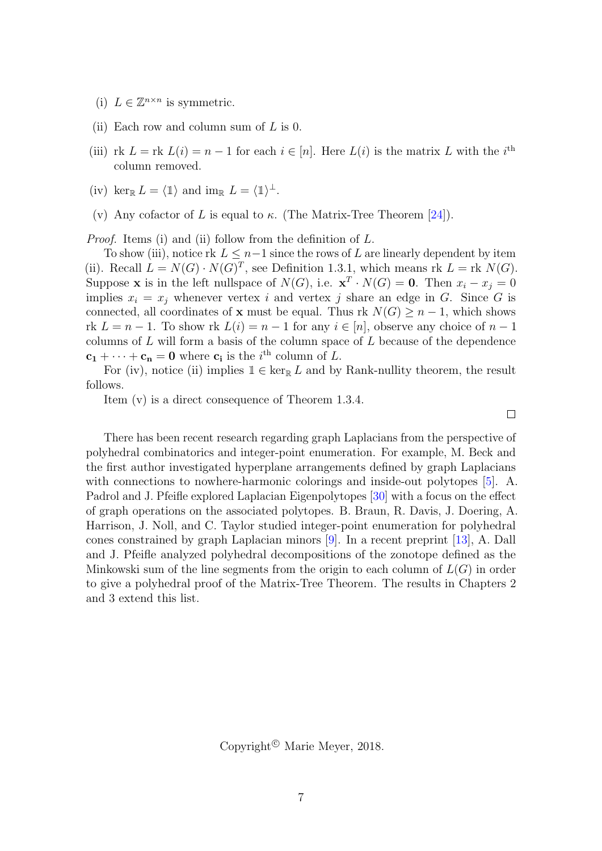- (i)  $L \in \mathbb{Z}^{n \times n}$  is symmetric.
- (ii) Each row and column sum of  $L$  is 0.
- (iii) rk  $L = \text{rk } L(i) = n 1$  for each  $i \in [n]$ . Here  $L(i)$  is the matrix L with the  $i^{\text{th}}$ column removed.
- (iv) ker<sub>R</sub>  $L = \langle \mathbb{1} \rangle$  and im<sub>R</sub>  $L = \langle \mathbb{1} \rangle^{\perp}$ .
- (v) Any cofactor of L is equal to  $\kappa$ . (The Matrix-Tree Theorem [\[24\]](#page-58-10)).

Proof. Items (i) and (ii) follow from the definition of L.

To show (iii), notice rk  $L \leq n-1$  since the rows of L are linearly dependent by item (ii). Recall  $L = N(G) \cdot N(G)^{T}$ , see Definition [1.3.1,](#page-12-2) which means rk  $L = \text{rk } N(G)$ . Suppose **x** is in the left nullspace of  $N(G)$ , i.e.  $\mathbf{x}^T \cdot N(G) = \mathbf{0}$ . Then  $x_i - x_j = 0$ implies  $x_i = x_j$  whenever vertex i and vertex j share an edge in G. Since G is connected, all coordinates of **x** must be equal. Thus rk  $N(G) \geq n-1$ , which shows rk  $L = n - 1$ . To show rk  $L(i) = n - 1$  for any  $i \in [n]$ , observe any choice of  $n - 1$ columns of  $L$  will form a basis of the column space of  $L$  because of the dependence  $c_1 + \cdots + c_n = 0$  where  $c_i$  is the *i*<sup>th</sup> column of *L*.

For (iv), notice (ii) implies  $\mathbb{1} \in \ker_{\mathbb{R}} L$  and by Rank-nullity theorem, the result follows.

Item (v) is a direct consequence of Theorem [1.3.4.](#page-13-0)

 $\Box$ 

There has been recent research regarding graph Laplacians from the perspective of polyhedral combinatorics and integer-point enumeration. For example, M. Beck and the first author investigated hyperplane arrangements defined by graph Laplacians with connections to nowhere-harmonic colorings and inside-out polytopes [\[5\]](#page-57-7). A. Padrol and J. Pfeifle explored Laplacian Eigenpolytopes [\[30\]](#page-59-7) with a focus on the effect of graph operations on the associated polytopes. B. Braun, R. Davis, J. Doering, A. Harrison, J. Noll, and C. Taylor studied integer-point enumeration for polyhedral cones constrained by graph Laplacian minors [\[9\]](#page-57-8). In a recent preprint [\[13\]](#page-57-9), A. Dall and J. Pfeifle analyzed polyhedral decompositions of the zonotope defined as the Minkowski sum of the line segments from the origin to each column of  $L(G)$  in order to give a polyhedral proof of the Matrix-Tree Theorem. The results in Chapters [2](#page-15-0) and [3](#page-41-0) extend this list.

Copyright<sup> $\odot$ </sup> Marie Meyer, 2018.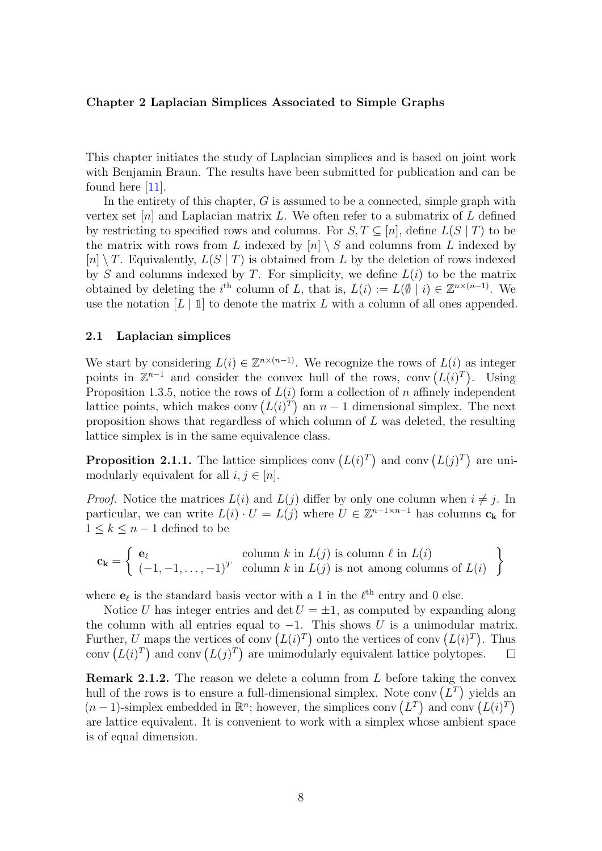#### <span id="page-15-0"></span>Chapter 2 Laplacian Simplices Associated to Simple Graphs

This chapter initiates the study of Laplacian simplices and is based on joint work with Benjamin Braun. The results have been submitted for publication and can be found here [\[11\]](#page-57-10).

In the entirety of this chapter,  $G$  is assumed to be a connected, simple graph with vertex set  $[n]$  and Laplacian matrix L. We often refer to a submatrix of L defined by restricting to specified rows and columns. For  $S, T \subseteq [n]$ , define  $L(S | T)$  to be the matrix with rows from L indexed by  $[n] \setminus S$  and columns from L indexed by  $[n] \setminus T$ . Equivalently,  $L(S | T)$  is obtained from L by the deletion of rows indexed by S and columns indexed by T. For simplicity, we define  $L(i)$  to be the matrix obtained by deleting the i<sup>th</sup> column of L, that is,  $L(i) := L(\emptyset | i) \in \mathbb{Z}^{n \times (n-1)}$ . We use the notation  $[L | 1]$  to denote the matrix L with a column of all ones appended.

#### <span id="page-15-1"></span>2.1 Laplacian simplices

We start by considering  $L(i) \in \mathbb{Z}^{n \times (n-1)}$ . We recognize the rows of  $L(i)$  as integer points in  $\mathbb{Z}^{n-1}$  and consider the convex hull of the rows, conv $(L(i)^T)$ . Using Proposition [1.3.5,](#page-13-1) notice the rows of  $L(i)$  form a collection of n affinely independent lattice points, which makes conv  $(L(i)^T)$  an  $n-1$  dimensional simplex. The next proposition shows that regardless of which column of L was deleted, the resulting lattice simplex is in the same equivalence class.

<span id="page-15-2"></span>**Proposition 2.1.1.** The lattice simplices conv  $(L(i)^T)$  and conv  $(L(j)^T)$  are unimodularly equivalent for all  $i, j \in [n]$ .

*Proof.* Notice the matrices  $L(i)$  and  $L(j)$  differ by only one column when  $i \neq j$ . In particular, we can write  $L(i) \cdot U = L(j)$  where  $U \in \mathbb{Z}^{n-1 \times n-1}$  has columns  $c_k$  for  $1 \leq k \leq n-1$  defined to be

$$
\mathbf{c_k} = \left\{ \begin{array}{ll} \mathbf{e}_{\ell} & \text{column } k \text{ in } L(j) \text{ is column } \ell \text{ in } L(i) \\ (-1, -1, \dots, -1)^T & \text{column } k \text{ in } L(j) \text{ is not among columns of } L(i) \end{array} \right\}
$$

where  $\mathbf{e}_{\ell}$  is the standard basis vector with a 1 in the  $\ell^{\text{th}}$  entry and 0 else.

Notice U has integer entries and det  $U = \pm 1$ , as computed by expanding along the column with all entries equal to  $-1$ . This shows U is a unimodular matrix. Further, U maps the vertices of conv  $(L(i)^T)$  onto the vertices of conv  $(L(i)^T)$ . Thus conv  $(L(i)^T)$  and conv  $(L(j)^T)$  are unimodularly equivalent lattice polytopes.  $\Box$ 

**Remark 2.1.2.** The reason we delete a column from  $L$  before taking the convex hull of the rows is to ensure a full-dimensional simplex. Note conv  $(L^T)$  yields an  $(n-1)$ -simplex embedded in  $\mathbb{R}^n$ ; however, the simplices conv  $(L^T)$  and conv  $(L(i)^T)$ are lattice equivalent. It is convenient to work with a simplex whose ambient space is of equal dimension.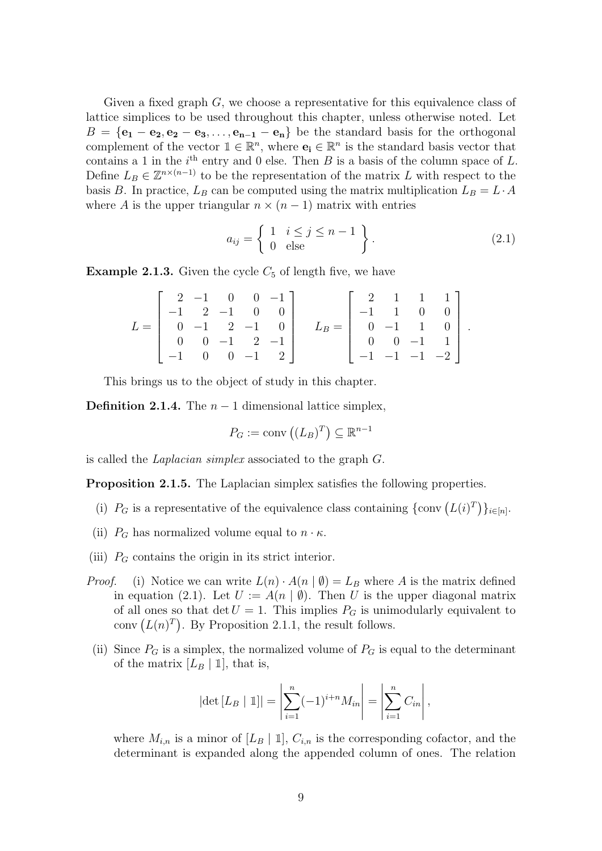Given a fixed graph G, we choose a representative for this equivalence class of lattice simplices to be used throughout this chapter, unless otherwise noted. Let  $B = {\bf e}_1 - {\bf e}_2, {\bf e}_2 - {\bf e}_3, \ldots, {\bf e}_{n-1} - {\bf e}_n$  be the standard basis for the orthogonal complement of the vector  $\mathbb{1} \in \mathbb{R}^n$ , where  $\mathbf{e}_i \in \mathbb{R}^n$  is the standard basis vector that contains a 1 in the  $i<sup>th</sup>$  entry and 0 else. Then B is a basis of the column space of L. Define  $L_B \in \mathbb{Z}^{n \times (n-1)}$  to be the representation of the matrix L with respect to the basis B. In practice,  $L_B$  can be computed using the matrix multiplication  $L_B = L \cdot A$ where A is the upper triangular  $n \times (n-1)$  matrix with entries

$$
a_{ij} = \left\{ \begin{array}{ll} 1 & i \le j \le n-1 \\ 0 & \text{else} \end{array} \right\} . \tag{2.1}
$$

<span id="page-16-1"></span>.

**Example 2.1.3.** Given the cycle  $C_5$  of length five, we have

$$
L = \begin{bmatrix} 2 & -1 & 0 & 0 & -1 \\ -1 & 2 & -1 & 0 & 0 \\ 0 & -1 & 2 & -1 & 0 \\ 0 & 0 & -1 & 2 & -1 \\ -1 & 0 & 0 & -1 & 2 \end{bmatrix} \quad L_B = \begin{bmatrix} 2 & 1 & 1 & 1 \\ -1 & 1 & 0 & 0 \\ 0 & -1 & 1 & 0 \\ 0 & 0 & -1 & 1 \\ -1 & -1 & -1 & -2 \end{bmatrix}
$$

This brings us to the object of study in this chapter.

<span id="page-16-0"></span>**Definition 2.1.4.** The  $n-1$  dimensional lattice simplex,

$$
P_G := \text{conv}\left((L_B)^T\right) \subseteq \mathbb{R}^{n-1}
$$

is called the Laplacian simplex associated to the graph G.

<span id="page-16-2"></span>**Proposition 2.1.5.** The Laplacian simplex satisfies the following properties.

- (i)  $P_G$  is a representative of the equivalence class containing  $\{\text{conv}\left(L(i)^T\right)\}_{i\in[n]}$ .
- (ii)  $P_G$  has normalized volume equal to  $n \cdot \kappa$ .
- (iii)  $P_G$  contains the origin in its strict interior.
- *Proof.* (i) Notice we can write  $L(n) \cdot A(n | \emptyset) = L_B$  where A is the matrix defined in equation [\(2.1\)](#page-16-1). Let  $U := A(n | \emptyset)$ . Then U is the upper diagonal matrix of all ones so that det  $U = 1$ . This implies  $P_G$  is unimodularly equivalent to conv  $(L(n)^T)$ . By Proposition [2.1.1,](#page-15-2) the result follows.
- (ii) Since  $P_G$  is a simplex, the normalized volume of  $P_G$  is equal to the determinant of the matrix  $[L_B | 1]$ , that is,

$$
|\det [L_B | \mathbb{1}]| = \left| \sum_{i=1}^n (-1)^{i+n} M_{in} \right| = \left| \sum_{i=1}^n C_{in} \right|,
$$

where  $M_{i,n}$  is a minor of  $[L_B | 1]$ ,  $C_{i,n}$  is the corresponding cofactor, and the determinant is expanded along the appended column of ones. The relation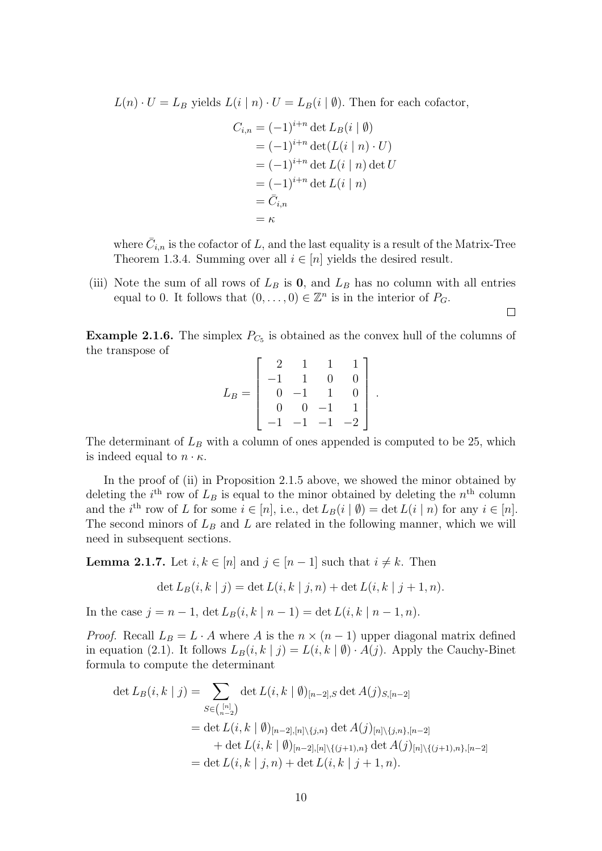$L(n) \cdot U = L_B$  yields  $L(i | n) \cdot U = L_B(i | \emptyset)$ . Then for each cofactor,

$$
C_{i,n} = (-1)^{i+n} \det L_B(i \mid \emptyset)
$$
  
=  $(-1)^{i+n} \det(L(i \mid n) \cdot U)$   
=  $(-1)^{i+n} \det L(i \mid n) \det U$   
=  $(-1)^{i+n} \det L(i \mid n)$   
=  $\bar{C}_{i,n}$   
=  $\kappa$ 

where  $\bar{C}_{i,n}$  is the cofactor of L, and the last equality is a result of the Matrix-Tree Theorem [1.3.4.](#page-13-0) Summing over all  $i \in [n]$  yields the desired result.

 $\Box$ 

(iii) Note the sum of all rows of  $L_B$  is 0, and  $L_B$  has no column with all entries equal to 0. It follows that  $(0, \ldots, 0) \in \mathbb{Z}^n$  is in the interior of  $P_G$ .

**Example 2.1.6.** The simplex  $P_{C_5}$  is obtained as the convex hull of the columns of the transpose of

$$
L_B = \begin{bmatrix} 2 & 1 & 1 & 1 \\ -1 & 1 & 0 & 0 \\ 0 & -1 & 1 & 0 \\ 0 & 0 & -1 & 1 \\ -1 & -1 & -1 & -2 \end{bmatrix}.
$$

The determinant of  $L_B$  with a column of ones appended is computed to be 25, which is indeed equal to  $n \cdot \kappa$ .

In the proof of (ii) in Proposition [2.1.5](#page-16-2) above, we showed the minor obtained by deleting the  $i^{\text{th}}$  row of  $L_B$  is equal to the minor obtained by deleting the  $n^{\text{th}}$  column and the *i*<sup>th</sup> row of L for some  $i \in [n]$ , i.e.,  $\det L_B(i | \emptyset) = \det L(i | n)$  for any  $i \in [n]$ . The second minors of  $L_B$  and  $L$  are related in the following manner, which we will need in subsequent sections.

<span id="page-17-0"></span>**Lemma 2.1.7.** Let  $i, k \in [n]$  and  $j \in [n-1]$  such that  $i \neq k$ . Then

$$
\det L_B(i, k | j) = \det L(i, k | j, n) + \det L(i, k | j + 1, n).
$$

In the case  $j = n - 1$ ,  $\det L_B(i, k | n - 1) = \det L(i, k | n - 1, n)$ .

*Proof.* Recall  $L_B = L \cdot A$  where A is the  $n \times (n-1)$  upper diagonal matrix defined in equation [\(2.1\)](#page-16-1). It follows  $L_B(i, k | j) = L(i, k | \emptyset) \cdot A(j)$ . Apply the Cauchy-Binet formula to compute the determinant

$$
\det L_B(i,k | j) = \sum_{S \in \binom{[n]}{n-2}} \det L(i,k | \emptyset)_{[n-2],S} \det A(j)_{S,[n-2]}
$$
  
= det  $L(i,k | \emptyset)_{[n-2],[n] \setminus \{j,n\}} \det A(j)_{[n] \setminus \{j,n\},[n-2]} + \det L(i,k | \emptyset)_{[n-2],[n] \setminus \{(j+1),n\}} \det A(j)_{[n] \setminus \{(j+1),n\},[n-2]} = \det L(i,k | j,n) + \det L(i,k | j+1,n).$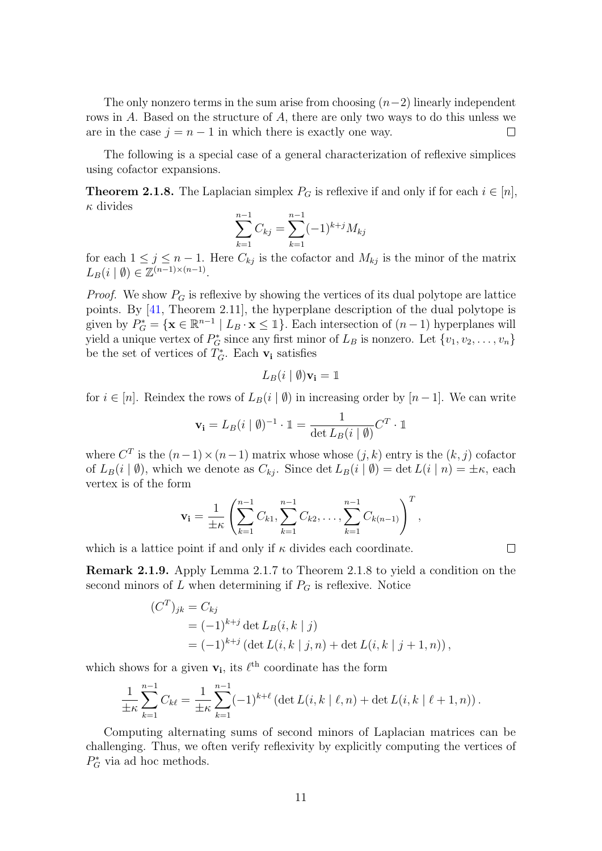The only nonzero terms in the sum arise from choosing  $(n-2)$  linearly independent rows in A. Based on the structure of A, there are only two ways to do this unless we are in the case  $j = n - 1$  in which there is exactly one way.  $\Box$ 

The following is a special case of a general characterization of reflexive simplices using cofactor expansions.

<span id="page-18-0"></span>**Theorem 2.1.8.** The Laplacian simplex  $P_G$  is reflexive if and only if for each  $i \in [n]$ ,  $\kappa$  divides

$$
\sum_{k=1}^{n-1} C_{kj} = \sum_{k=1}^{n-1} (-1)^{k+j} M_{kj}
$$

for each  $1 \leq j \leq n-1$ . Here  $C_{kj}$  is the cofactor and  $M_{kj}$  is the minor of the matrix  $L_B(i | \emptyset) \in \mathbb{Z}^{(n-1)\times(n-1)}$ .

*Proof.* We show  $P_G$  is reflexive by showing the vertices of its dual polytope are lattice points. By [\[41,](#page-59-8) Theorem 2.11], the hyperplane description of the dual polytope is given by  $P_G^* = {\mathbf{x} \in \mathbb{R}^{n-1} \mid L_B \cdot \mathbf{x} \leq \mathbb{1}}$ . Each intersection of  $(n-1)$  hyperplanes will yield a unique vertex of  $P_G^*$  since any first minor of  $L_B$  is nonzero. Let  $\{v_1, v_2, \ldots, v_n\}$ be the set of vertices of  $T_G^*$ . Each  $\mathbf{v}_i$  satisfies

$$
L_B(i \mid \emptyset) \mathbf{v_i} = \mathbb{1}
$$

for  $i \in [n]$ . Reindex the rows of  $L_B(i \mid \emptyset)$  in increasing order by  $[n-1]$ . We can write

$$
\mathbf{v_i} = L_B(i \mid \emptyset)^{-1} \cdot \mathbb{1} = \frac{1}{\det L_B(i \mid \emptyset)} C^T \cdot \mathbb{1}
$$

where  $C^T$  is the  $(n-1) \times (n-1)$  matrix whose whose  $(j, k)$  entry is the  $(k, j)$  cofactor of  $L_B(i | \emptyset)$ , which we denote as  $C_{kj}$ . Since det  $L_B(i | \emptyset) = \det L(i | n) = \pm \kappa$ , each vertex is of the form

$$
\mathbf{v_i} = \frac{1}{\pm \kappa} \left( \sum_{k=1}^{n-1} C_{k1}, \sum_{k=1}^{n-1} C_{k2}, \dots, \sum_{k=1}^{n-1} C_{k(n-1)} \right)^T,
$$

 $\Box$ 

which is a lattice point if and only if  $\kappa$  divides each coordinate.

Remark 2.1.9. Apply Lemma [2.1.7](#page-17-0) to Theorem [2.1.8](#page-18-0) to yield a condition on the second minors of  $L$  when determining if  $P_G$  is reflexive. Notice

$$
(CT)jk = Ckj
$$
  
=  $(-1)^{k+j}$  det  $L_B(i, k | j)$   
=  $(-1)^{k+j}$  (det  $L(i, k | j, n)$  + det  $L(i, k | j + 1, n)$ ),

which shows for a given  $\mathbf{v}_i$ , its  $\ell^{\text{th}}$  coordinate has the form

$$
\frac{1}{\pm \kappa} \sum_{k=1}^{n-1} C_{k\ell} = \frac{1}{\pm \kappa} \sum_{k=1}^{n-1} (-1)^{k+\ell} \left( \det L(i,k \mid \ell,n) + \det L(i,k \mid \ell+1,n) \right).
$$

Computing alternating sums of second minors of Laplacian matrices can be challenging. Thus, we often verify reflexivity by explicitly computing the vertices of  $P_G^*$  via ad hoc methods.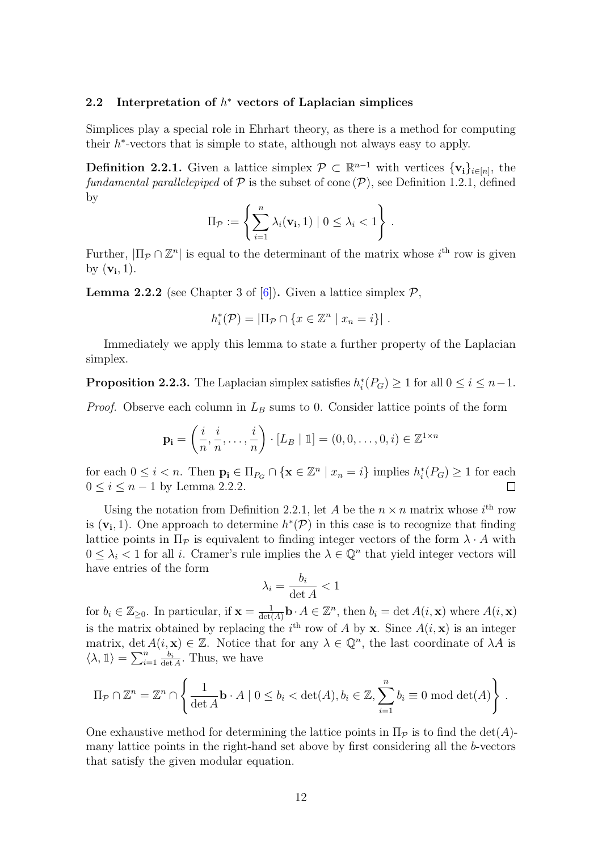## <span id="page-19-0"></span>2.2 Interpretation of  $h^*$  vectors of Laplacian simplices

Simplices play a special role in Ehrhart theory, as there is a method for computing their  $h^*$ -vectors that is simple to state, although not always easy to apply.

<span id="page-19-2"></span>**Definition 2.2.1.** Given a lattice simplex  $\mathcal{P} \subset \mathbb{R}^{n-1}$  with vertices  $\{v_i\}_{i \in [n]}$ , the fundamental parallelepiped of  $P$  is the subset of cone  $(P)$ , see Definition [1.2.1,](#page-11-1) defined by

$$
\Pi_{\mathcal{P}} := \left\{ \sum_{i=1}^n \lambda_i(\mathbf{v_i}, 1) \mid 0 \leq \lambda_i < 1 \right\}.
$$

Further,  $|\Pi_P \cap \mathbb{Z}^n|$  is equal to the determinant of the matrix whose  $i^{\text{th}}$  row is given by  $(\mathbf{v_i}, 1)$ .

<span id="page-19-1"></span>**Lemma 2.2.2** (see Chapter 3 of  $[6]$ ). Given a lattice simplex  $\mathcal{P}$ ,

$$
h_i^*(\mathcal{P}) = |\Pi_{\mathcal{P}} \cap \{x \in \mathbb{Z}^n \mid x_n = i\}|.
$$

Immediately we apply this lemma to state a further property of the Laplacian simplex.

**Proposition 2.2.3.** The Laplacian simplex satisfies  $h_i^*(P_G) \ge 1$  for all  $0 \le i \le n-1$ .

*Proof.* Observe each column in  $L_B$  sums to 0. Consider lattice points of the form

$$
\mathbf{p_i} = \left(\frac{i}{n}, \frac{i}{n}, \dots, \frac{i}{n}\right) \cdot [L_B | \mathbb{1}] = (0, 0, \dots, 0, i) \in \mathbb{Z}^{1 \times n}
$$

for each  $0 \leq i < n$ . Then  $\mathbf{p_i} \in \Pi_{P_G} \cap {\mathbf{x \in \mathbb{Z}^n \mid x_n = i}$  implies  $h_i^*(P_G) \geq 1$  for each  $0 \le i \le n-1$  by Lemma [2.2.2.](#page-19-1)

Using the notation from Definition [2.2.1,](#page-19-2) let A be the  $n \times n$  matrix whose  $i^{\text{th}}$  row is  $(v_i, 1)$ . One approach to determine  $h^*(P)$  in this case is to recognize that finding lattice points in  $\Pi_{\mathcal{P}}$  is equivalent to finding integer vectors of the form  $\lambda \cdot A$  with  $0 \leq \lambda_i < 1$  for all *i*. Cramer's rule implies the  $\lambda \in \mathbb{Q}^n$  that yield integer vectors will have entries of the form

$$
\lambda_i = \frac{b_i}{\det A} < 1
$$

for  $b_i \in \mathbb{Z}_{\geq 0}$ . In particular, if  $\mathbf{x} = \frac{1}{\det(A)}$  $\frac{1}{\det(A)}$ **b** ·  $A \in \mathbb{Z}^n$ , then  $b_i = \det A(i, \mathbf{x})$  where  $A(i, \mathbf{x})$ is the matrix obtained by replacing the  $i^{\text{th}}$  row of A by **x**. Since  $A(i, \mathbf{x})$  is an integer matrix, det  $A(i, x) \in \mathbb{Z}$ . Notice that for any  $\lambda \in \mathbb{Q}^n$ , the last coordinate of  $\lambda A$  is  $\langle \lambda, \mathbb{1} \rangle = \sum_{i=1}^n \frac{b_i}{\det}$  $\frac{b_i}{\det A}$ . Thus, we have

$$
\Pi_{\mathcal{P}} \cap \mathbb{Z}^n = \mathbb{Z}^n \cap \left\{ \frac{1}{\det A} \mathbf{b} \cdot A \mid 0 \le b_i < \det(A), b_i \in \mathbb{Z}, \sum_{i=1}^n b_i \equiv 0 \mod \det(A) \right\}.
$$

One exhaustive method for determining the lattice points in  $\Pi_{\mathcal{P}}$  is to find the det(A)many lattice points in the right-hand set above by first considering all the b-vectors that satisfy the given modular equation.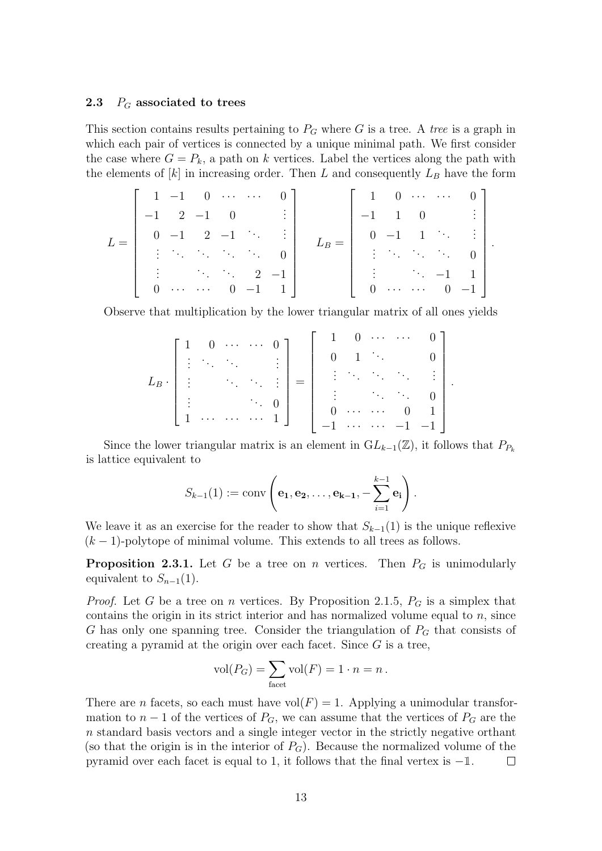#### <span id="page-20-0"></span>2.3  $P_G$  associated to trees

This section contains results pertaining to  $P_G$  where G is a tree. A tree is a graph in which each pair of vertices is connected by a unique minimal path. We first consider the case where  $G = P_k$ , a path on k vertices. Label the vertices along the path with the elements of  $[k]$  in increasing order. Then L and consequently  $L_B$  have the form

$$
L = \left[\begin{array}{ccccc} 1 & -1 & 0 & \cdots & \cdots & 0 \\ -1 & 2 & -1 & 0 & & \vdots \\ 0 & -1 & 2 & -1 & \ddots & \vdots \\ \vdots & \ddots & \ddots & \ddots & \ddots & 0 \\ \vdots & & \ddots & \ddots & 2 & -1 \\ 0 & \cdots & \cdots & 0 & -1 & 1 \end{array}\right] \quad L_B = \left[\begin{array}{ccccc} 1 & 0 & \cdots & \cdots & 0 \\ -1 & 1 & 0 & & \vdots \\ 0 & -1 & 1 & \ddots & \vdots \\ \vdots & \ddots & \ddots & \ddots & 0 \\ \vdots & & \ddots & -1 & 1 \\ 0 & \cdots & \cdots & 0 & -1 \end{array}\right].
$$

Observe that multiplication by the lower triangular matrix of all ones yields

$$
L_B \cdot \begin{bmatrix} 1 & 0 & \cdots & \cdots & 0 \\ \vdots & \ddots & \ddots & & \vdots \\ \vdots & & \ddots & \ddots & \vdots \\ \vdots & & & \ddots & 0 \\ 1 & \cdots & \cdots & \cdots & 1 \end{bmatrix} = \begin{bmatrix} 1 & 0 & \cdots & \cdots & 0 \\ 0 & 1 & \ddots & & 0 \\ \vdots & & \ddots & \ddots & \vdots \\ 0 & \cdots & \cdots & 0 & 1 \\ -1 & \cdots & \cdots & -1 & -1 \end{bmatrix}
$$

.

Since the lower triangular matrix is an element in  $GL_{k-1}(\mathbb{Z})$ , it follows that  $P_{P_k}$ is lattice equivalent to

$$
S_{k-1}(1) := \operatorname{conv}\left(\mathbf{e_1}, \mathbf{e_2}, \dots, \mathbf{e_{k-1}}, -\sum_{i=1}^{k-1} \mathbf{e_i}\right).
$$

We leave it as an exercise for the reader to show that  $S_{k-1}(1)$  is the unique reflexive  $(k-1)$ -polytope of minimal volume. This extends to all trees as follows.

<span id="page-20-1"></span>**Proposition 2.3.1.** Let G be a tree on n vertices. Then  $P_G$  is unimodularly equivalent to  $S_{n-1}(1)$ .

*Proof.* Let G be a tree on n vertices. By Proposition [2.1.5,](#page-16-2)  $P_G$  is a simplex that contains the origin in its strict interior and has normalized volume equal to  $n$ , since G has only one spanning tree. Consider the triangulation of  $P_G$  that consists of creating a pyramid at the origin over each facet. Since  $G$  is a tree,

$$
vol(P_G) = \sum_{\text{facet}} vol(F) = 1 \cdot n = n.
$$

There are *n* facets, so each must have vol $(F) = 1$ . Applying a unimodular transformation to  $n-1$  of the vertices of  $P_G$ , we can assume that the vertices of  $P_G$  are the n standard basis vectors and a single integer vector in the strictly negative orthant (so that the origin is in the interior of  $P_G$ ). Because the normalized volume of the pyramid over each facet is equal to 1, it follows that the final vertex is  $-1$ .  $\mathbb{R}^n$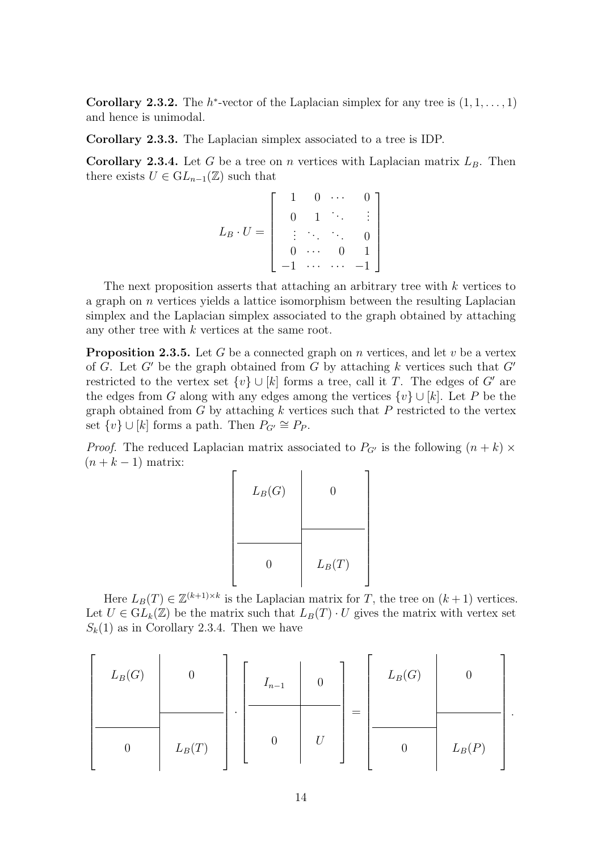**Corollary 2.3.2.** The  $h^*$ -vector of the Laplacian simplex for any tree is  $(1, 1, \ldots, 1)$ and hence is unimodal.

Corollary 2.3.3. The Laplacian simplex associated to a tree is IDP.

<span id="page-21-0"></span>Corollary 2.3.4. Let G be a tree on n vertices with Laplacian matrix  $L_B$ . Then there exists  $U \in GL_{n-1}(\mathbb{Z})$  such that

$$
L_B \cdot U = \left[ \begin{array}{ccccc} 1 & 0 & \cdots & 0 \\ 0 & 1 & \ddots & \vdots \\ \vdots & \ddots & \ddots & 0 \\ 0 & \cdots & 0 & 1 \\ -1 & \cdots & \cdots & -1 \end{array} \right]
$$

The next proposition asserts that attaching an arbitrary tree with k vertices to a graph on  $n$  vertices yields a lattice isomorphism between the resulting Laplacian simplex and the Laplacian simplex associated to the graph obtained by attaching any other tree with k vertices at the same root.

<span id="page-21-1"></span>**Proposition 2.3.5.** Let G be a connected graph on n vertices, and let v be a vertex of G. Let G' be the graph obtained from G by attaching k vertices such that  $G'$ restricted to the vertex set  $\{v\} \cup [k]$  forms a tree, call it T. The edges of G' are the edges from G along with any edges among the vertices  $\{v\} \cup [k]$ . Let P be the graph obtained from  $G$  by attaching  $k$  vertices such that  $P$  restricted to the vertex set  $\{v\} \cup [k]$  forms a path. Then  $P_{G'} \cong P_P$ .

*Proof.* The reduced Laplacian matrix associated to  $P_{G'}$  is the following  $(n + k) \times$  $(n + k - 1)$  matrix:

 $\sqrt{ }$ 

 $\overline{\phantom{a}}$  $\overline{\phantom{a}}$  $\overline{1}$  $\overline{1}$  $\overline{\phantom{a}}$  $\overline{\phantom{a}}$  $\overline{\phantom{a}}$  $\overline{\phantom{a}}$  $\overline{\phantom{a}}$  $\overline{1}$  $\overline{\phantom{a}}$ 

| $L_B(G)$ | 0        |
|----------|----------|
| 0        | $L_B(T)$ |

Here  $L_B(T) \in \mathbb{Z}^{(k+1)\times k}$  is the Laplacian matrix for T, the tree on  $(k+1)$  vertices. Let  $U \in GL_k(\mathbb{Z})$  be the matrix such that  $L_B(T) \cdot U$  gives the matrix with vertex set  $S_k(1)$  as in Corollary [2.3.4.](#page-21-0) Then we have

$$
\left[\begin{array}{c|c}L_B(G) & 0 & 0 \\\hline & & & \\\hline & & & & \\\hline & 0 & L_B(T) & 0 \end{array}\right] \cdot \left[\begin{array}{c|c}I_{n-1} & 0 & 0 \\\hline & & & \\\hline & & & \\\hline & 0 & U \end{array}\right] = \left[\begin{array}{c|c}L_B(G) & 0 & 0 \\\hline & & & \\\hline & 0 & L_B(P) \end{array}\right].
$$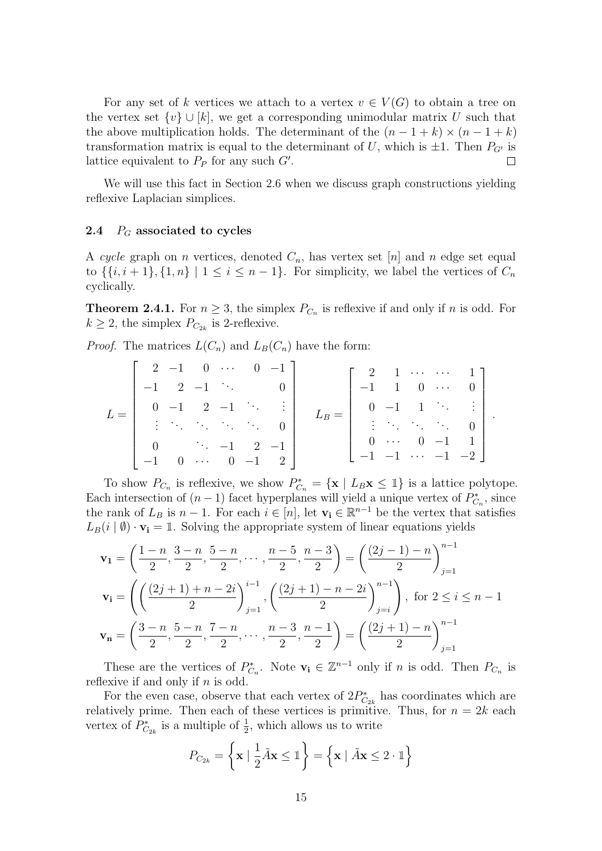For any set of k vertices we attach to a vertex  $v \in V(G)$  to obtain a tree on the vertex set  $\{v\} \cup [k]$ , we get a corresponding unimodular matrix U such that the above multiplication holds. The determinant of the  $(n-1+k) \times (n-1+k)$ transformation matrix is equal to the determinant of U, which is  $\pm 1$ . Then  $P_{G'}$  is lattice equivalent to  $P_P$  for any such  $G'$ .  $\Box$ 

We will use this fact in Section [2.6](#page-34-0) when we discuss graph constructions yielding reflexive Laplacian simplices.

#### <span id="page-22-0"></span>2.4  $P_G$  associated to cycles

A cycle graph on n vertices, denoted  $C_n$ , has vertex set [n] and n edge set equal to  $\{\{i, i+1\}, \{1, n\} \mid 1 \leq i \leq n-1\}$ . For simplicity, we label the vertices of  $C_n$ cyclically.

<span id="page-22-1"></span>**Theorem 2.4.1.** For  $n \geq 3$ , the simplex  $P_{C_n}$  is reflexive if and only if n is odd. For  $k \geq 2$ , the simplex  $P_{C_{2k}}$  is 2-reflexive.

*Proof.* The matrices  $L(C_n)$  and  $L_B(C_n)$  have the form:

$$
L = \begin{bmatrix} 2 & -1 & 0 & \cdots & 0 & -1 \\ -1 & 2 & -1 & \ddots & & 0 \\ 0 & -1 & 2 & -1 & \ddots & \vdots \\ \vdots & \ddots & \ddots & \ddots & \ddots & 0 \\ 0 & & & -1 & 2 & -1 \\ -1 & 0 & \cdots & 0 & -1 & 2 \end{bmatrix} \qquad L_B = \begin{bmatrix} 2 & 1 & \cdots & \cdots & 1 \\ -1 & 1 & 0 & \cdots & 0 \\ 0 & -1 & 1 & \ddots & \vdots \\ \vdots & \ddots & \ddots & \ddots & 0 \\ 0 & \cdots & 0 & -1 & 1 \\ -1 & -1 & \cdots & -1 & -2 \end{bmatrix}
$$

.

To show  $P_{C_n}$  is reflexive, we show  $P_{C_n}^* = {\mathbf{x} | L_B \mathbf{x} \leq 1}$  is a lattice polytope. Each intersection of  $(n-1)$  facet hyperplanes will yield a unique vertex of  $P_{C_n}^*$ , since the rank of  $L_B$  is  $n-1$ . For each  $i \in [n]$ , let  $\mathbf{v_i} \in \mathbb{R}^{n-1}$  be the vertex that satisfies  $L_B(i | \emptyset) \cdot \mathbf{v_i} = 1$ . Solving the appropriate system of linear equations yields

$$
\mathbf{v}_{1} = \left(\frac{1-n}{2}, \frac{3-n}{2}, \frac{5-n}{2}, \dots, \frac{n-5}{2}, \frac{n-3}{2}\right) = \left(\frac{(2j-1)-n}{2}\right)_{j=1}^{n-1}
$$
\n
$$
\mathbf{v}_{i} = \left(\left(\frac{(2j+1)+n-2i}{2}\right)_{j=1}^{i-1}, \left(\frac{(2j+1)-n-2i}{2}\right)_{j=i}^{n-1}\right), \text{ for } 2 \le i \le n-1
$$
\n
$$
\mathbf{v}_{n} = \left(\frac{3-n}{2}, \frac{5-n}{2}, \frac{7-n}{2}, \dots, \frac{n-3}{2}, \frac{n-1}{2}\right) = \left(\frac{(2j+1)-n}{2}\right)_{j=1}^{n-1}
$$

These are the vertices of  $P_{C_n}^*$ . Note  $\mathbf{v_i} \in \mathbb{Z}^{n-1}$  only if n is odd. Then  $P_{C_n}$  is reflexive if and only if  $n$  is odd.

For the even case, observe that each vertex of  $2P_{C_{2k}}^*$  has coordinates which are relatively prime. Then each of these vertices is primitive. Thus, for  $n = 2k$  each vertex of  $P_{C_{2k}}^*$  is a multiple of  $\frac{1}{2}$ , which allows us to write

$$
P_{C_{2k}} = \left\{ \mathbf{x} \mid \frac{1}{2} \tilde{A} \mathbf{x} \le \mathbb{1} \right\} = \left\{ \mathbf{x} \mid \tilde{A} \mathbf{x} \le 2 \cdot \mathbb{1} \right\}
$$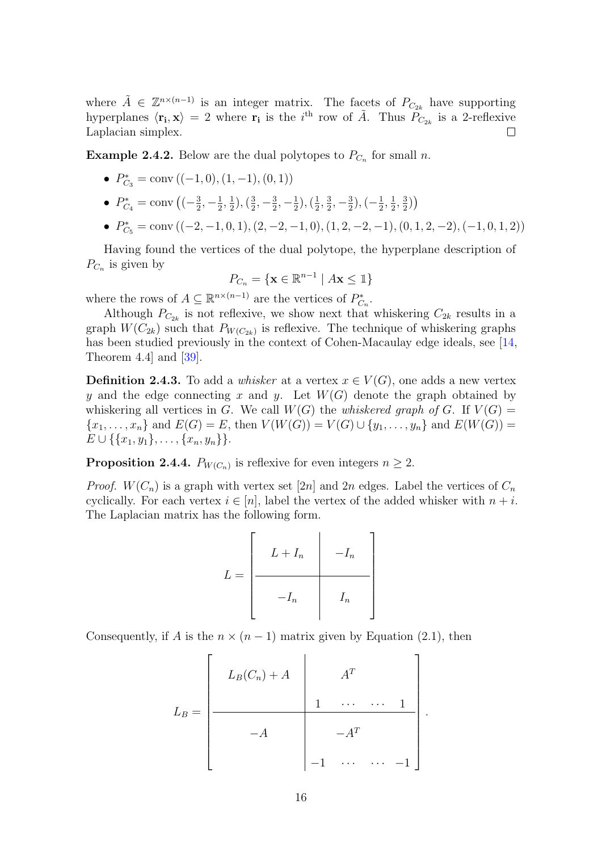where  $\tilde{A} \in \mathbb{Z}^{n \times (n-1)}$  is an integer matrix. The facets of  $P_{C_{2k}}$  have supporting hyperplanes  $\langle \mathbf{r_i}, \mathbf{x} \rangle = 2$  where  $\mathbf{r_i}$  is the i<sup>th</sup> row of  $\tilde{A}$ . Thus  $P_{C_{2k}}$  is a 2-reflexive Laplacian simplex.  $\Box$ 

**Example 2.4.2.** Below are the dual polytopes to  $P_{C_n}$  for small n.

- $P_{C_3}^* = \text{conv}((-1,0), (1,-1), (0,1))$
- $P_{C_4}^* = \text{conv}\left((-\frac{3}{2})\right)$  $\frac{3}{2}, -\frac{1}{2}$  $\frac{1}{2}, \frac{1}{2}$  $(\frac{1}{2}), (\frac{3}{2})$  $\frac{3}{2}, -\frac{3}{2}$  $\frac{3}{2}, -\frac{1}{2}$  $(\frac{1}{2}), (\frac{1}{2})$  $\frac{1}{2}, \frac{3}{2}$  $\frac{3}{2}, -\frac{3}{2}$  $(\frac{3}{2}), (-\frac{1}{2})$  $\frac{1}{2}, \frac{1}{2}$  $\frac{1}{2}, \frac{3}{2}$  $\frac{3}{2})$
- $P_{C_5}^* = \text{conv}\left( (-2, -1, 0, 1), (2, -2, -1, 0), (1, 2, -2, -1), (0, 1, 2, -2), (-1, 0, 1, 2) \right)$

Having found the vertices of the dual polytope, the hyperplane description of  $P_{C_n}$  is given by

$$
P_{C_n} = \{ \mathbf{x} \in \mathbb{R}^{n-1} \mid A\mathbf{x} \le \mathbb{1} \}
$$

where the rows of  $A \subseteq \mathbb{R}^{n \times (n-1)}$  are the vertices of  $P_{C_n}^*$ .

Although  $P_{C_{2k}}$  is not reflexive, we show next that whiskering  $C_{2k}$  results in a graph  $W(C_{2k})$  such that  $P_{W(C_{2k})}$  is reflexive. The technique of whiskering graphs has been studied previously in the context of Cohen-Macaulay edge ideals, see [\[14,](#page-57-11) Theorem 4.4] and [\[39\]](#page-59-9).

<span id="page-23-1"></span>**Definition 2.4.3.** To add a *whisker* at a vertex  $x \in V(G)$ , one adds a new vertex y and the edge connecting x and y. Let  $W(G)$  denote the graph obtained by whiskering all vertices in G. We call  $W(G)$  the whiskered graph of G. If  $V(G)$  =  $\{x_1, \ldots, x_n\}$  and  $E(G) = E$ , then  $V(W(G)) = V(G) \cup \{y_1, \ldots, y_n\}$  and  $E(W(G)) =$  $E \cup \{\{x_1, y_1\}, \ldots, \{x_n, y_n\}\}.$ 

<span id="page-23-0"></span>**Proposition 2.4.4.**  $P_{W(C_n)}$  is reflexive for even integers  $n \geq 2$ .

*Proof.*  $W(C_n)$  is a graph with vertex set [2n] and 2n edges. Label the vertices of  $C_n$ cyclically. For each vertex  $i \in [n]$ , label the vertex of the added whisker with  $n + i$ . The Laplacian matrix has the following form.

$$
L = \begin{bmatrix} L + I_n & -I_n \\ \hline & -I_n & I_n \end{bmatrix}
$$

Consequently, if A is the  $n \times (n-1)$  matrix given by Equation [\(2.1\)](#page-16-1), then

Ē

$$
L_B = \begin{bmatrix} L_B(C_n) + A & A^T & & \\ & 1 & \cdots & \cdots & 1 \\ & & -A & & -A^T \\ & & & -1 & \cdots & \cdots & -1 \end{bmatrix}
$$

.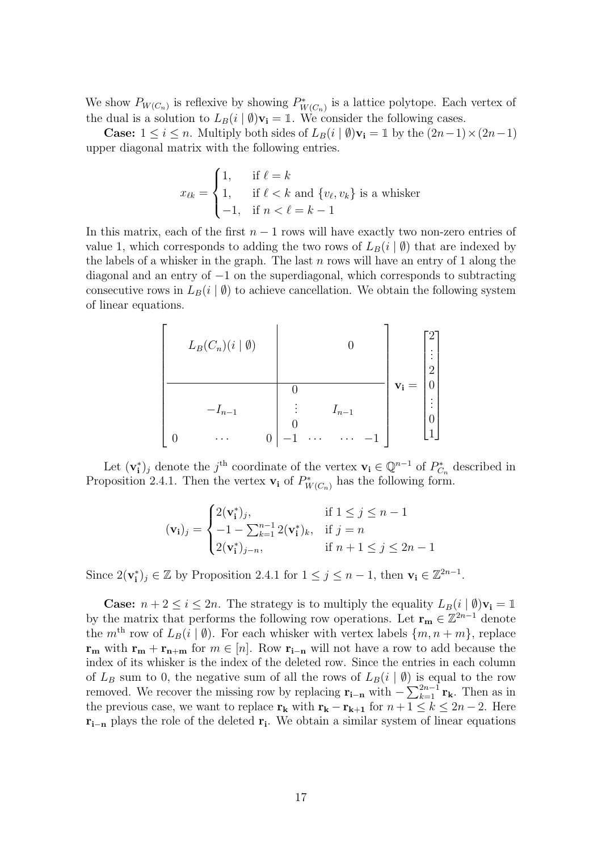We show  $P_{W(C_n)}$  is reflexive by showing  $P^*_{W(C_n)}$  is a lattice polytope. Each vertex of the dual is a solution to  $L_B(i | \emptyset)$ **v**<sub>i</sub> = 1. We consider the following cases.

**Case:**  $1 \le i \le n$ . Multiply both sides of  $L_B(i | ∅)$ **v**<sub>i</sub> =  $1 ∥$  by the  $(2n-1) × (2n-1)$ upper diagonal matrix with the following entries.

$$
x_{\ell k} = \begin{cases} 1, & \text{if } \ell = k \\ 1, & \text{if } \ell < k \text{ and } \{v_{\ell}, v_k\} \text{ is a whisker} \\ -1, & \text{if } n < \ell = k - 1 \end{cases}
$$

In this matrix, each of the first  $n - 1$  rows will have exactly two non-zero entries of value 1, which corresponds to adding the two rows of  $L_B(i | \emptyset)$  that are indexed by the labels of a whisker in the graph. The last  $n$  rows will have an entry of 1 along the diagonal and an entry of −1 on the superdiagonal, which corresponds to subtracting consecutive rows in  $L_B(i | \emptyset)$  to achieve cancellation. We obtain the following system of linear equations.

$$
L_B(C_n)(i | \emptyset)
$$
\n
$$
-I_{n-1}
$$
\n
$$
0
$$
\n
$$
0
$$
\n
$$
-I_{n-1}
$$
\n
$$
0
$$
\n
$$
0
$$
\n
$$
0
$$
\n
$$
0
$$
\n
$$
0
$$
\n
$$
0
$$
\n
$$
0
$$
\n
$$
0
$$
\n
$$
0
$$
\n
$$
0
$$
\n
$$
0
$$
\n
$$
0
$$
\n
$$
0
$$
\n
$$
0
$$
\n
$$
0
$$
\n
$$
0
$$
\n
$$
0
$$
\n
$$
0
$$
\n
$$
0
$$
\n
$$
0
$$
\n
$$
0
$$
\n
$$
0
$$
\n
$$
0
$$
\n
$$
0
$$
\n
$$
0
$$
\n
$$
0
$$
\n
$$
0
$$
\n
$$
0
$$
\n
$$
0
$$
\n
$$
0
$$
\n
$$
0
$$
\n
$$
0
$$
\n
$$
0
$$
\n
$$
0
$$
\n
$$
0
$$
\n
$$
0
$$
\n
$$
0
$$
\n
$$
0
$$
\n
$$
0
$$
\n
$$
0
$$
\n
$$
0
$$
\n
$$
0
$$
\n
$$
0
$$
\n
$$
0
$$
\n
$$
0
$$
\n
$$
0
$$
\n
$$
0
$$
\n
$$
0
$$
\n
$$
0
$$
\n
$$
0
$$
\n
$$
0
$$
\n
$$
0
$$
\n
$$
0
$$
\n
$$
0
$$
\n
$$
0
$$
\n
$$
0
$$
\n
$$
0
$$
\n
$$
0
$$
\n
$$
0
$$
\n
$$
0
$$
\n
$$
0
$$
\n
$$
0
$$
\n
$$
0
$$

Let  $(\mathbf{v}_i^*)_j$  denote the j<sup>th</sup> coordinate of the vertex  $\mathbf{v}_i \in \mathbb{Q}^{n-1}$  of  $P^*_{C_n}$  described in Proposition [2.4.1.](#page-22-1) Then the vertex  $\mathbf{v}_i$  of  $P^*_{W(C_n)}$  has the following form.

$$
(\mathbf{v_i})_j = \begin{cases} 2(\mathbf{v_i^*})_j, & \text{if } 1 \le j \le n - 1 \\ -1 - \sum_{k=1}^{n-1} 2(\mathbf{v_i^*})_k, & \text{if } j = n \\ 2(\mathbf{v_i^*})_{j-n}, & \text{if } n + 1 \le j \le 2n - 1 \end{cases}
$$

Since  $2(\mathbf{v_i^*})_j \in \mathbb{Z}$  by Proposition [2.4.1](#page-22-1) for  $1 \leq j \leq n-1$ , then  $\mathbf{v_i} \in \mathbb{Z}^{2n-1}$ .

**Case:**  $n + 2 \leq i \leq 2n$ . The strategy is to multiply the equality  $L_B(i | \emptyset) \mathbf{v_i} = \mathbb{1}$ by the matrix that performs the following row operations. Let  $\mathbf{r}_{\mathbf{m}} \in \mathbb{Z}^{2n-1}$  denote the  $m<sup>th</sup>$  row of  $L_B(i | \emptyset)$ . For each whisker with vertex labels  $\{m, n + m\}$ , replace  $\mathbf{r}_{\mathbf{m}}$  with  $\mathbf{r}_{\mathbf{m}} + \mathbf{r}_{\mathbf{n}+\mathbf{m}}$  for  $m \in [n]$ . Row  $\mathbf{r}_{\mathbf{i}-\mathbf{n}}$  will not have a row to add because the index of its whisker is the index of the deleted row. Since the entries in each column of  $L_B$  sum to 0, the negative sum of all the rows of  $L_B(i | \emptyset)$  is equal to the row removed. We recover the missing row by replacing  $\mathbf{r}_{\mathbf{i}-\mathbf{n}}$  with  $-\sum_{k=1}^{2n-1} \mathbf{r}_{\mathbf{k}}$ . Then as in the previous case, we want to replace  $\mathbf{r}_k$  with  $\mathbf{r}_k - \mathbf{r}_{k+1}$  for  $n+1 \leq k \leq 2n-2$ . Here  $r_{i-n}$  plays the role of the deleted  $r_i$ . We obtain a similar system of linear equations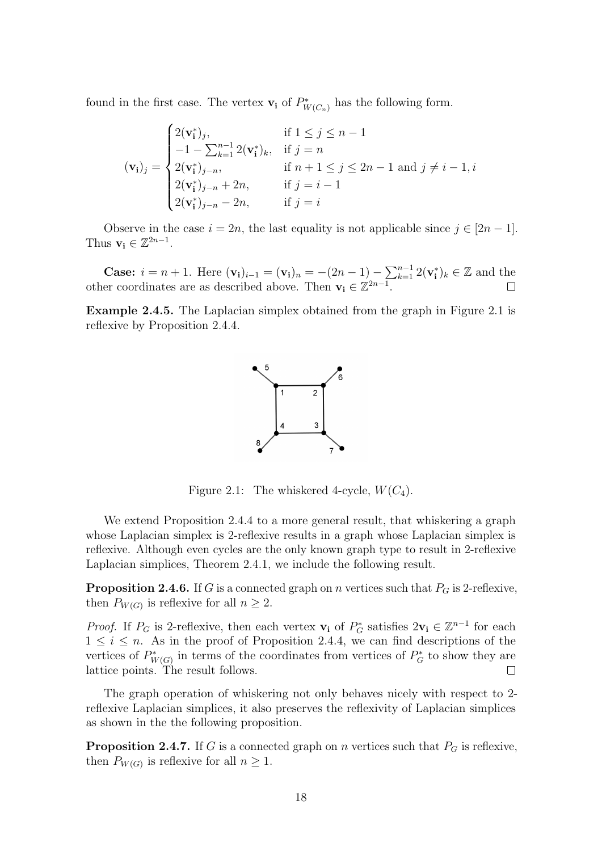found in the first case. The vertex  $\mathbf{v_i}$  of  $P^*_{W(C_n)}$  has the following form.

$$
(\mathbf{v}_{\mathbf{i}})_j = \begin{cases} 2(\mathbf{v}_{\mathbf{i}}^*)_j, & \text{if } 1 \le j \le n-1 \\ -1 - \sum_{k=1}^{n-1} 2(\mathbf{v}_{\mathbf{i}}^*)_k, & \text{if } j = n \\ 2(\mathbf{v}_{\mathbf{i}}^*)_{j-n}, & \text{if } n+1 \le j \le 2n-1 \text{ and } j \ne i-1, i \\ 2(\mathbf{v}_{\mathbf{i}}^*)_{j-n} + 2n, & \text{if } j = i-1 \\ 2(\mathbf{v}_{\mathbf{i}}^*)_{j-n} - 2n, & \text{if } j = i \end{cases}
$$

Observe in the case  $i = 2n$ , the last equality is not applicable since  $j \in [2n-1]$ . Thus  $\mathbf{v_i} \in \mathbb{Z}^{2n-1}$ .

**Case:**  $i = n + 1$ . Here  $(v_i)_{i-1} = (v_i)_n = -(2n - 1) - \sum_{k=1}^{n-1} 2(v_i^*)_k \in \mathbb{Z}$  and the other coordinates are as described above. Then  $\mathbf{v_i} \in \mathbb{Z}^{2n-1}$ .

<span id="page-25-0"></span>Example 2.4.5. The Laplacian simplex obtained from the graph in Figure [2.1](#page-25-0) is reflexive by Proposition [2.4.4.](#page-23-0)



Figure 2.1: The whiskered 4-cycle,  $W(C_4)$ .

We extend Proposition [2.4.4](#page-23-0) to a more general result, that whiskering a graph whose Laplacian simplex is 2-reflexive results in a graph whose Laplacian simplex is reflexive. Although even cycles are the only known graph type to result in 2-reflexive Laplacian simplices, Theorem [2.4.1,](#page-22-1) we include the following result.

**Proposition 2.4.6.** If G is a connected graph on n vertices such that  $P_G$  is 2-reflexive, then  $P_{W(G)}$  is reflexive for all  $n \geq 2$ .

*Proof.* If  $P_G$  is 2-reflexive, then each vertex  $\mathbf{v}_i$  of  $P_G^*$  satisfies  $2\mathbf{v}_i \in \mathbb{Z}^{n-1}$  for each  $1 \leq i \leq n$ . As in the proof of Proposition [2.4.4,](#page-23-0) we can find descriptions of the vertices of  $P^*_{W(G)}$  in terms of the coordinates from vertices of  $P^*_G$  to show they are lattice points. The result follows.  $\Box$ 

The graph operation of whiskering not only behaves nicely with respect to 2 reflexive Laplacian simplices, it also preserves the reflexivity of Laplacian simplices as shown in the the following proposition.

**Proposition 2.4.7.** If G is a connected graph on n vertices such that  $P_G$  is reflexive, then  $P_{W(G)}$  is reflexive for all  $n \geq 1$ .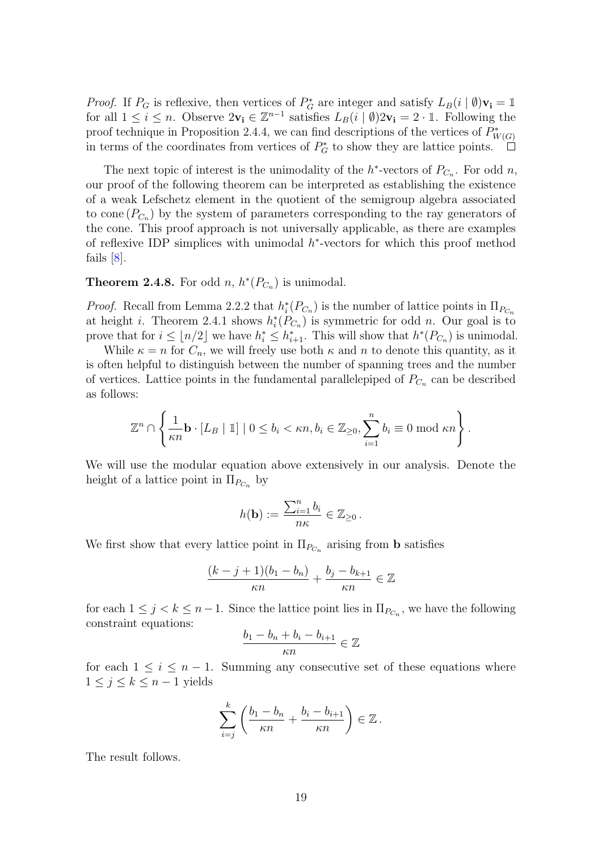*Proof.* If  $P_G$  is reflexive, then vertices of  $P_G^*$  are integer and satisfy  $L_B(i | \emptyset)$ **v**<sub>i</sub> = 1 for all  $1 \leq i \leq n$ . Observe  $2v_i \in \mathbb{Z}^{n-1}$  satisfies  $L_B(i \mid \emptyset)2v_i = 2 \cdot \mathbb{1}$ . Following the proof technique in Proposition [2.4.4,](#page-23-0) we can find descriptions of the vertices of  $P^*_{W(G)}$ in terms of the coordinates from vertices of  $P_G^*$  to show they are lattice points.  $\Box$ 

The next topic of interest is the unimodality of the  $h^*$ -vectors of  $P_{C_n}$ . For odd n, our proof of the following theorem can be interpreted as establishing the existence of a weak Lefschetz element in the quotient of the semigroup algebra associated to cone  $(P_{C_n})$  by the system of parameters corresponding to the ray generators of the cone. This proof approach is not universally applicable, as there are examples of reflexive IDP simplices with unimodal  $h^*$ -vectors for which this proof method fails  $|8|$ .

## <span id="page-26-0"></span>**Theorem 2.4.8.** For odd  $n, h^*(P_{C_n})$  is unimodal.

*Proof.* Recall from Lemma [2.2.2](#page-19-1) that  $h_i^*(P_{C_n})$  is the number of lattice points in  $\Pi_{P_{C_n}}$ at height *i*. Theorem [2.4.1](#page-22-1) shows  $h_i^*(P_{C_n})$  is symmetric for odd *n*. Our goal is to prove that for  $i \leq \lfloor n/2 \rfloor$  we have  $h_i^* \leq h_{i+1}^*$ . This will show that  $h^*(P_{C_n})$  is unimodal.

While  $\kappa = n$  for  $C_n$ , we will freely use both  $\kappa$  and  $n$  to denote this quantity, as it is often helpful to distinguish between the number of spanning trees and the number of vertices. Lattice points in the fundamental parallelepiped of  $P_{C_n}$  can be described as follows:

$$
\mathbb{Z}^n \cap \left\{ \frac{1}{\kappa n} \mathbf{b} \cdot [L_B \mid \mathbb{1}] \mid 0 \leq b_i < \kappa n, b_i \in \mathbb{Z}_{\geq 0}, \sum_{i=1}^n b_i \equiv 0 \bmod \kappa n \right\}.
$$

We will use the modular equation above extensively in our analysis. Denote the height of a lattice point in  $\Pi_{P_{C_n}}$  by

$$
h(\mathbf{b}) := \frac{\sum_{i=1}^n b_i}{n\kappa} \in \mathbb{Z}_{\geq 0}.
$$

We first show that every lattice point in  $\Pi_{P_{C_n}}$  arising from **b** satisfies

$$
\frac{(k-j+1)(b_1-b_n)}{\kappa n} + \frac{b_j-b_{k+1}}{\kappa n} \in \mathbb{Z}
$$

for each  $1 \leq j < k \leq n-1$ . Since the lattice point lies in  $\Pi_{P_{C_n}}$ , we have the following constraint equations:

$$
\frac{b_1 - b_n + b_i - b_{i+1}}{\kappa n} \in \mathbb{Z}
$$

for each  $1 \leq i \leq n-1$ . Summing any consecutive set of these equations where  $1 \leq j \leq k \leq n-1$  yields

$$
\sum_{i=j}^k \left( \frac{b_1 - b_n}{\kappa n} + \frac{b_i - b_{i+1}}{\kappa n} \right) \in \mathbb{Z} \, .
$$

The result follows.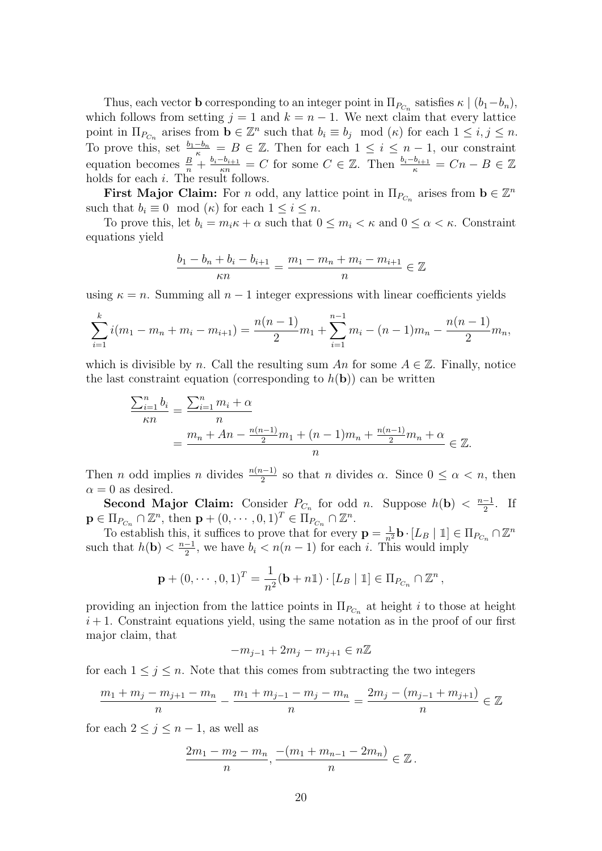Thus, each vector **b** corresponding to an integer point in  $\Pi_{P_{C_n}}$  satisfies  $\kappa \mid (b_1-b_n)$ , which follows from setting  $j = 1$  and  $k = n - 1$ . We next claim that every lattice point in  $\Pi_{P_{C_n}}$  arises from  $\mathbf{b} \in \mathbb{Z}^n$  such that  $b_i \equiv b_j \mod(\kappa)$  for each  $1 \leq i, j \leq n$ . To prove this, set  $\frac{b_1-b_n}{\kappa} = B \in \mathbb{Z}$ . Then for each  $1 \leq i \leq n-1$ , our constraint equation becomes  $\frac{B}{n} + \frac{b_i - b_{i+1}}{\kappa n} = C$  for some  $C \in \mathbb{Z}$ . Then  $\frac{b_i - b_{i+1}}{\kappa} = Cn - B \in \mathbb{Z}$ holds for each  $i$ . The result follows.

First Major Claim: For n odd, any lattice point in  $\Pi_{P_{C_n}}$  arises from  $\mathbf{b} \in \mathbb{Z}^n$ such that  $b_i \equiv 0 \mod(\kappa)$  for each  $1 \leq i \leq n$ .

To prove this, let  $b_i = m_i \kappa + \alpha$  such that  $0 \leq m_i < \kappa$  and  $0 \leq \alpha < \kappa$ . Constraint equations yield

$$
\frac{b_1 - b_n + b_i - b_{i+1}}{\kappa n} = \frac{m_1 - m_n + m_i - m_{i+1}}{n} \in \mathbb{Z}
$$

using  $\kappa = n$ . Summing all  $n - 1$  integer expressions with linear coefficients yields

$$
\sum_{i=1}^{k} i(m_1 - m_n + m_i - m_{i+1}) = \frac{n(n-1)}{2}m_1 + \sum_{i=1}^{n-1} m_i - (n-1)m_n - \frac{n(n-1)}{2}m_n,
$$

which is divisible by n. Call the resulting sum An for some  $A \in \mathbb{Z}$ . Finally, notice the last constraint equation (corresponding to  $h(\mathbf{b})$ ) can be written

$$
\frac{\sum_{i=1}^{n} b_i}{\kappa n} = \frac{\sum_{i=1}^{n} m_i + \alpha}{n}
$$
  
= 
$$
\frac{m_n + An - \frac{n(n-1)}{2}m_1 + (n-1)m_n + \frac{n(n-1)}{2}m_n + \alpha}{n} \in \mathbb{Z}.
$$

Then *n* odd implies *n* divides  $\frac{n(n-1)}{2}$  so that *n* divides  $\alpha$ . Since  $0 \leq \alpha < n$ , then  $\alpha = 0$  as desired.

Second Major Claim: Consider  $P_{C_n}$  for odd n. Suppose  $h(\mathbf{b}) < \frac{n-1}{2}$  $\frac{-1}{2}$ . If  $\mathbf{p} \in \Pi_{P_{C_n}} \cap \mathbb{Z}^n$ , then  $\mathbf{p} + (0, \dots, 0, 1)^T \in \Pi_{P_{C_n}} \cap \mathbb{Z}^n$ .

To establish this, it suffices to prove that for every  $\mathbf{p} = \frac{1}{n^2} \mathbf{b} \cdot [L_B | \mathbb{1}] \in \Pi_{P_{C_n}} \cap \mathbb{Z}^n$ such that  $h(\mathbf{b}) < \frac{n-1}{2}$  $\frac{-1}{2}$ , we have  $b_i < n(n-1)$  for each *i*. This would imply

$$
\mathbf{p} + (0, \cdots, 0, 1)^T = \frac{1}{n^2}(\mathbf{b} + n\mathbb{1}) \cdot [L_B | \mathbb{1}] \in \Pi_{P_{C_n}} \cap \mathbb{Z}^n,
$$

providing an injection from the lattice points in  $\Pi_{P_{C_n}}$  at height i to those at height  $i+1$ . Constraint equations yield, using the same notation as in the proof of our first major claim, that

$$
-m_{j-1}+2m_j-m_{j+1}\in n\mathbb{Z}
$$

for each  $1 \leq j \leq n$ . Note that this comes from subtracting the two integers

$$
\frac{m_1 + m_j - m_{j+1} - m_n}{n} - \frac{m_1 + m_{j-1} - m_j - m_n}{n} = \frac{2m_j - (m_{j-1} + m_{j+1})}{n} \in \mathbb{Z}
$$

for each  $2 \leq j \leq n-1$ , as well as

$$
\frac{2m_1 - m_2 - m_n}{n}, \frac{-(m_1 + m_{n-1} - 2m_n)}{n} \in \mathbb{Z}.
$$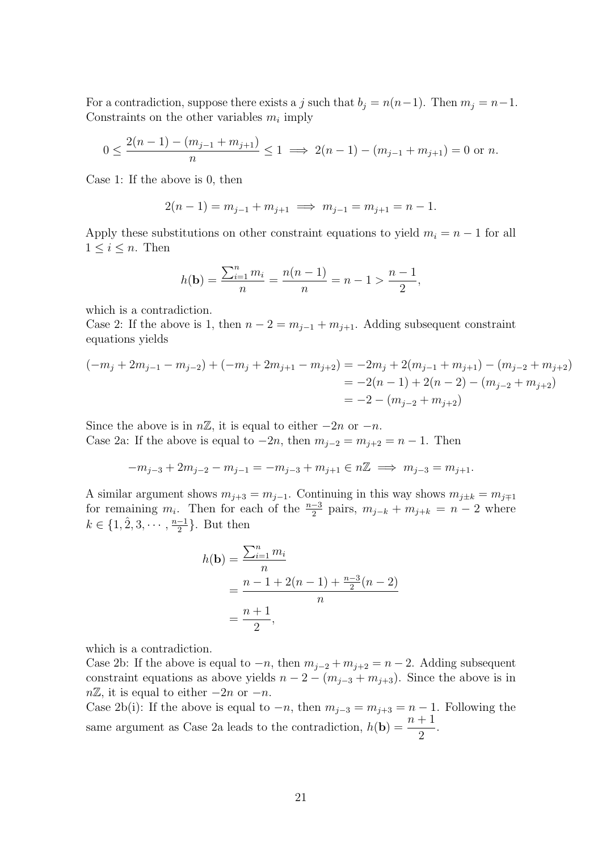For a contradiction, suppose there exists a j such that  $b_j = n(n-1)$ . Then  $m_j = n-1$ . Constraints on the other variables  $m_i$  imply

$$
0 \le \frac{2(n-1) - (m_{j-1} + m_{j+1})}{n} \le 1 \implies 2(n-1) - (m_{j-1} + m_{j+1}) = 0 \text{ or } n.
$$

Case 1: If the above is 0, then

$$
2(n-1) = m_{j-1} + m_{j+1} \implies m_{j-1} = m_{j+1} = n-1.
$$

Apply these substitutions on other constraint equations to yield  $m_i = n - 1$  for all  $1 \leq i \leq n$ . Then

$$
h(\mathbf{b}) = \frac{\sum_{i=1}^{n} m_i}{n} = \frac{n(n-1)}{n} = n - 1 > \frac{n-1}{2},
$$

which is a contradiction.

Case 2: If the above is 1, then  $n-2 = m_{i-1} + m_{i+1}$ . Adding subsequent constraint equations yields

$$
(-m_j + 2m_{j-1} - m_{j-2}) + (-m_j + 2m_{j+1} - m_{j+2}) = -2m_j + 2(m_{j-1} + m_{j+1}) - (m_{j-2} + m_{j+2})
$$
  
= -2(n - 1) + 2(n - 2) - (m\_{j-2} + m\_{j+2})  
= -2 - (m\_{j-2} + m\_{j+2})

Since the above is in  $n\mathbb{Z}$ , it is equal to either  $-2n$  or  $-n$ . Case 2a: If the above is equal to  $-2n$ , then  $m_{j-2} = m_{j+2} = n-1$ . Then

$$
-m_{j-3}+2m_{j-2}-m_{j-1}=-m_{j-3}+m_{j+1}\in n\mathbb{Z} \implies m_{j-3}=m_{j+1}.
$$

A similar argument shows  $m_{i+3} = m_{i-1}$ . Continuing in this way shows  $m_{i\pm k} = m_{i\mp 1}$ for remaining  $m_i$ . Then for each of the  $\frac{n-3}{2}$  pairs,  $m_{j-k} + m_{j+k} = n-2$  where  $k \in \{1, 2, 3, \cdots, \frac{n-1}{2}\}$  $\frac{-1}{2}$ . But then

$$
h(\mathbf{b}) = \frac{\sum_{i=1}^{n} m_i}{n}
$$
  
= 
$$
\frac{n-1+2(n-1)+\frac{n-3}{2}(n-2)}{n}
$$
  
= 
$$
\frac{n+1}{2},
$$

which is a contradiction.

Case 2b: If the above is equal to  $-n$ , then  $m_{j-2} + m_{j+2} = n-2$ . Adding subsequent constraint equations as above yields  $n - 2 - (m_{j-3} + m_{j+3})$ . Since the above is in  $n\mathbb{Z}$ , it is equal to either  $-2n$  or  $-n$ .

Case 2b(i): If the above is equal to  $-n$ , then  $m_{j-3} = m_{j+3} = n-1$ . Following the same argument as Case 2a leads to the contradiction,  $h(\mathbf{b}) = \frac{n+1}{2}$ 2 .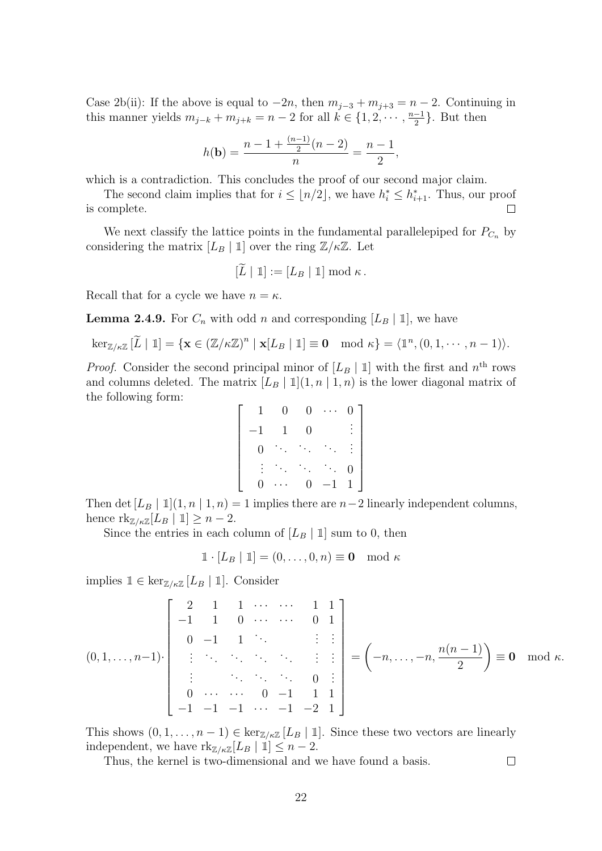Case 2b(ii): If the above is equal to  $-2n$ , then  $m_{j-3} + m_{j+3} = n-2$ . Continuing in this manner yields  $m_{j-k} + m_{j+k} = n-2$  for all  $k \in \{1, 2, \dots, \frac{n-1}{2}\}$  $\frac{-1}{2}$ . But then

$$
h(\mathbf{b}) = \frac{n - 1 + \frac{(n-1)}{2}(n-2)}{n} = \frac{n-1}{2},
$$

which is a contradiction. This concludes the proof of our second major claim.

The second claim implies that for  $i \leq \lfloor n/2 \rfloor$ , we have  $h_i^* \leq h_{i+1}^*$ . Thus, our proof  $\Box$ is complete.

We next classify the lattice points in the fundamental parallelepiped for  $P_{C_n}$  by considering the matrix  $[L_B | 1]$  over the ring  $\mathbb{Z}/\kappa\mathbb{Z}$ . Let

$$
[\widetilde{L} \mid \mathbb{1}] := [L_B \mid \mathbb{1}] \bmod \kappa.
$$

Recall that for a cycle we have  $n = \kappa$ .

<span id="page-29-0"></span>**Lemma 2.4.9.** For  $C_n$  with odd n and corresponding  $[L_B | 1]$ , we have

$$
\ker_{\mathbb{Z}/\kappa\mathbb{Z}}\left[\widetilde{L}\mid\mathbb{1}\right]=\{\mathbf{x}\in\left(\mathbb{Z}/\kappa\mathbb{Z}\right)^n\mid\mathbf{x}[L_B\mid\mathbb{1}]\equiv\mathbf{0}\mod\kappa\}=\langle\mathbb{1}^n,(0,1,\cdots,n-1)\rangle.
$$

*Proof.* Consider the second principal minor of  $[L_B | 1]$  with the first and  $n<sup>th</sup>$  rows and columns deleted. The matrix  $[L_B | 1](1, n | 1, n)$  is the lower diagonal matrix of the following form:

$$
\begin{bmatrix} 1 & 0 & 0 & \cdots & 0 \\ -1 & 1 & 0 & & \vdots \\ 0 & \ddots & \ddots & \ddots & \vdots \\ \vdots & \ddots & \ddots & \ddots & 0 \\ 0 & \cdots & 0 & -1 & 1 \end{bmatrix}
$$

Then det  $[L_B | 1](1, n | 1, n) = 1$  implies there are  $n-2$  linearly independent columns, hence  $\text{rk}_{\mathbb{Z}/\kappa\mathbb{Z}}[L_B | \mathbb{1}] \geq n-2$ .

Since the entries in each column of  $[L_B | 1]$  sum to 0, then

$$
\mathbb{1} \cdot [L_B | \mathbb{1}] = (0, \dots, 0, n) \equiv \mathbf{0} \mod \kappa
$$

implies  $\mathbb{1} \in \ker_{\mathbb{Z}/\kappa \mathbb{Z}}[L_B | \mathbb{1}].$  Consider

$$
(0,1,\ldots,n-1)\cdot\begin{bmatrix}2&1&1&\cdots&\cdots&1&1\\-1&1&0&\cdots&\cdots&0&1\\0&-1&1&\ddots&\vdots&\vdots\\ \vdots&\ddots&\ddots&\ddots&\ddots&0&\vdots\\0&\cdots&\cdots&0&-1&1&1\\-1&-1&-1&\cdots&-1&-2&1\end{bmatrix} = (-n,\ldots,-n,\frac{n(n-1)}{2}) \equiv \mathbf{0} \mod \kappa.
$$

 $\Box$ 

This shows  $(0, 1, \ldots, n-1) \in \ker_{\mathbb{Z}/\kappa\mathbb{Z}}[L_B | \mathbb{1}]$ . Since these two vectors are linearly independent, we have  $\text{rk}_{\mathbb{Z}/\kappa\mathbb{Z}}[L_B | \mathbb{1}] \leq n-2$ .

Thus, the kernel is two-dimensional and we have found a basis.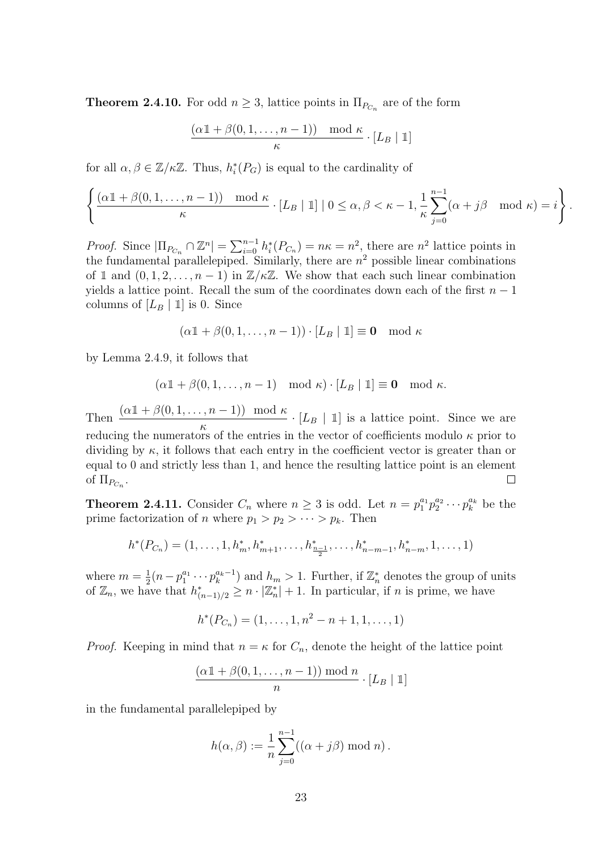<span id="page-30-1"></span>**Theorem 2.4.10.** For odd  $n \geq 3$ , lattice points in  $\Pi_{P_{C_n}}$  are of the form

$$
\frac{(\alpha 1 + \beta(0, 1, \dots, n-1)) \mod \kappa}{\kappa} \cdot [L_B | 1]
$$

for all  $\alpha, \beta \in \mathbb{Z}/\kappa\mathbb{Z}$ . Thus,  $h_i^*(P_G)$  is equal to the cardinality of

$$
\left\{ \frac{(\alpha 1 + \beta(0, 1, \dots, n-1)) \mod \kappa}{\kappa} \cdot [L_B | 1] \mid 0 \le \alpha, \beta < \kappa - 1, \frac{1}{\kappa} \sum_{j=0}^{n-1} (\alpha + j\beta \mod \kappa) = i \right\}.
$$

*Proof.* Since  $|\Pi_{P_{C_n}} \cap \mathbb{Z}^n| = \sum_{i=0}^{n-1} h_i^*(P_{C_n}) = n\kappa = n^2$ , there are  $n^2$  lattice points in the fundamental parallelepiped. Similarly, there are  $n^2$  possible linear combinations of 1 and  $(0, 1, 2, \ldots, n-1)$  in  $\mathbb{Z}/\kappa\mathbb{Z}$ . We show that each such linear combination yields a lattice point. Recall the sum of the coordinates down each of the first  $n-1$ columns of  $[L_B | 1]$  is 0. Since

$$
(\alpha 1 + \beta(0, 1, \dots, n-1)) \cdot [L_B | 1] \equiv 0 \mod \kappa
$$

by Lemma [2.4.9,](#page-29-0) it follows that

$$
(\alpha 1\!\!1 + \beta(0, 1, \ldots, n-1) \mod \kappa) \cdot [L_B | 1] \equiv 0 \mod \kappa.
$$

Then  $\frac{(\alpha 1 + \beta(0, 1, \dots, n-1)) \mod \kappa}{\alpha}$  $\frac{(\cdot, n-1)}{\kappa}$   $\cdot$  [L<sub>B</sub> | 1] is a lattice point. Since we are reducing the numerators of the entries in the vector of coefficients modulo  $\kappa$  prior to dividing by  $\kappa$ , it follows that each entry in the coefficient vector is greater than or equal to 0 and strictly less than 1, and hence the resulting lattice point is an element of  $\Pi_{P_{C_n}}$ .  $\Box$ 

<span id="page-30-0"></span>**Theorem 2.4.11.** Consider  $C_n$  where  $n \geq 3$  is odd. Let  $n = p_1^{a_1} p_2^{a_2} \cdots p_k^{a_k}$  be the prime factorization of *n* where  $p_1 > p_2 > \cdots > p_k$ . Then

$$
h^*(P_{C_n}) = (1, \ldots, 1, h_m^*, h_{m+1}^*, \ldots, h_{\frac{n-1}{2}}^*, \ldots, h_{n-m-1}^*, h_{n-m}^*, 1, \ldots, 1)
$$

where  $m=\frac{1}{2}$  $\frac{1}{2}(n-p_1^{a_1}\cdots p_k^{a_k-1})$  and  $h_m>1$ . Further, if  $\mathbb{Z}_n^*$  denotes the group of units of  $\mathbb{Z}_n$ , we have that  $h^*_{(n-1)/2} \geq n \cdot |\mathbb{Z}_n^*| + 1$ . In particular, if n is prime, we have

$$
h^*(P_{C_n}) = (1, \ldots, 1, n^2 - n + 1, 1, \ldots, 1)
$$

*Proof.* Keeping in mind that  $n = \kappa$  for  $C_n$ , denote the height of the lattice point

$$
\frac{(\alpha 1 + \beta(0, 1, \dots, n-1)) \bmod n}{n} \cdot [L_B | 1]
$$

in the fundamental parallelepiped by

$$
h(\alpha, \beta) := \frac{1}{n} \sum_{j=0}^{n-1} ((\alpha + j\beta) \bmod n).
$$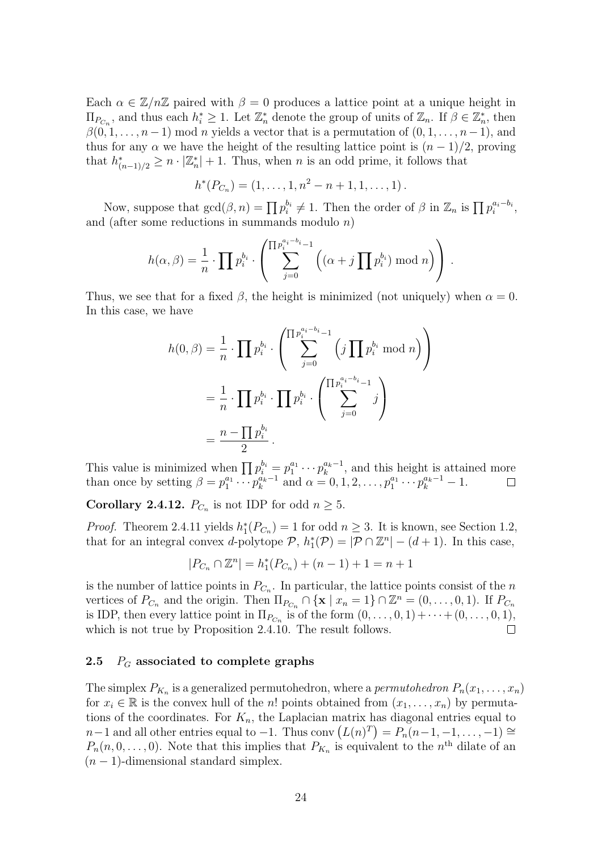Each  $\alpha \in \mathbb{Z}/n\mathbb{Z}$  paired with  $\beta = 0$  produces a lattice point at a unique height in  $\Pi_{P_{C_n}}$ , and thus each  $h_i^* \geq 1$ . Let  $\mathbb{Z}_n^*$  denote the group of units of  $\mathbb{Z}_n$ . If  $\beta \in \mathbb{Z}_n^*$ , then  $\beta(0,1,\ldots,n-1)$  mod n yields a vector that is a permutation of  $(0,1,\ldots,n-1)$ , and thus for any  $\alpha$  we have the height of the resulting lattice point is  $(n-1)/2$ , proving that  $h^*_{(n-1)/2} \geq n \cdot |\mathbb{Z}_n^*| + 1$ . Thus, when n is an odd prime, it follows that

$$
h^*(P_{C_n})=(1,\ldots,1,n^2-n+1,1,\ldots,1).
$$

Now, suppose that  $gcd(\beta, n) = \prod p_i^{b_i} \neq 1$ . Then the order of  $\beta$  in  $\mathbb{Z}_n$  is  $\prod p_i^{a_i - b_i}$ , and (after some reductions in summands modulo  $n$ )

$$
h(\alpha, \beta) = \frac{1}{n} \cdot \prod p_i^{b_i} \cdot \left( \sum_{j=0}^{\prod p_i^{a_i - b_i} - 1} \left( (\alpha + j \prod p_i^{b_i}) \bmod n \right) \right).
$$

Thus, we see that for a fixed  $\beta$ , the height is minimized (not uniquely) when  $\alpha = 0$ . In this case, we have

$$
h(0, \beta) = \frac{1}{n} \cdot \prod p_i^{b_i} \cdot \left( \sum_{j=0}^{\prod p_i^{a_i - b_i} - 1} \left( j \prod p_i^{b_i} \mod n \right) \right)
$$
  
=  $\frac{1}{n} \cdot \prod p_i^{b_i} \cdot \prod p_i^{b_i} \cdot \left( \sum_{j=0}^{\prod p_i^{a_i - b_i} - 1} j \right)$   
=  $\frac{n - \prod p_i^{b_i}}{2}$ .

This value is minimized when  $\prod p_i^{b_i} = p_1^{a_1} \cdots p_k^{a_k-1}$ , and this height is attained more than once by setting  $\beta = p_1^{a_1} \cdots p_k^{a_k-1}$  and  $\alpha = 0, 1, 2, \ldots, p_1^{a_1} \cdots p_k^{a_k-1} - 1$ .

<span id="page-31-1"></span>**Corollary 2.4.12.**  $P_{C_n}$  is not IDP for odd  $n \geq 5$ .

*Proof.* Theorem [2.4.11](#page-30-0) yields  $h_1^*(P_{C_n}) = 1$  for odd  $n \geq 3$ . It is known, see Section [1.2,](#page-11-0) that for an integral convex *d*-polytope  $P$ ,  $h_1^*(P) = |P \cap \mathbb{Z}^n| - (d+1)$ . In this case,

$$
|P_{C_n} \cap \mathbb{Z}^n| = h_1^*(P_{C_n}) + (n-1) + 1 = n+1
$$

is the number of lattice points in  $P_{C_n}$ . In particular, the lattice points consist of the n vertices of  $P_{C_n}$  and the origin. Then  $\Pi_{P_{C_n}} \cap {\mathbf{x} \mid x_n = 1} \cap \mathbb{Z}^n = (0, \ldots, 0, 1)$ . If  $P_{C_n}$ is IDP, then every lattice point in  $\Pi_{P_{C_n}}$  is of the form  $(0, \ldots, 0, 1) + \cdots + (0, \ldots, 0, 1)$ , which is not true by Proposition [2.4.10.](#page-30-1) The result follows.  $\Box$ 

### <span id="page-31-0"></span>2.5  $P_G$  associated to complete graphs

The simplex  $P_{K_n}$  is a generalized permutohedron, where a *permutohedron*  $P_n(x_1, \ldots, x_n)$ for  $x_i \in \mathbb{R}$  is the convex hull of the n! points obtained from  $(x_1, \ldots, x_n)$  by permutations of the coordinates. For  $K_n$ , the Laplacian matrix has diagonal entries equal to  $n-1$  and all other entries equal to  $-1$ . Thus conv  $(L(n)^{T}) = P_n(n-1, -1, \ldots, -1) \cong$  $P_n(n,0,\ldots,0)$ . Note that this implies that  $P_{K_n}$  is equivalent to the  $n<sup>th</sup>$  dilate of an  $(n-1)$ -dimensional standard simplex.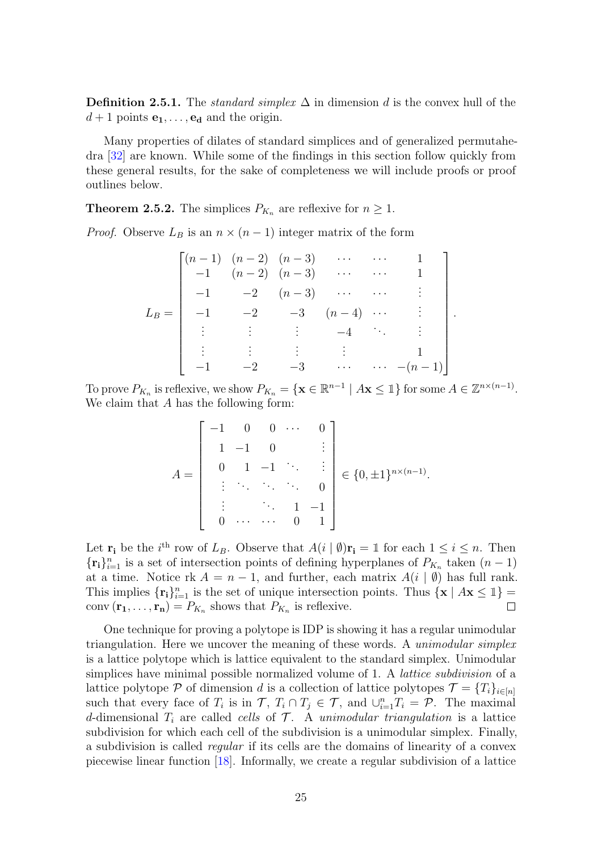**Definition 2.5.1.** The *standard simplex*  $\Delta$  in dimension d is the convex hull of the  $d+1$  points  $e_1, \ldots, e_d$  and the origin.

Many properties of dilates of standard simplices and of generalized permutahedra [\[32\]](#page-59-10) are known. While some of the findings in this section follow quickly from these general results, for the sake of completeness we will include proofs or proof outlines below.

<span id="page-32-0"></span>**Theorem 2.5.2.** The simplices  $P_{K_n}$  are reflexive for  $n \geq 1$ .

*Proof.* Observe  $L_B$  is an  $n \times (n-1)$  integer matrix of the form

$$
L_B = \begin{bmatrix} (n-1) & (n-2) & (n-3) & \cdots & \cdots & 1 \\ -1 & (n-2) & (n-3) & \cdots & \cdots & 1 \\ -1 & -2 & (n-3) & \cdots & \cdots & \vdots \\ -1 & -2 & -3 & (n-4) & \cdots & \vdots \\ \vdots & \vdots & \vdots & \ddots & \vdots \\ -1 & -2 & -3 & \cdots & \cdots & -(n-1) \end{bmatrix}
$$

.

To prove  $P_{K_n}$  is reflexive, we show  $P_{K_n} = \{ \mathbf{x} \in \mathbb{R}^{n-1} \mid A\mathbf{x} \leq 1 \}$  for some  $A \in \mathbb{Z}^{n \times (n-1)}$ . We claim that A has the following form:

$$
A = \begin{bmatrix} -1 & 0 & 0 & \cdots & 0 \\ 1 & -1 & 0 & & \vdots \\ 0 & 1 & -1 & \ddots & \vdots \\ \vdots & \ddots & \ddots & \ddots & 0 \\ \vdots & & \ddots & 1 & -1 \\ 0 & \cdots & \cdots & 0 & 1 \end{bmatrix} \in \{0, \pm 1\}^{n \times (n-1)}.
$$

Let  $\mathbf{r_i}$  be the i<sup>th</sup> row of  $L_B$ . Observe that  $A(i | \emptyset) \mathbf{r_i} = \mathbb{1}$  for each  $1 \leq i \leq n$ . Then  $\{\mathbf{r_i}\}_{i=1}^n$  is a set of intersection points of defining hyperplanes of  $P_{K_n}$  taken  $(n-1)$ at a time. Notice rk  $A = n - 1$ , and further, each matrix  $A(i | \emptyset)$  has full rank. This implies  $\{r_i\}_{i=1}^n$  is the set of unique intersection points. Thus  $\{x \mid Ax \leq 1\}$ conv $(\mathbf{r_1}, \dots, \mathbf{r_n}) = P_{K_n}$  shows that  $P_{K_n}$  is reflexive.  $\Box$ 

One technique for proving a polytope is IDP is showing it has a regular unimodular triangulation. Here we uncover the meaning of these words. A *unimodular simplex* is a lattice polytope which is lattice equivalent to the standard simplex. Unimodular simplices have minimal possible normalized volume of 1. A lattice subdivision of a lattice polytope P of dimension d is a collection of lattice polytopes  $\mathcal{T} = \{T_i\}_{i \in [n]}$ such that every face of  $T_i$  is in  $\mathcal{T}, T_i \cap T_j \in \mathcal{T}$ , and  $\cup_{i=1}^n T_i = \mathcal{P}$ . The maximal d-dimensional  $T_i$  are called cells of  $\mathcal T$ . A unimodular triangulation is a lattice subdivision for which each cell of the subdivision is a unimodular simplex. Finally, a subdivision is called regular if its cells are the domains of linearity of a convex piecewise linear function [\[18\]](#page-58-11). Informally, we create a regular subdivision of a lattice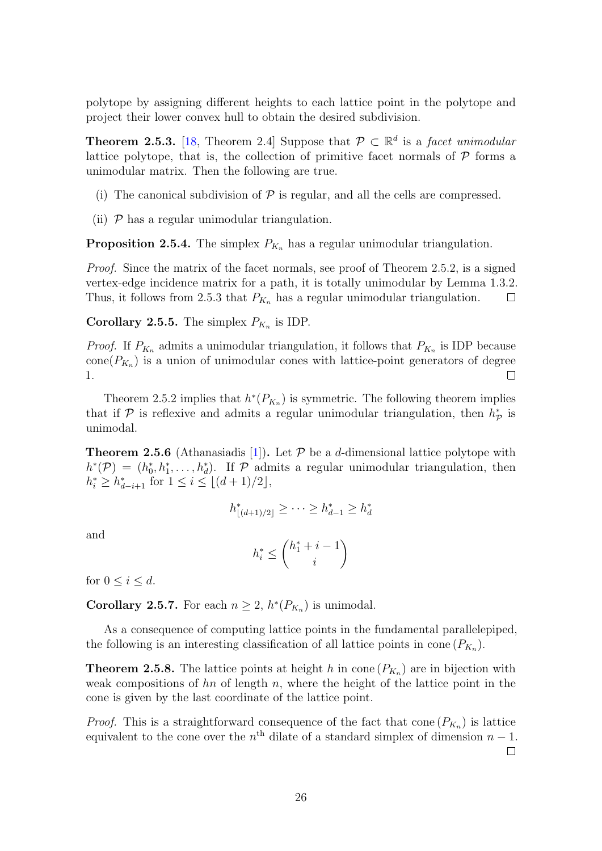polytope by assigning different heights to each lattice point in the polytope and project their lower convex hull to obtain the desired subdivision.

<span id="page-33-1"></span>**Theorem 2.5.3.** [\[18,](#page-58-11) Theorem 2.4] Suppose that  $\mathcal{P} \subset \mathbb{R}^d$  is a facet unimodular lattice polytope, that is, the collection of primitive facet normals of  $P$  forms a unimodular matrix. Then the following are true.

- (i) The canonical subdivision of  $P$  is regular, and all the cells are compressed.
- (ii)  $P$  has a regular unimodular triangulation.

**Proposition 2.5.4.** The simplex  $P_{K_n}$  has a regular unimodular triangulation.

*Proof.* Since the matrix of the facet normals, see proof of Theorem [2.5.2,](#page-32-0) is a signed vertex-edge incidence matrix for a path, it is totally unimodular by Lemma [1.3.2.](#page-13-2) Thus, it follows from [2.5.3](#page-33-1) that  $P_{K_n}$  has a regular unimodular triangulation.  $\Box$ 

<span id="page-33-0"></span>**Corollary 2.5.5.** The simplex  $P_{K_n}$  is IDP.

*Proof.* If  $P_{K_n}$  admits a unimodular triangulation, it follows that  $P_{K_n}$  is IDP because  $cone(P_{K_n})$  is a union of unimodular cones with lattice-point generators of degree 1.  $\Box$ 

Theorem [2.5.2](#page-32-0) implies that  $h^*(P_{K_n})$  is symmetric. The following theorem implies that if  $P$  is reflexive and admits a regular unimodular triangulation, then  $h_P^*$  is unimodal.

**Theorem 2.5.6** (Athanasiadis [\[1\]](#page-57-12)). Let  $P$  be a d-dimensional lattice polytope with  $h^*(\mathcal{P}) = (h_0^*, h_1^*, \ldots, h_d^*)$ . If  $\mathcal{P}$  admits a regular unimodular triangulation, then  $h_i^* \geq h_{d-i+1}^*$  for  $1 \leq i \leq \lfloor (d+1)/2 \rfloor$ ,

$$
h^*_{|(d+1)/2|} \geq \cdots \geq h^*_{d-1} \geq h^*_{d}
$$

and

$$
h_i^* \le \binom{h_1^* + i - 1}{i}
$$

for  $0 \leq i \leq d$ .

**Corollary 2.5.7.** For each  $n \geq 2$ ,  $h^*(P_{K_n})$  is unimodal.

As a consequence of computing lattice points in the fundamental parallelepiped, the following is an interesting classification of all lattice points in cone  $(P_{K_n})$ .

<span id="page-33-2"></span>**Theorem 2.5.8.** The lattice points at height h in cone  $(P_{K_n})$  are in bijection with weak compositions of  $hn$  of length n, where the height of the lattice point in the cone is given by the last coordinate of the lattice point.

*Proof.* This is a straightforward consequence of the fact that cone  $(P_{K_n})$  is lattice equivalent to the cone over the  $n<sup>th</sup>$  dilate of a standard simplex of dimension  $n-1$ .  $\Box$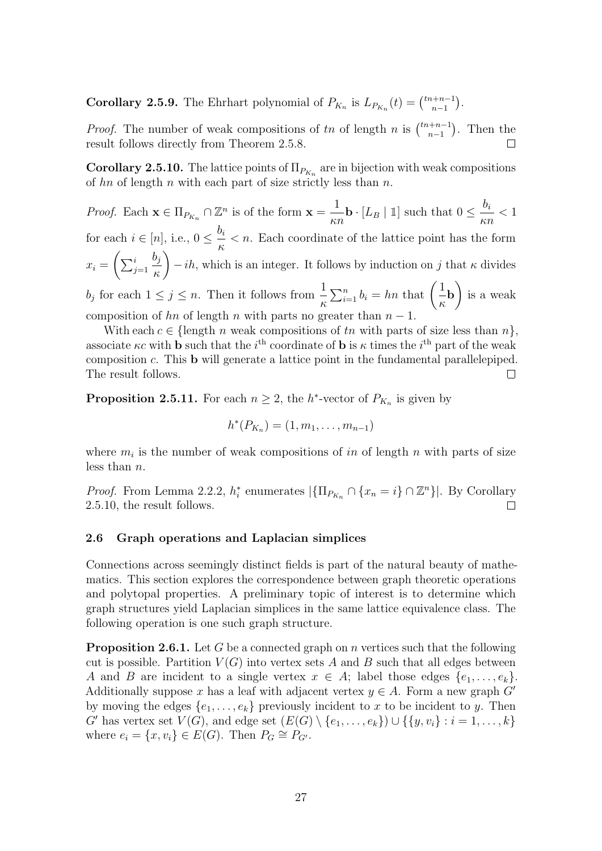**Corollary 2.5.9.** The Ehrhart polynomial of  $P_{K_n}$  is  $L_{P_{K_n}}(t) = \binom{tn+n-1}{n-1}$  $\binom{n+n-1}{n-1}$ .

*Proof.* The number of weak compositions of tn of length n is  $\binom{tn+n-1}{n-1}$  $\binom{n+n-1}{n-1}$ . Then the result follows directly from Theorem [2.5.8.](#page-33-2)  $\Box$ 

<span id="page-34-1"></span>**Corollary 2.5.10.** The lattice points of  $\Pi_{P_{K_n}}$  are in bijection with weak compositions of hn of length n with each part of size strictly less than  $n$ .

*Proof.* Each  $\mathbf{x} \in \Pi_{P_{K_n}} \cap \mathbb{Z}^n$  is of the form  $\mathbf{x} =$ 1  $\frac{1}{\kappa n}$ **b** · [*L*<sub>B</sub> | 1] such that  $0 \le \frac{b_i}{\kappa n}$ κn  $< 1$ for each  $i \in [n]$ , i.e.,  $0 \leq \frac{b_i}{n}$ κ  $\langle n \rangle$ . Each coordinate of the lattice point has the form  $x_i = \left(\sum_{j=1}^i$  $b_j$ κ  $\setminus$  $-ih$ , which is an integer. It follows by induction on j that  $\kappa$  divides  $b_j$  for each  $1 \leq j \leq n$ . Then it follows from  $\frac{1}{n}$ κ  $\sum_{i=1}^n b_i = hn$  that  $\left(\frac{1}{n}\right)$ κ b  $\setminus$ is a weak composition of hn of length n with parts no greater than  $n-1$ .

With each  $c \in \{\text{length } n \text{ weak compositions of } tn \text{ with parts of size less than } n\},\$ associate  $\kappa c$  with **b** such that the *i*<sup>th</sup> coordinate of **b** is  $\kappa$  times the *i*<sup>th</sup> part of the weak composition c. This b will generate a lattice point in the fundamental parallelepiped. The result follows.  $\Box$ 

**Proposition 2.5.11.** For each  $n \geq 2$ , the h<sup>\*</sup>-vector of  $P_{K_n}$  is given by

$$
h^*(P_{K_n})=(1,m_1,\ldots,m_{n-1})
$$

where  $m_i$  is the number of weak compositions of in of length n with parts of size less than n.

*Proof.* From Lemma [2.2.2,](#page-19-1)  $h_i^*$  enumerates  $|\{\Pi_{P_{K_n}} \cap \{x_n = i\} \cap \mathbb{Z}^n\}|$ . By Corollary [2.5.10,](#page-34-1) the result follows.  $\Box$ 

#### <span id="page-34-0"></span>2.6 Graph operations and Laplacian simplices

Connections across seemingly distinct fields is part of the natural beauty of mathematics. This section explores the correspondence between graph theoretic operations and polytopal properties. A preliminary topic of interest is to determine which graph structures yield Laplacian simplices in the same lattice equivalence class. The following operation is one such graph structure.

<span id="page-34-2"></span>**Proposition 2.6.1.** Let G be a connected graph on n vertices such that the following cut is possible. Partition  $V(G)$  into vertex sets A and B such that all edges between A and B are incident to a single vertex  $x \in A$ ; label those edges  $\{e_1, \ldots, e_k\}$ . Additionally suppose x has a leaf with adjacent vertex  $y \in A$ . Form a new graph G' by moving the edges  $\{e_1, \ldots, e_k\}$  previously incident to x to be incident to y. Then G' has vertex set  $V(G)$ , and edge set  $(E(G) \setminus \{e_1, \ldots, e_k\}) \cup \{\{y, v_i\} : i = 1, \ldots, k\}$ where  $e_i = \{x, v_i\} \in E(G)$ . Then  $P_G \cong P_{G'}$ .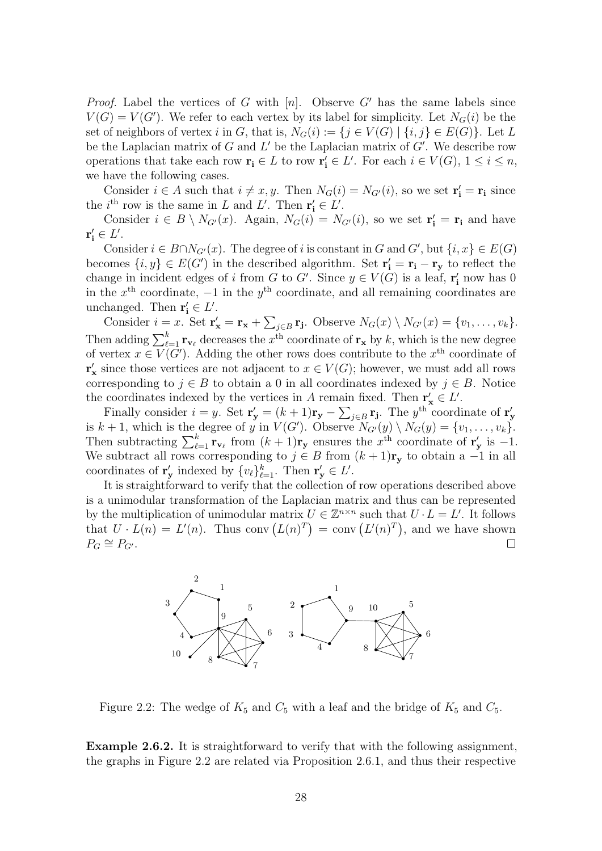*Proof.* Label the vertices of G with  $[n]$ . Observe G' has the same labels since  $V(G) = V(G')$ . We refer to each vertex by its label for simplicity. Let  $N_G(i)$  be the set of neighbors of vertex i in G, that is,  $N_G(i) := \{j \in V(G) \mid \{i, j\} \in E(G)\}\.$  Let L be the Laplacian matrix of  $G$  and  $L'$  be the Laplacian matrix of  $G'$ . We describe row operations that take each row  $\mathbf{r_i} \in L$  to row  $\mathbf{r'_i} \in L'$ . For each  $i \in V(G)$ ,  $1 \le i \le n$ , we have the following cases.

Consider  $i \in A$  such that  $i \neq x, y$ . Then  $N_G(i) = N_{G'}(i)$ , so we set  $\mathbf{r'_i} = \mathbf{r_i}$  since the *i*<sup>th</sup> row is the same in L and L'. Then  $\mathbf{r'_i} \in L'$ .

Consider  $i \in B \setminus N_{G'}(x)$ . Again,  $N_G(i) = N_{G'}(i)$ , so we set  $\mathbf{r'_i} = \mathbf{r_i}$  and have  $\mathbf{r'_i} \in L'.$ 

Consider  $i \in B \cap N_{G'}(x)$ . The degree of i is constant in G and G', but  $\{i, x\} \in E(G)$ becomes  $\{i, y\} \in E(G')$  in the described algorithm. Set  $\mathbf{r'_i} = \mathbf{r_i} - \mathbf{r_y}$  to reflect the change in incident edges of i from G to G'. Since  $y \in V(G)$  is a leaf,  $\mathbf{r'_i}$  now has 0 in the  $x<sup>th</sup>$  coordinate,  $-1$  in the  $y<sup>th</sup>$  coordinate, and all remaining coordinates are unchanged. Then  $\mathbf{r'_i} \in L'.$ 

Consider  $i = x$ . Set  $\mathbf{r}'_{\mathbf{x}} = \mathbf{r}_{\mathbf{x}} + \sum_{j \in B} \mathbf{r}_{\mathbf{j}}$ . Observe  $N_G(x) \setminus N_{G'}(x) = \{v_1, \ldots, v_k\}$ . Then adding  $\sum_{\ell=1}^k \mathbf{r}_{\mathbf{v}_\ell}$  decreases the  $x^{\text{th}}$  coordinate of  $\mathbf{r}_{\mathbf{x}}$  by k, which is the new degree of vertex  $x \in V(G')$ . Adding the other rows does contribute to the  $x<sup>th</sup>$  coordinate of  $\mathbf{r}'_{\mathbf{x}}$  since those vertices are not adjacent to  $x \in V(G)$ ; however, we must add all rows corresponding to  $j \in B$  to obtain a 0 in all coordinates indexed by  $j \in B$ . Notice the coordinates indexed by the vertices in A remain fixed. Then  $\mathbf{r}'_{\mathbf{x}} \in L'$ .

Finally consider  $i = y$ . Set  $\mathbf{r}'_{\mathbf{y}} = (k+1)\mathbf{r}_{\mathbf{y}} - \sum_{j \in B} \mathbf{r}_{\mathbf{j}}$ . The  $y^{\text{th}}$  coordinate of  $\mathbf{r}'_{\mathbf{y}}$  is  $k+1$ , which is the degree of y in  $V(G')$ . Observe  $N_{G'}(y) \setminus N_G(y) = \{v_1, \ldots, v_k\}$ . Then subtracting  $\sum_{\ell=1}^k \mathbf{r}_{\mathbf{v}_\ell}$  from  $(k+1)\mathbf{r}_{\mathbf{y}}$  ensures the  $x^{\text{th}}$  coordinate of  $\mathbf{r}'_{\mathbf{y}}$  is  $-1$ . We subtract all rows corresponding to  $j \in B$  from  $(k+1)r_y$  to obtain a -1 in all coordinates of  $\mathbf{r}'_{\mathbf{y}}$  indexed by  $\{v_{\ell}\}_{\ell=1}^k$ . Then  $\mathbf{r}'_{\mathbf{y}} \in L'$ .

It is straightforward to verify that the collection of row operations described above is a unimodular transformation of the Laplacian matrix and thus can be represented 9 by the multiplication of unimodular matrix  $U \in \mathbb{Z}^{n \times n}$  such that  $U \cdot L = L'$ . It follows that  $U \cdot L(n) = L'(n)$ . Thus conv  $(L(n)^T) = \text{conv}(L'(n)^T)$ , and we have shown  $P_G \cong P_{G'}$ .  $\Box$ 

<span id="page-35-0"></span>

Figure 2.2: The wedge of  $K_5$  and  $C_5$  with a leaf and the bridge of  $K_5$  and  $C_5$ .

example in Figure 2.2 are ro 4 the graphs in Figure [2.2](#page-35-0) are related via Proposition [2.6.1,](#page-34-2) and thus their respective Example 2.6.2. It is straightforward to verify that with the following assignment,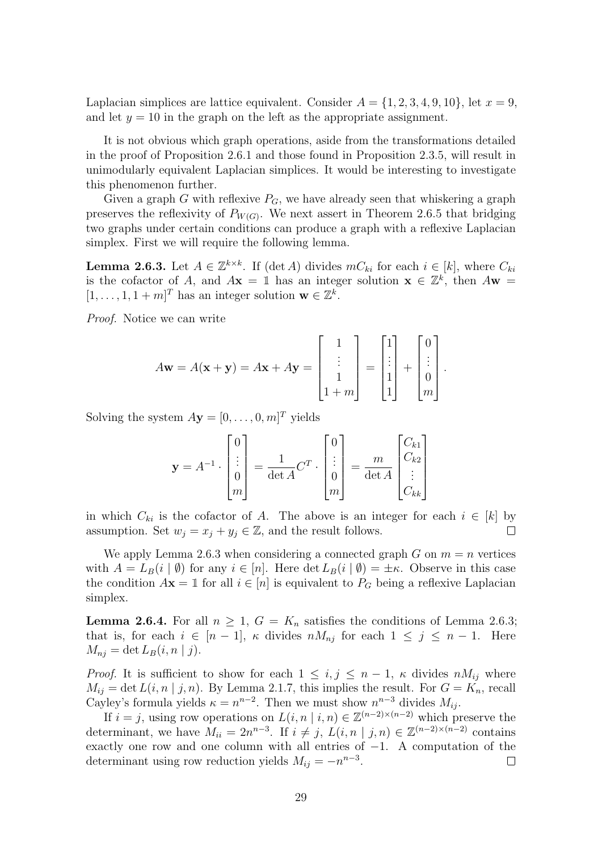Laplacian simplices are lattice equivalent. Consider  $A = \{1, 2, 3, 4, 9, 10\}$ , let  $x = 9$ , and let  $y = 10$  in the graph on the left as the appropriate assignment.

It is not obvious which graph operations, aside from the transformations detailed in the proof of Proposition [2.6.1](#page-34-2) and those found in Proposition [2.3.5,](#page-21-1) will result in unimodularly equivalent Laplacian simplices. It would be interesting to investigate this phenomenon further.

Given a graph G with reflexive  $P_G$ , we have already seen that whiskering a graph preserves the reflexivity of  $P_{W(G)}$ . We next assert in Theorem [2.6.5](#page-37-0) that bridging two graphs under certain conditions can produce a graph with a reflexive Laplacian simplex. First we will require the following lemma.

<span id="page-36-0"></span>**Lemma 2.6.3.** Let  $A \in \mathbb{Z}^{k \times k}$ . If (det A) divides  $mC_{ki}$  for each  $i \in [k]$ , where  $C_{ki}$ is the cofactor of A, and  $A\mathbf{x} = \mathbb{1}$  has an integer solution  $\mathbf{x} \in \mathbb{Z}^k$ , then  $A\mathbf{w} =$  $[1, \ldots, 1, 1+m]^T$  has an integer solution  $\mathbf{w} \in \mathbb{Z}^k$ .

Proof. Notice we can write

$$
A\mathbf{w} = A(\mathbf{x} + \mathbf{y}) = A\mathbf{x} + A\mathbf{y} = \begin{bmatrix} 1 \\ \vdots \\ 1 \\ 1 + m \end{bmatrix} = \begin{bmatrix} 1 \\ \vdots \\ 1 \\ 1 \end{bmatrix} + \begin{bmatrix} 0 \\ \vdots \\ 0 \\ m \end{bmatrix}.
$$

Solving the system  $A$ **y** =  $[0, \ldots, 0, m]^T$  yields

$$
\mathbf{y} = A^{-1} \cdot \begin{bmatrix} 0 \\ \vdots \\ 0 \\ m \end{bmatrix} = \frac{1}{\det A} C^T \cdot \begin{bmatrix} 0 \\ \vdots \\ 0 \\ m \end{bmatrix} = \frac{m}{\det A} \begin{bmatrix} C_{k1} \\ C_{k2} \\ \vdots \\ C_{kk} \end{bmatrix}
$$

in which  $C_{ki}$  is the cofactor of A. The above is an integer for each  $i \in [k]$  by assumption. Set  $w_j = x_j + y_j \in \mathbb{Z}$ , and the result follows.  $\Box$ 

We apply Lemma [2.6.3](#page-36-0) when considering a connected graph G on  $m = n$  vertices with  $A = L_B(i | \emptyset)$  for any  $i \in [n]$ . Here det  $L_B(i | \emptyset) = \pm \kappa$ . Observe in this case the condition  $A\mathbf{x} = \mathbb{1}$  for all  $i \in [n]$  is equivalent to  $P_G$  being a reflexive Laplacian simplex.

<span id="page-36-1"></span>**Lemma 2.6.4.** For all  $n \geq 1$ ,  $G = K_n$  satisfies the conditions of Lemma [2.6.3;](#page-36-0) that is, for each  $i \in [n-1]$ ,  $\kappa$  divides  $nM_{nj}$  for each  $1 \leq j \leq n-1$ . Here  $M_{nj} = \det L_B(i, n | j).$ 

*Proof.* It is sufficient to show for each  $1 \leq i, j \leq n-1, \kappa$  divides  $nM_{ij}$  where  $M_{ij} = \det L(i, n | j, n)$ . By Lemma [2.1.7,](#page-17-0) this implies the result. For  $G = K_n$ , recall Cayley's formula yields  $\kappa = n^{n-2}$ . Then we must show  $n^{n-3}$  divides  $M_{ij}$ .

If  $i = j$ , using row operations on  $L(i, n | i, n) \in \mathbb{Z}^{(n-2)\times (n-2)}$  which preserve the determinant, we have  $M_{ii} = 2n^{n-3}$ . If  $i \neq j$ ,  $L(i, n | j, n) \in \mathbb{Z}^{(n-2)\times (n-2)}$  contains exactly one row and one column with all entries of  $-1$ . A computation of the determinant using row reduction yields  $M_{ij} = -n^{n-3}$ .  $\Box$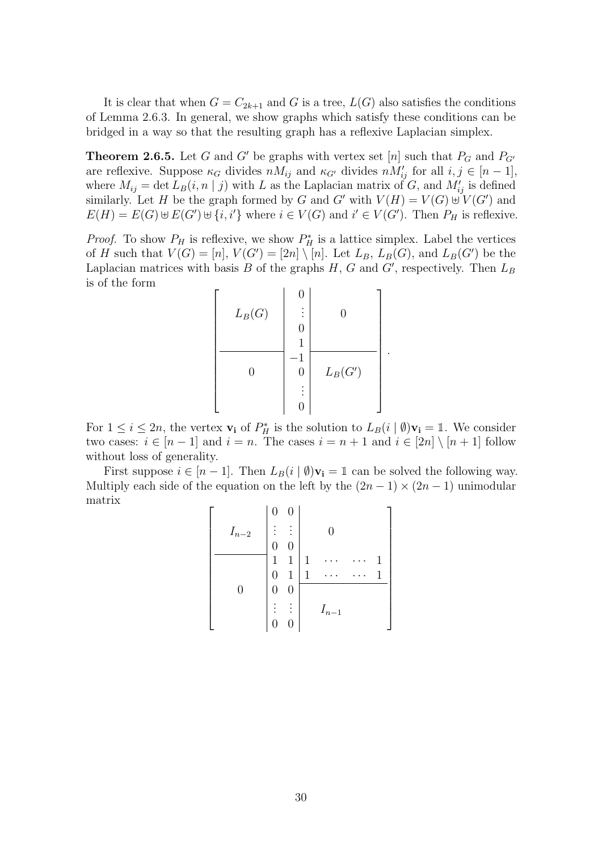It is clear that when  $G = C_{2k+1}$  and G is a tree,  $L(G)$  also satisfies the conditions of Lemma [2.6.3.](#page-36-0) In general, we show graphs which satisfy these conditions can be bridged in a way so that the resulting graph has a reflexive Laplacian simplex.

<span id="page-37-0"></span>**Theorem 2.6.5.** Let G and G' be graphs with vertex set [n] such that  $P_G$  and  $P_{G'}$ are reflexive. Suppose  $\kappa_G$  divides  $nM_{ij}$  and  $\kappa_{G'}$  divides  $nM'_{ij}$  for all  $i, j \in [n-1]$ , where  $M_{ij} = \det L_B(i, n | j)$  with L as the Laplacian matrix of G, and  $M'_{ij}$  is defined similarly. Let H be the graph formed by G and G' with  $V(H) = V(G) \cup V(G')$  and  $E(H) = E(G) \oplus E(G') \oplus \{i, i'\}$  where  $i \in V(G)$  and  $i' \in V(G')$ . Then  $P_H$  is reflexive.

*Proof.* To show  $P_H$  is reflexive, we show  $P_H^*$  is a lattice simplex. Label the vertices of H such that  $V(G) = [n], V(G') = [2n] \setminus [n]$ . Let  $L_B$ ,  $L_B(G)$ , and  $L_B(G')$  be the Laplacian matrices with basis  $B$  of the graphs  $H, G$  and  $G'$ , respectively. Then  $L_B$ is of the form

$$
\begin{bmatrix}\nL_B(G) & \begin{bmatrix} 0 \\ \vdots \\ 0 \\ 1 \end{bmatrix} & 0 \\
\hline\n0 & 0 \\
\vdots & \vdots \\
0 & 0\n\end{bmatrix} & L_B(G')\n\end{bmatrix}
$$

.

For  $1 \leq i \leq 2n$ , the vertex  $\mathbf{v_i}$  of  $P_H^*$  is the solution to  $L_B(i \mid \emptyset) \mathbf{v_i} = \mathbb{1}$ . We consider two cases:  $i \in [n-1]$  and  $i = n$ . The cases  $i = n+1$  and  $i \in [2n] \setminus [n+1]$  follow without loss of generality.

First suppose  $i \in [n-1]$ . Then  $L_B(i \mid \emptyset)$ **v**<sub>i</sub> = 1 can be solved the following way. Multiply each side of the equation on the left by the  $(2n-1) \times (2n-1)$  unimodular matrix

$$
\left[\begin{array}{c|c} I_{n-2} & 0 & 0 \\ \hline 0 & 0 & 0 \\ \hline 1 & 1 & 1 & \cdots & \cdots & 1 \\ 0 & 0 & 1 & \cdots & \cdots & 1 \\ 0 & 0 & 0 & \cdots & \cdots & 1 \\ \vdots & \vdots & \vdots & I_{n-1} & \cdots & \cdots & \cdots \end{array}\right]
$$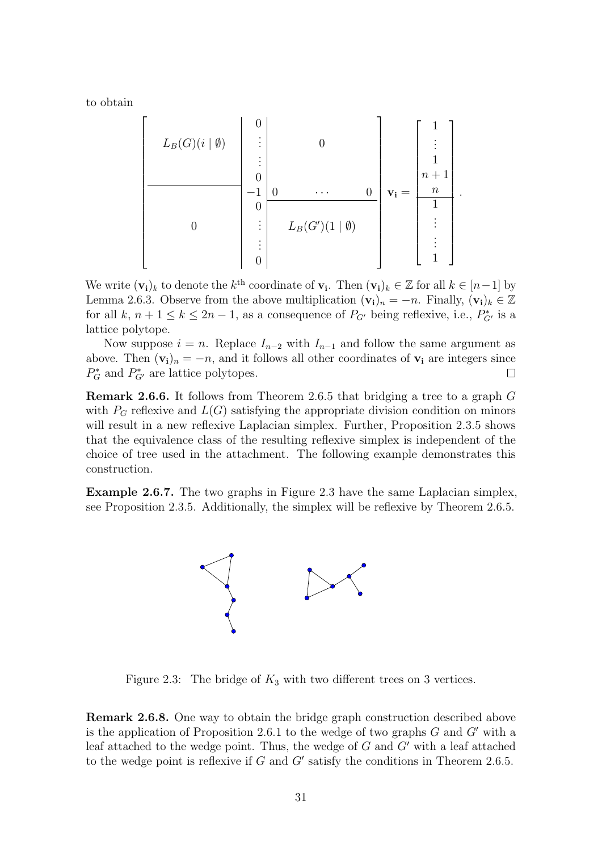to obtain

$$
L_B(G)(i | \emptyset) = \begin{bmatrix} 0 \\ \vdots \\ 0 \\ \vdots \\ 0 \end{bmatrix} \begin{bmatrix} 0 \\ \vdots \\ 0 \\ \vdots \\ 0 \end{bmatrix} \begin{bmatrix} 0 \\ \vdots \\ 0 \\ \vdots \\ 0 \end{bmatrix} \begin{bmatrix} 1 \\ \vdots \\ 1 \\ \vdots \\ 0 \end{bmatrix} \mathbf{v_i} = \begin{bmatrix} 1 \\ \vdots \\ n+1 \\ n \\ \vdots \\ 1 \end{bmatrix}.
$$

We write  $(\mathbf{v_i})_k$  to denote the  $k^{\text{th}}$  coordinate of  $\mathbf{v_i}$ . Then  $(\mathbf{v_i})_k \in \mathbb{Z}$  for all  $k \in [n-1]$  by Lemma [2.6.3.](#page-36-0) Observe from the above multiplication  $(v_i)_n = -n$ . Finally,  $(v_i)_k \in \mathbb{Z}$ for all  $k, n+1 \leq k \leq 2n-1$ , as a consequence of  $P_{G'}$  being reflexive, i.e.,  $P_{G'}^*$  is a lattice polytope.

Now suppose  $i = n$ . Replace  $I_{n-2}$  with  $I_{n-1}$  and follow the same argument as above. Then  $(v_i)_n = -n$ , and it follows all other coordinates of  $v_i$  are integers since  $P_G^*$  and  $P_{G'}^*$  are lattice polytopes.  $\Box$ 

Remark 2.6.6. It follows from Theorem [2.6.5](#page-37-0) that bridging a tree to a graph G with  $P_G$  reflexive and  $L(G)$  satisfying the appropriate division condition on minors will result in a new reflexive Laplacian simplex. Further, Proposition [2.3.5](#page-21-1) shows that the equivalence class of the resulting reflexive simplex is independent of the choice of tree used in the attachment. The following example demonstrates this construction.

<span id="page-38-0"></span>Example 2.6.7. The two graphs in Figure [2.3](#page-38-0) have the same Laplacian simplex, see Proposition [2.3.5.](#page-21-1) Additionally, the simplex will be reflexive by Theorem [2.6.5.](#page-37-0)



Figure 2.3: The bridge of  $K_3$  with two different trees on 3 vertices.

Remark 2.6.8. One way to obtain the bridge graph construction described above is the application of Proposition [2.6.1](#page-34-2) to the wedge of two graphs  $G$  and  $G'$  with a leaf attached to the wedge point. Thus, the wedge of  $G$  and  $G'$  with a leaf attached to the wedge point is reflexive if  $G$  and  $G'$  satisfy the conditions in Theorem [2.6.5.](#page-37-0)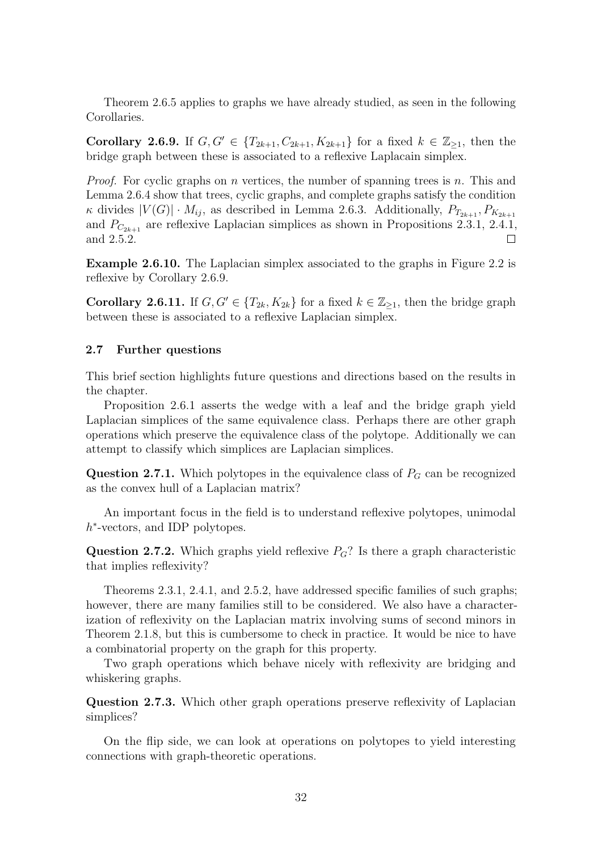Theorem [2.6.5](#page-37-0) applies to graphs we have already studied, as seen in the following Corollaries.

<span id="page-39-1"></span>**Corollary 2.6.9.** If  $G, G' \in \{T_{2k+1}, C_{2k+1}, K_{2k+1}\}$  for a fixed  $k \in \mathbb{Z}_{\geq 1}$ , then the bridge graph between these is associated to a reflexive Laplacain simplex.

*Proof.* For cyclic graphs on n vertices, the number of spanning trees is n. This and Lemma [2.6.4](#page-36-1) show that trees, cyclic graphs, and complete graphs satisfy the condition  $\kappa$  divides  $|V(G)| \cdot M_{ij}$ , as described in Lemma [2.6.3.](#page-36-0) Additionally,  $P_{T_{2k+1}}, P_{K_{2k+1}}$ and  $P_{C_{2k+1}}$  are reflexive Laplacian simplices as shown in Propositions [2.3.1,](#page-20-1) [2.4.1,](#page-22-1) and [2.5.2.](#page-32-0)  $\Box$ 

Example 2.6.10. The Laplacian simplex associated to the graphs in Figure [2.2](#page-35-0) is reflexive by Corollary [2.6.9.](#page-39-1)

**Corollary 2.6.11.** If  $G, G' \in \{T_{2k}, K_{2k}\}\)$  for a fixed  $k \in \mathbb{Z}_{\geq 1}$ , then the bridge graph between these is associated to a reflexive Laplacian simplex.

#### <span id="page-39-0"></span>2.7 Further questions

This brief section highlights future questions and directions based on the results in the chapter.

Proposition [2.6.1](#page-34-2) asserts the wedge with a leaf and the bridge graph yield Laplacian simplices of the same equivalence class. Perhaps there are other graph operations which preserve the equivalence class of the polytope. Additionally we can attempt to classify which simplices are Laplacian simplices.

**Question 2.7.1.** Which polytopes in the equivalence class of  $P_G$  can be recognized as the convex hull of a Laplacian matrix?

An important focus in the field is to understand reflexive polytopes, unimodal h<sup>\*</sup>-vectors, and IDP polytopes.

Question 2.7.2. Which graphs yield reflexive  $P_G$ ? Is there a graph characteristic that implies reflexivity?

Theorems [2.3.1,](#page-20-1) [2.4.1,](#page-22-1) and [2.5.2,](#page-32-0) have addressed specific families of such graphs; however, there are many families still to be considered. We also have a characterization of reflexivity on the Laplacian matrix involving sums of second minors in Theorem [2.1.8,](#page-18-0) but this is cumbersome to check in practice. It would be nice to have a combinatorial property on the graph for this property.

Two graph operations which behave nicely with reflexivity are bridging and whiskering graphs.

Question 2.7.3. Which other graph operations preserve reflexivity of Laplacian simplices?

On the flip side, we can look at operations on polytopes to yield interesting connections with graph-theoretic operations.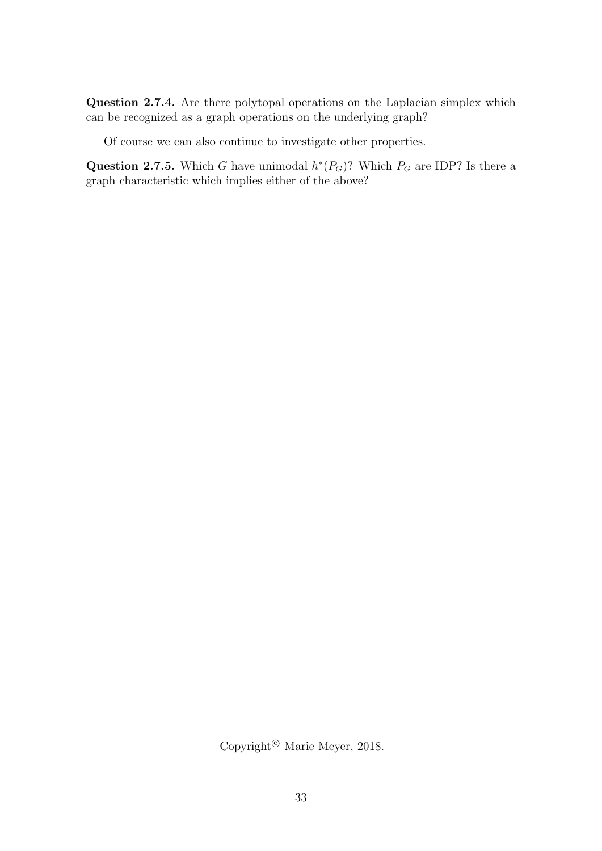Question 2.7.4. Are there polytopal operations on the Laplacian simplex which can be recognized as a graph operations on the underlying graph?

Of course we can also continue to investigate other properties.

Question 2.7.5. Which G have unimodal  $h^*(P_G)$ ? Which  $P_G$  are IDP? Is there a graph characteristic which implies either of the above?

Copyright<sup>©</sup> Marie Meyer, 2018.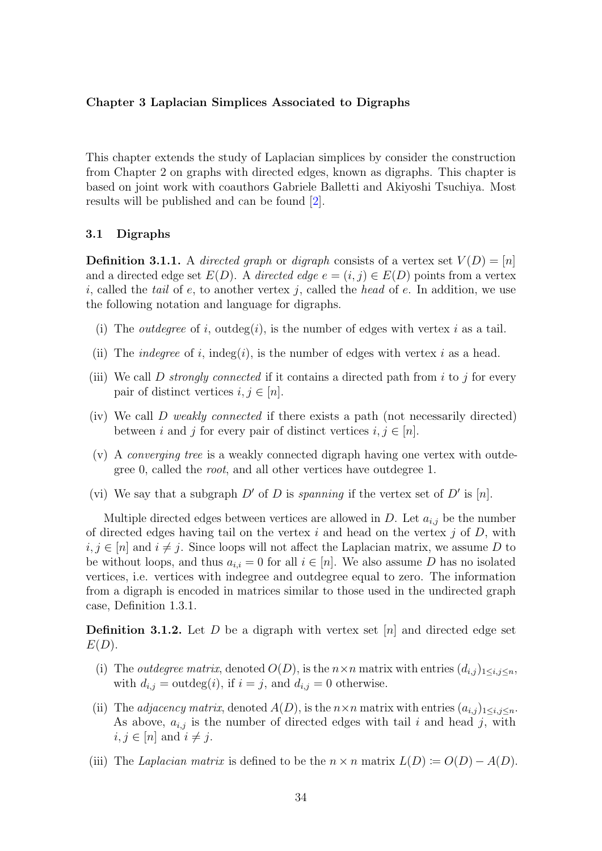#### <span id="page-41-0"></span>Chapter 3 Laplacian Simplices Associated to Digraphs

This chapter extends the study of Laplacian simplices by consider the construction from Chapter [2](#page-15-0) on graphs with directed edges, known as digraphs. This chapter is based on joint work with coauthors Gabriele Balletti and Akiyoshi Tsuchiya. Most results will be published and can be found [\[2\]](#page-57-13).

#### <span id="page-41-1"></span>3.1 Digraphs

**Definition 3.1.1.** A directed graph or digraph consists of a vertex set  $V(D) = [n]$ and a directed edge set  $E(D)$ . A directed edge  $e = (i, j) \in E(D)$  points from a vertex i, called the tail of e, to another vertex j, called the head of e. In addition, we use the following notation and language for digraphs.

- (i) The *outdegree* of i, outdeg(i), is the number of edges with vertex i as a tail.
- (ii) The *indegree* of i, indeg(i), is the number of edges with vertex i as a head.
- (iii) We call D strongly connected if it contains a directed path from i to j for every pair of distinct vertices  $i, j \in [n]$ .
- (iv) We call D weakly connected if there exists a path (not necessarily directed) between i and j for every pair of distinct vertices  $i, j \in [n]$ .
- (v) A converging tree is a weakly connected digraph having one vertex with outdegree 0, called the root, and all other vertices have outdegree 1.
- (vi) We say that a subgraph  $D'$  of D is spanning if the vertex set of  $D'$  is [n].

Multiple directed edges between vertices are allowed in  $D$ . Let  $a_{i,j}$  be the number of directed edges having tail on the vertex i and head on the vertex j of  $D$ , with  $i, j \in [n]$  and  $i \neq j$ . Since loops will not affect the Laplacian matrix, we assume D to be without loops, and thus  $a_{i,i} = 0$  for all  $i \in [n]$ . We also assume D has no isolated vertices, i.e. vertices with indegree and outdegree equal to zero. The information from a digraph is encoded in matrices similar to those used in the undirected graph case, Definition [1.3.1.](#page-12-2)

**Definition 3.1.2.** Let D be a digraph with vertex set  $[n]$  and directed edge set  $E(D).$ 

- (i) The *outdegree matrix*, denoted  $O(D)$ , is the  $n \times n$  matrix with entries  $(d_{i,j})_{1 \leq i,j \leq n}$ , with  $d_{i,j} = \text{outdeg}(i)$ , if  $i = j$ , and  $d_{i,j} = 0$  otherwise.
- (ii) The *adjacency matrix*, denoted  $A(D)$ , is the  $n \times n$  matrix with entries  $(a_{i,j})_{1 \leq i,j \leq n}$ . As above,  $a_{i,j}$  is the number of directed edges with tail i and head j, with  $i, j \in [n]$  and  $i \neq j$ .
- (iii) The Laplacian matrix is defined to be the  $n \times n$  matrix  $L(D) \coloneqq O(D) A(D)$ .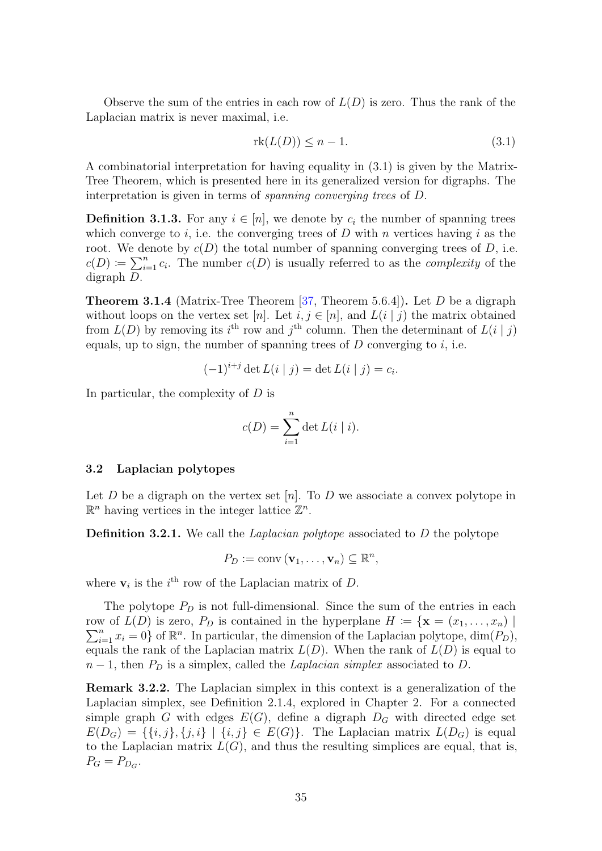Observe the sum of the entries in each row of  $L(D)$  is zero. Thus the rank of the Laplacian matrix is never maximal, i.e.

<span id="page-42-1"></span>
$$
rk(L(D)) \le n - 1. \tag{3.1}
$$

A combinatorial interpretation for having equality in [\(3.1\)](#page-42-1) is given by the Matrix-Tree Theorem, which is presented here in its generalized version for digraphs. The interpretation is given in terms of spanning converging trees of D.

**Definition 3.1.3.** For any  $i \in [n]$ , we denote by  $c_i$  the number of spanning trees which converge to i, i.e. the converging trees of  $D$  with n vertices having i as the root. We denote by  $c(D)$  the total number of spanning converging trees of D, i.e.  $c(D) \coloneqq \sum_{i=1}^{n} c_i$ . The number  $c(D)$  is usually referred to as the *complexity* of the digraph D.

<span id="page-42-2"></span>**Theorem 3.1.4** (Matrix-Tree Theorem  $[37,$  Theorem 5.6.4]). Let D be a digraph without loops on the vertex set [n]. Let  $i, j \in [n]$ , and  $L(i | j)$  the matrix obtained from  $L(D)$  by removing its i<sup>th</sup> row and j<sup>th</sup> column. Then the determinant of  $L(i | j)$ equals, up to sign, the number of spanning trees of  $D$  converging to  $i$ , i.e.

$$
(-1)^{i+j} \det L(i | j) = \det L(i | j) = c_i.
$$

In particular, the complexity of D is

$$
c(D) = \sum_{i=1}^{n} \det L(i \mid i).
$$

#### <span id="page-42-0"></span>3.2 Laplacian polytopes

Let D be a digraph on the vertex set [n]. To D we associate a convex polytope in  $\mathbb{R}^n$  having vertices in the integer lattice  $\mathbb{Z}^n$ .

**Definition 3.2.1.** We call the *Laplacian polytope* associated to  $D$  the polytope

$$
P_D := \text{conv}\left(\mathbf{v}_1, \ldots, \mathbf{v}_n\right) \subseteq \mathbb{R}^n,
$$

where  $v_i$  is the *i*<sup>th</sup> row of the Laplacian matrix of D.

The polytope  $P_D$  is not full-dimensional. Since the sum of the entries in each row of  $L(D)$  is zero,  $P_D$  is contained in the hyperplane  $H := \{ \mathbf{x} = (x_1, \ldots, x_n) \mid$  $\sum_{i=1}^{n} x_i = 0$  of  $\mathbb{R}^n$ . In particular, the dimension of the Laplacian polytope,  $\dim(P_D)$ , equals the rank of the Laplacian matrix  $L(D)$ . When the rank of  $L(D)$  is equal to  $n-1$ , then  $P_D$  is a simplex, called the *Laplacian simplex* associated to D.

<span id="page-42-3"></span>Remark 3.2.2. The Laplacian simplex in this context is a generalization of the Laplacian simplex, see Definition [2.1.4,](#page-16-0) explored in Chapter [2.](#page-15-0) For a connected simple graph G with edges  $E(G)$ , define a digraph  $D_G$  with directed edge set  $E(D_G) = \{\{i, j\}, \{j, i\} \mid \{i, j\} \in E(G)\}.$  The Laplacian matrix  $L(D_G)$  is equal to the Laplacian matrix  $L(G)$ , and thus the resulting simplices are equal, that is,  $P_G = P_{D_G}.$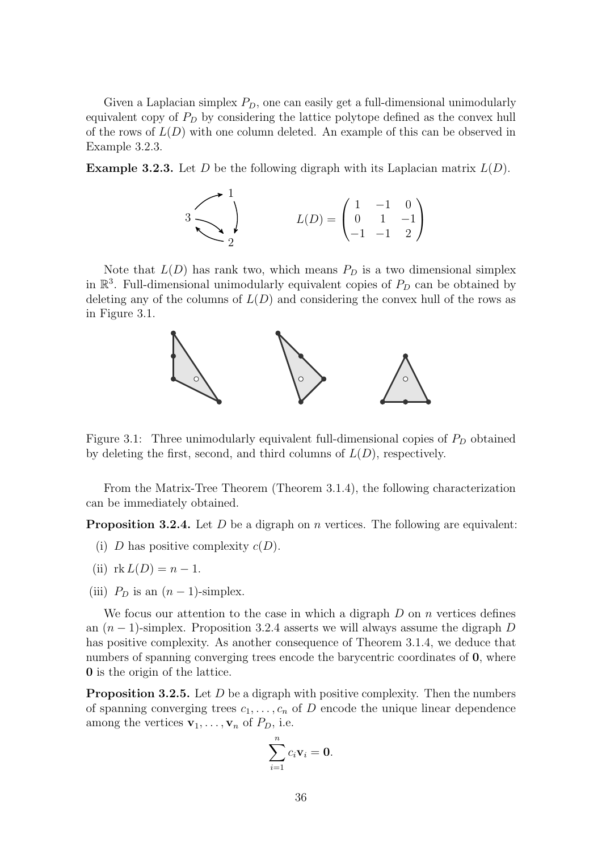Given a Laplacian simplex  $P_D$ , one can easily get a full-dimensional unimodularly equivalent copy of  $P<sub>D</sub>$  by considering the lattice polytope defined as the convex hull of the rows of  $L(D)$  with one column deleted. An example of this can be observed in Example [3.2.3.](#page-43-1)

<span id="page-43-1"></span>**Example 3.2.3.** Let D be the following digraph with its Laplacian matrix  $L(D)$ .

$$
3\n\n\n\n\n
$$
L(D) = \begin{pmatrix}\n1 & -1 & 0 \\
0 & 1 & -1 \\
-1 & -1 & 2\n\end{pmatrix}
$$
$$

<span id="page-43-0"></span>Note that  $L(D)$  has rank two, which means  $P_D$  is a two dimensional simplex in  $\mathbb{R}^3$ . Full-dimensional unimodularly equivalent copies of  $P_D$  can be obtained by deleting any of the columns of  $L(D)$  and considering the convex hull of the rows as in Figure [3.1.](#page-43-0)



Figure 3.1: Three unimodularly equivalent full-dimensional copies of  $P_D$  obtained by deleting the first, second, and third columns of  $L(D)$ , respectively.

From the Matrix-Tree Theorem (Theorem [3.1.4\)](#page-42-2), the following characterization can be immediately obtained.

<span id="page-43-2"></span>**Proposition 3.2.4.** Let D be a digraph on n vertices. The following are equivalent:

- (i) D has positive complexity  $c(D)$ .
- (ii)  $rk L(D) = n 1$ .
- (iii)  $P_D$  is an  $(n-1)$ -simplex.

We focus our attention to the case in which a digraph  $D$  on  $n$  vertices defines an  $(n-1)$ -simplex. Proposition [3.2.4](#page-43-2) asserts we will always assume the digraph D has positive complexity. As another consequence of Theorem [3.1.4,](#page-42-2) we deduce that numbers of spanning converging trees encode the barycentric coordinates of **0**, where 0 is the origin of the lattice.

<span id="page-43-3"></span>**Proposition 3.2.5.** Let  $D$  be a digraph with positive complexity. Then the numbers of spanning converging trees  $c_1, \ldots, c_n$  of D encode the unique linear dependence among the vertices  $\mathbf{v}_1, \ldots, \mathbf{v}_n$  of  $P_D$ , i.e.

$$
\sum_{i=1}^n c_i \mathbf{v}_i = \mathbf{0}.
$$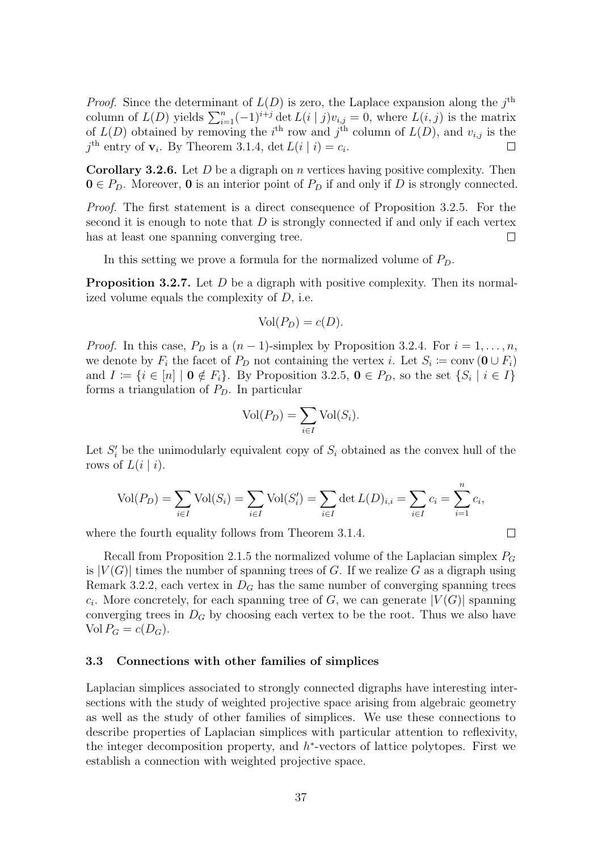*Proof.* Since the determinant of  $L(D)$  is zero, the Laplace expansion along the  $j^{\text{th}}$ column of  $L(D)$  yields  $\sum_{i=1}^{n}(-1)^{i+j} \det L(i | j)v_{i,j} = 0$ , where  $L(i, j)$  is the matrix of  $L(D)$  obtained by removing the i<sup>th</sup> row and j<sup>th</sup> column of  $L(D)$ , and  $v_{i,j}$  is the  $j^{\text{th}}$  entry of  $\mathbf{v}_i$ . By Theorem [3.1.4,](#page-42-2) det  $L(i | i) = c_i$ .

<span id="page-44-1"></span>**Corollary 3.2.6.** Let  $D$  be a digraph on  $n$  vertices having positive complexity. Then  $0 \in P_D$ . Moreover, 0 is an interior point of  $P_D$  if and only if D is strongly connected.

Proof. The first statement is a direct consequence of Proposition [3.2.5.](#page-43-3) For the second it is enough to note that  $D$  is strongly connected if and only if each vertex has at least one spanning converging tree.  $\Box$ 

In this setting we prove a formula for the normalized volume of  $P_D$ .

**Proposition 3.2.7.** Let D be a digraph with positive complexity. Then its normalized volume equals the complexity of D, i.e.

$$
Vol(P_D) = c(D).
$$

*Proof.* In this case,  $P_D$  is a  $(n-1)$ -simplex by Proposition [3.2.4.](#page-43-2) For  $i = 1, \ldots, n$ , we denote by  $F_i$  the facet of  $P_D$  not containing the vertex i. Let  $S_i \coloneqq \text{conv}(\mathbf{0} \cup F_i)$ and  $I := \{i \in [n] \mid \mathbf{0} \notin F_i\}$ . By Proposition [3.2.5,](#page-43-3)  $\mathbf{0} \in P_D$ , so the set  $\{S_i \mid i \in I\}$ forms a triangulation of  $P_D$ . In particular

$$
Vol(P_D) = \sum_{i \in I} Vol(S_i).
$$

Let  $S_i'$  be the unimodularly equivalent copy of  $S_i$  obtained as the convex hull of the rows of  $L(i | i)$ .

$$
Vol(P_D) = \sum_{i \in I} Vol(S_i) = \sum_{i \in I} Vol(S'_i) = \sum_{i \in I} det L(D)_{i,i} = \sum_{i \in I} c_i = \sum_{i=1}^n c_i,
$$

where the fourth equality follows from Theorem [3.1.4.](#page-42-2)

 $\Box$ 

Recall from Proposition [2.1.5](#page-16-2) the normalized volume of the Laplacian simplex  $P_G$ is  $|V(G)|$  times the number of spanning trees of G. If we realize G as a digraph using Remark [3.2.2,](#page-42-3) each vertex in  $D<sub>G</sub>$  has the same number of converging spanning trees  $c_i$ . More concretely, for each spanning tree of G, we can generate  $|V(G)|$  spanning converging trees in  $D_G$  by choosing each vertex to be the root. Thus we also have Vol  $P_G = c(D_G)$ .

#### <span id="page-44-0"></span>3.3 Connections with other families of simplices

Laplacian simplices associated to strongly connected digraphs have interesting intersections with the study of weighted projective space arising from algebraic geometry as well as the study of other families of simplices. We use these connections to describe properties of Laplacian simplices with particular attention to reflexivity, the integer decomposition property, and  $h^*$ -vectors of lattice polytopes. First we establish a connection with weighted projective space.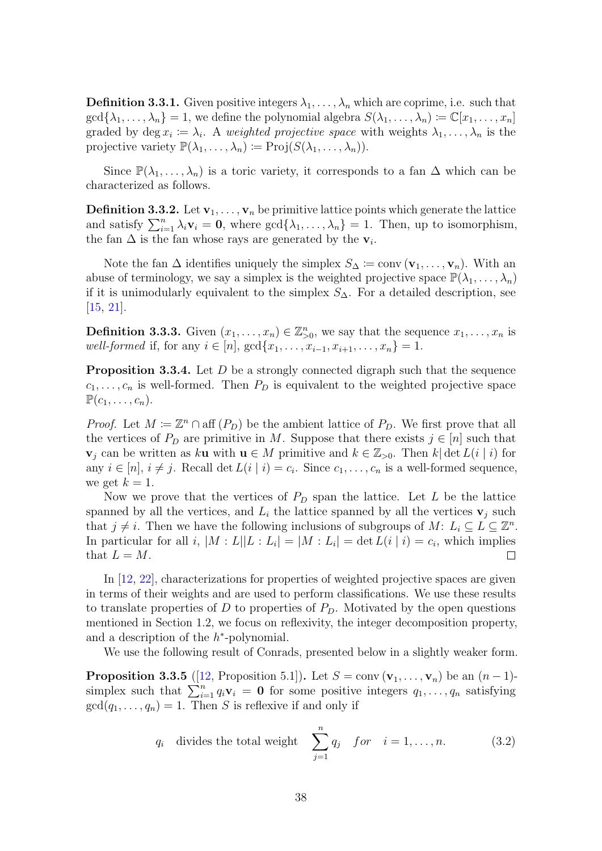**Definition 3.3.1.** Given positive integers  $\lambda_1, \ldots, \lambda_n$  which are coprime, i.e. such that  $\gcd\{\lambda_1,\ldots,\lambda_n\} = 1$ , we define the polynomial algebra  $S(\lambda_1,\ldots,\lambda_n) := \mathbb{C}[x_1,\ldots,x_n]$ graded by deg  $x_i \coloneqq \lambda_i$ . A weighted projective space with weights  $\lambda_1, \ldots, \lambda_n$  is the projective variety  $\mathbb{P}(\lambda_1,\ldots,\lambda_n) \coloneqq \text{Proj}(S(\lambda_1,\ldots,\lambda_n)).$ 

Since  $\mathbb{P}(\lambda_1,\ldots,\lambda_n)$  is a toric variety, it corresponds to a fan  $\Delta$  which can be characterized as follows.

**Definition 3.3.2.** Let  $\mathbf{v}_1, \ldots, \mathbf{v}_n$  be primitive lattice points which generate the lattice and satisfy  $\sum_{i=1}^{n} \lambda_i \mathbf{v}_i = \mathbf{0}$ , where  $\gcd\{\lambda_1, \ldots, \lambda_n\} = 1$ . Then, up to isomorphism, the fan  $\Delta$  is the fan whose rays are generated by the  $\mathbf{v}_i$ .

Note the fan  $\Delta$  identifies uniquely the simplex  $S_{\Delta} \coloneqq \text{conv}(\mathbf{v}_1, \ldots, \mathbf{v}_n)$ . With an abuse of terminology, we say a simplex is the weighted projective space  $\mathbb{P}(\lambda_1, \ldots, \lambda_n)$ if it is unimodularly equivalent to the simplex  $S_{\Delta}$ . For a detailed description, see [\[15,](#page-58-12) [21\]](#page-58-13).

**Definition 3.3.3.** Given  $(x_1, \ldots, x_n) \in \mathbb{Z}_{>0}^n$ , we say that the sequence  $x_1, \ldots, x_n$  is well-formed if, for any  $i \in [n]$ ,  $gcd{x_1, \ldots, x_{i-1}, x_{i+1}, \ldots, x_n} = 1$ .

<span id="page-45-1"></span>**Proposition 3.3.4.** Let D be a strongly connected digraph such that the sequence  $c_1, \ldots, c_n$  is well-formed. Then  $P_D$  is equivalent to the weighted projective space  $\mathbb{P}(c_1,\ldots,c_n).$ 

*Proof.* Let  $M := \mathbb{Z}^n \cap \text{aff}(P_D)$  be the ambient lattice of  $P_D$ . We first prove that all the vertices of  $P_D$  are primitive in M. Suppose that there exists  $j \in [n]$  such that  $\mathbf{v}_j$  can be written as ku with  $\mathbf{u} \in M$  primitive and  $k \in \mathbb{Z}_{>0}$ . Then k det  $L(i | i)$  for any  $i \in [n], i \neq j$ . Recall det  $L(i | i) = c_i$ . Since  $c_1, \ldots, c_n$  is a well-formed sequence, we get  $k = 1$ .

Now we prove that the vertices of  $P_D$  span the lattice. Let L be the lattice spanned by all the vertices, and  $L_i$  the lattice spanned by all the vertices  $\mathbf{v}_j$  such that  $j \neq i$ . Then we have the following inclusions of subgroups of M:  $L_i \subseteq L \subseteq \mathbb{Z}^n$ . In particular for all i,  $|M: L||L: L_i| = |M: L_i| = \det L(i | i) = c_i$ , which implies that  $L = M$ .

In [\[12,](#page-57-14) [22\]](#page-58-14), characterizations for properties of weighted projective spaces are given in terms of their weights and are used to perform classifications. We use these results to translate properties of D to properties of  $P<sub>D</sub>$ . Motivated by the open questions mentioned in Section [1.2,](#page-11-0) we focus on reflexivity, the integer decomposition property, and a description of the  $h^*$ -polynomial.

We use the following result of Conrads, presented below in a slightly weaker form.

<span id="page-45-0"></span>**Proposition 3.3.5** ([\[12,](#page-57-14) Proposition 5.1]). Let  $S = \text{conv}(\mathbf{v}_1, \dots, \mathbf{v}_n)$  be an  $(n-1)$ simplex such that  $\sum_{i=1}^{n} q_i \mathbf{v}_i = \mathbf{0}$  for some positive integers  $q_1, \ldots, q_n$  satisfying  $gcd(q_1, \ldots, q_n) = 1$ . Then S is reflexive if and only if

$$
q_i
$$
 divides the total weight  $\sum_{j=1}^{n} q_j$  for  $i = 1, ..., n$ . (3.2)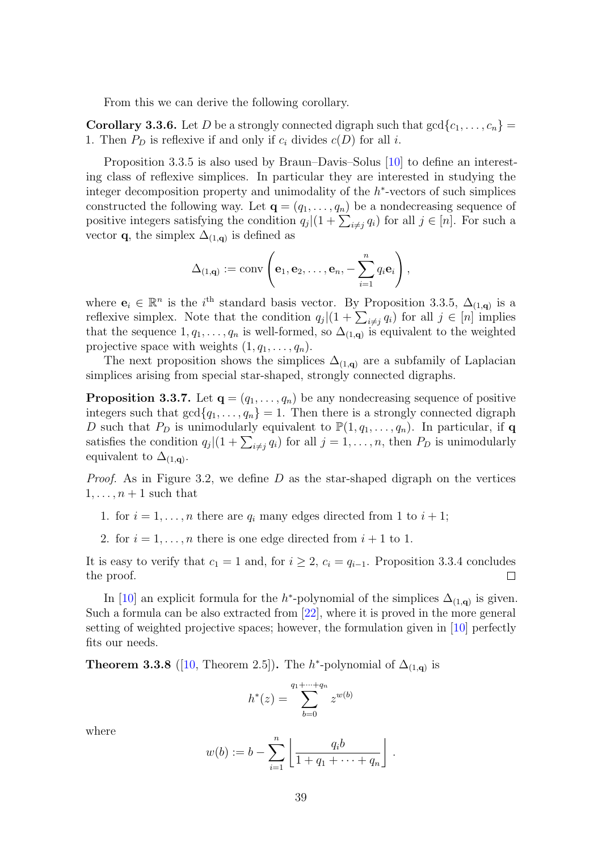From this we can derive the following corollary.

<span id="page-46-0"></span>**Corollary 3.3.6.** Let D be a strongly connected digraph such that  $gcd\{c_1, \ldots, c_n\}$ 1. Then  $P_D$  is reflexive if and only if  $c_i$  divides  $c(D)$  for all i.

Proposition [3.3.5](#page-45-0) is also used by Braun–Davis–Solus [\[10\]](#page-57-5) to define an interesting class of reflexive simplices. In particular they are interested in studying the integer decomposition property and unimodality of the  $h^*$ -vectors of such simplices constructed the following way. Let  $\mathbf{q} = (q_1, \ldots, q_n)$  be a nondecreasing sequence of positive integers satisfying the condition  $q_j|(1+\sum_{i\neq j}q_i)$  for all  $j\in [n]$ . For such a vector **q**, the simplex  $\Delta_{(1,q)}$  is defined as

$$
\Delta_{(1,\mathbf{q})} := \text{conv}\left(\mathbf{e}_1, \mathbf{e}_2, \ldots, \mathbf{e}_n, -\sum_{i=1}^n q_i \mathbf{e}_i\right),
$$

where  $\mathbf{e}_i \in \mathbb{R}^n$  is the i<sup>th</sup> standard basis vector. By Proposition [3.3.5,](#page-45-0)  $\Delta_{(1,q)}$  is a reflexive simplex. Note that the condition  $q_j|(1+\sum_{i\neq j}q_i)$  for all  $j\in [n]$  implies that the sequence  $1, q_1, \ldots, q_n$  is well-formed, so  $\Delta_{(1,q)}$  is equivalent to the weighted projective space with weights  $(1, q_1, \ldots, q_n)$ .

The next proposition shows the simplices  $\Delta_{(1,q)}$  are a subfamily of Laplacian simplices arising from special star-shaped, strongly connected digraphs.

**Proposition 3.3.7.** Let  $\mathbf{q} = (q_1, \ldots, q_n)$  be any nondecreasing sequence of positive integers such that  $gcd{q_1, \ldots, q_n} = 1$ . Then there is a strongly connected digraph D such that  $P_D$  is unimodularly equivalent to  $\mathbb{P}(1, q_1, \ldots, q_n)$ . In particular, if q satisfies the condition  $q_j|(1+\sum_{i\neq j}q_i)$  for all  $j=1,\ldots,n$ , then  $P_D$  is unimodularly equivalent to  $\Delta_{(1,\mathbf{q})}$ .

*Proof.* As in Figure [3.2,](#page-47-1) we define D as the star-shaped digraph on the vertices  $1, \ldots, n+1$  such that

1. for  $i = 1, ..., n$  there are  $q_i$  many edges directed from 1 to  $i + 1$ ;

2. for  $i = 1, \ldots, n$  there is one edge directed from  $i + 1$  to 1.

It is easy to verify that  $c_1 = 1$  and, for  $i \geq 2$ ,  $c_i = q_{i-1}$ . Proposition [3.3.4](#page-45-1) concludes the proof.  $\Box$ 

In [\[10\]](#page-57-5) an explicit formula for the h<sup>\*</sup>-polynomial of the simplices  $\Delta_{(1,q)}$  is given. Such a formula can be also extracted from [\[22\]](#page-58-14), where it is proved in the more general setting of weighted projective spaces; however, the formulation given in [\[10\]](#page-57-5) perfectly fits our needs.

<span id="page-46-1"></span>**Theorem 3.3.8** ([\[10,](#page-57-5) Theorem 2.5]). The  $h^*$ -polynomial of  $\Delta_{(1,q)}$  is

$$
h^*(z) = \sum_{b=0}^{q_1 + \dots + q_n} z^{w(b)}
$$

where

$$
w(b) := b - \sum_{i=1}^{n} \left[ \frac{q_i b}{1 + q_1 + \dots + q_n} \right].
$$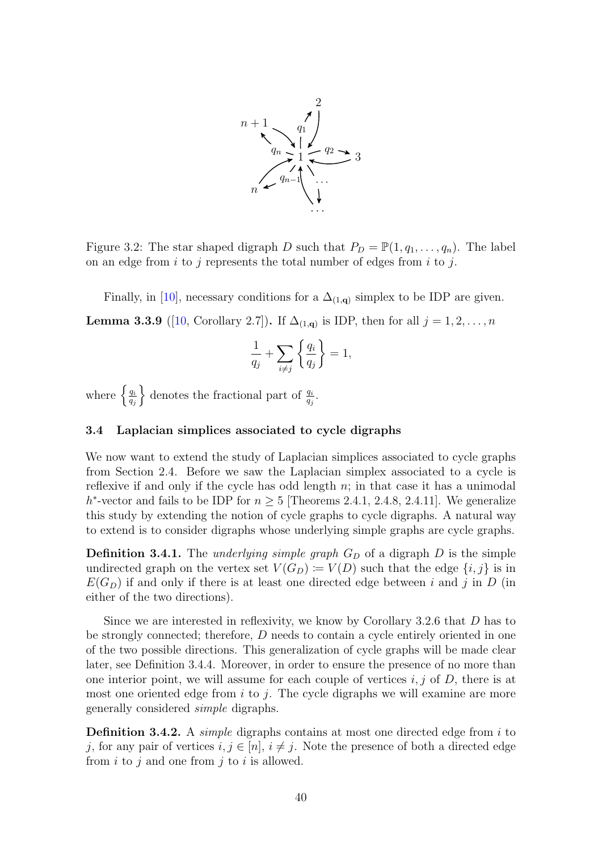<span id="page-47-1"></span>

Figure 3.2: The star shaped digraph D such that  $P_D = \mathbb{P}(1, q_1, \ldots, q_n)$ . The label on an edge from  $i$  to  $j$  represents the total number of edges from  $i$  to  $j$ .

<span id="page-47-2"></span>Finally, in [\[10\]](#page-57-5), necessary conditions for a  $\Delta_{(1,q)}$  simplex to be IDP are given. **Lemma 3.3.9** ([\[10,](#page-57-5) Corollary 2.7]). If  $\Delta_{(1,q)}$  is IDP, then for all  $j = 1, 2, ..., n$ 

$$
\frac{1}{q_j} + \sum_{i \neq j} \left\{ \frac{q_i}{q_j} \right\} = 1,
$$

where  $\left\{\frac{q_i}{q_i}\right\}$  $q_j$ } denotes the fractional part of  $\frac{q_i}{q_j}$ .

#### <span id="page-47-0"></span>3.4 Laplacian simplices associated to cycle digraphs

We now want to extend the study of Laplacian simplices associated to cycle graphs from Section [2.4.](#page-22-0) Before we saw the Laplacian simplex associated to a cycle is reflexive if and only if the cycle has odd length  $n$ ; in that case it has a unimodal h<sup>\*</sup>-vector and fails to be IDP for  $n \geq 5$  [Theorems [2.4.1,](#page-22-1) [2.4.8,](#page-26-0) [2.4.11\]](#page-30-0). We generalize this study by extending the notion of cycle graphs to cycle digraphs. A natural way to extend is to consider digraphs whose underlying simple graphs are cycle graphs.

<span id="page-47-3"></span>**Definition 3.4.1.** The *underlying simple graph*  $G_D$  of a digraph  $D$  is the simple undirected graph on the vertex set  $V(G_D) := V(D)$  such that the edge  $\{i, j\}$  is in  $E(G_D)$  if and only if there is at least one directed edge between i and j in D (in either of the two directions).

Since we are interested in reflexivity, we know by Corollary [3.2.6](#page-44-1) that D has to be strongly connected; therefore, D needs to contain a cycle entirely oriented in one of the two possible directions. This generalization of cycle graphs will be made clear later, see Definition [3.4.4.](#page-48-0) Moreover, in order to ensure the presence of no more than one interior point, we will assume for each couple of vertices  $i, j$  of  $D$ , there is at most one oriented edge from i to j. The cycle digraphs we will examine are more generally considered simple digraphs.

**Definition 3.4.2.** A *simple* digraphs contains at most one directed edge from i to j, for any pair of vertices  $i, j \in [n], i \neq j$ . Note the presence of both a directed edge from  $i$  to  $j$  and one from  $j$  to  $i$  is allowed.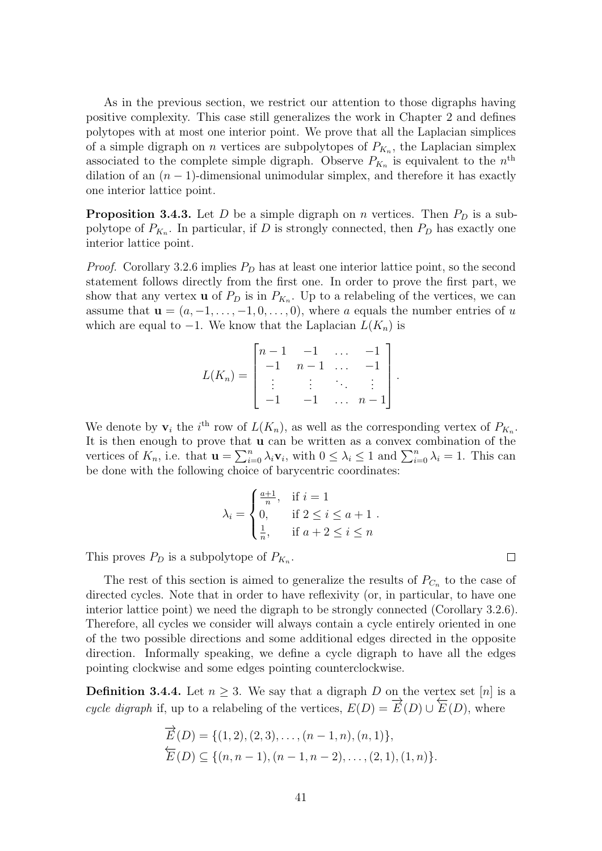As in the previous section, we restrict our attention to those digraphs having positive complexity. This case still generalizes the work in Chapter [2](#page-15-0) and defines polytopes with at most one interior point. We prove that all the Laplacian simplices of a simple digraph on *n* vertices are subpolytopes of  $P_{K_n}$ , the Laplacian simplex associated to the complete simple digraph. Observe  $P_{K_n}$  is equivalent to the  $n^{\text{th}}$ dilation of an  $(n - 1)$ -dimensional unimodular simplex, and therefore it has exactly one interior lattice point.

**Proposition 3.4.3.** Let D be a simple digraph on n vertices. Then  $P_D$  is a subpolytope of  $P_{K_n}$ . In particular, if D is strongly connected, then  $P_D$  has exactly one interior lattice point.

*Proof.* Corollary [3.2.6](#page-44-1) implies  $P_D$  has at least one interior lattice point, so the second statement follows directly from the first one. In order to prove the first part, we show that any vertex **u** of  $P_D$  is in  $P_{K_n}$ . Up to a relabeling of the vertices, we can assume that  $\mathbf{u} = (a, -1, \ldots, -1, 0, \ldots, 0)$ , where a equals the number entries of u which are equal to  $-1$ . We know that the Laplacian  $L(K_n)$  is

$$
L(K_n) = \begin{bmatrix} n-1 & -1 & \dots & -1 \\ -1 & n-1 & \dots & -1 \\ \vdots & \vdots & \ddots & \vdots \\ -1 & -1 & \dots & n-1 \end{bmatrix}.
$$

We denote by  $\mathbf{v}_i$  the i<sup>th</sup> row of  $L(K_n)$ , as well as the corresponding vertex of  $P_{K_n}$ . It is then enough to prove that u can be written as a convex combination of the vertices of  $K_n$ , i.e. that  $\mathbf{u} = \sum_{i=0}^n \lambda_i \mathbf{v}_i$ , with  $0 \leq \lambda_i \leq 1$  and  $\sum_{i=0}^n \lambda_i = 1$ . This can be done with the following choice of barycentric coordinates:

$$
\lambda_i = \begin{cases} \frac{a+1}{n}, & \text{if } i = 1\\ 0, & \text{if } 2 \le i \le a+1\\ \frac{1}{n}, & \text{if } a+2 \le i \le n \end{cases}
$$

This proves  $P_D$  is a subpolytope of  $P_{K_n}$ .

The rest of this section is aimed to generalize the results of  $P_{C_n}$  to the case of directed cycles. Note that in order to have reflexivity (or, in particular, to have one interior lattice point) we need the digraph to be strongly connected (Corollary [3.2.6\)](#page-44-1). Therefore, all cycles we consider will always contain a cycle entirely oriented in one of the two possible directions and some additional edges directed in the opposite direction. Informally speaking, we define a cycle digraph to have all the edges pointing clockwise and some edges pointing counterclockwise.

<span id="page-48-0"></span>**Definition 3.4.4.** Let  $n \geq 3$ . We say that a digraph D on the vertex set [n] is a **EXECUTE:** EXECUTE: EXECUTE: THE VALUE OF THE VALUE Cycle digraph if, up to a relabeling of the vertices,  $E(D) = \overrightarrow{E}(D) \cup \overleftarrow{E}$  $E(D)$ , where

$$
\overrightarrow{E}(D) = \{(1, 2), (2, 3), \dots, (n - 1, n), (n, 1)\},\
$$

$$
\overleftarrow{E}(D) \subseteq \{(n, n - 1), (n - 1, n - 2), \dots, (2, 1), (1, n)\}.
$$

 $\Box$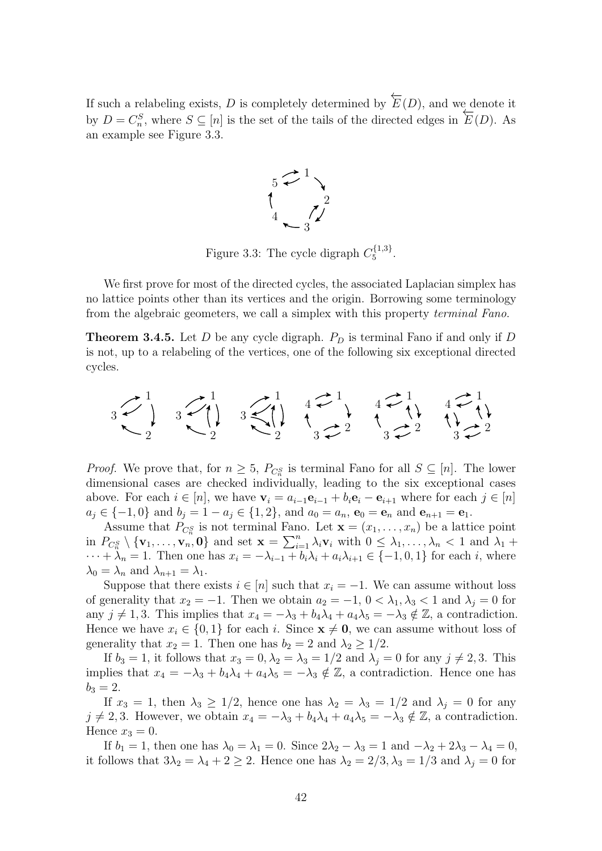<span id="page-49-0"></span>If such a relabeling exists, D is completely determined by  $\overleftarrow{E}(D)$ , and we denote it by  $D = C_n^S$ , where  $S \subseteq [n]$  is the set of the tails of the directed edges in  $\overleftarrow{E}(D)$ . As an example see Figure [3.3.](#page-49-0)



Figure 3.3: The cycle digraph  $C_5^{\{1,3\}}$ 5 .

We first prove for most of the directed cycles, the associated Laplacian simplex has no lattice points other than its vertices and the origin. Borrowing some terminology from the algebraic geometers, we call a simplex with this property terminal Fano.

**Theorem 3.4.5.** Let D be any cycle digraph.  $P_D$  is terminal Fano if and only if D is not, up to a relabeling of the vertices, one of the following six exceptional directed cycles.



*Proof.* We prove that, for  $n \geq 5$ ,  $P_{C_n^S}$  is terminal Fano for all  $S \subseteq [n]$ . The lower dimensional cases are checked individually, leading to the six exceptional cases above. For each  $i \in [n]$ , we have  $\mathbf{v}_i = a_{i-1}\mathbf{e}_{i-1} + b_i \mathbf{e}_i - \mathbf{e}_{i+1}$  where for each  $j \in [n]$  $a_j \in \{-1, 0\}$  and  $b_j = 1 - a_j \in \{1, 2\}$ , and  $a_0 = a_n$ ,  $\mathbf{e}_0 = \mathbf{e}_n$  and  $\mathbf{e}_{n+1} = \mathbf{e}_1$ .

Assume that  $P_{C_n^S}$  is not terminal Fano. Let  $\mathbf{x} = (x_1, \ldots, x_n)$  be a lattice point in  $P_{C_n^S} \setminus {\mathbf{v}_1, \ldots, \mathbf{v}_n, \mathbf{0}}$  and set  $\mathbf{x} = \sum_{i=1}^n \lambda_i \mathbf{v}_i$  with  $0 \leq \lambda_1, \ldots, \lambda_n < 1$  and  $\lambda_1$  +  $\cdots + \lambda_n = 1$ . Then one has  $x_i = -\lambda_{i-1} + b_i\lambda_i + a_i\lambda_{i+1} \in \{-1, 0, 1\}$  for each i, where  $\lambda_0 = \lambda_n$  and  $\lambda_{n+1} = \lambda_1$ .

Suppose that there exists  $i \in [n]$  such that  $x_i = -1$ . We can assume without loss of generality that  $x_2 = -1$ . Then we obtain  $a_2 = -1$ ,  $0 < \lambda_1, \lambda_3 < 1$  and  $\lambda_j = 0$  for any  $j \neq 1, 3$ . This implies that  $x_4 = -\lambda_3 + b_4\lambda_4 + a_4\lambda_5 = -\lambda_3 \notin \mathbb{Z}$ , a contradiction. Hence we have  $x_i \in \{0,1\}$  for each i. Since  $\mathbf{x} \neq \mathbf{0}$ , we can assume without loss of generality that  $x_2 = 1$ . Then one has  $b_2 = 2$  and  $\lambda_2 \geq 1/2$ .

If  $b_3 = 1$ , it follows that  $x_3 = 0, \lambda_2 = \lambda_3 = 1/2$  and  $\lambda_i = 0$  for any  $j \neq 2, 3$ . This implies that  $x_4 = -\lambda_3 + b_4\lambda_4 + a_4\lambda_5 = -\lambda_3 \notin \mathbb{Z}$ , a contradiction. Hence one has  $b_3 = 2.$ 

If  $x_3 = 1$ , then  $\lambda_3 \geq 1/2$ , hence one has  $\lambda_2 = \lambda_3 = 1/2$  and  $\lambda_i = 0$  for any  $j \neq 2, 3$ . However, we obtain  $x_4 = -\lambda_3 + b_4\lambda_4 + a_4\lambda_5 = -\lambda_3 \notin \mathbb{Z}$ , a contradiction. Hence  $x_3 = 0$ .

If  $b_1 = 1$ , then one has  $\lambda_0 = \lambda_1 = 0$ . Since  $2\lambda_2 - \lambda_3 = 1$  and  $-\lambda_2 + 2\lambda_3 - \lambda_4 = 0$ , it follows that  $3\lambda_2 = \lambda_4 + 2 \geq 2$ . Hence one has  $\lambda_2 = 2/3, \lambda_3 = 1/3$  and  $\lambda_j = 0$  for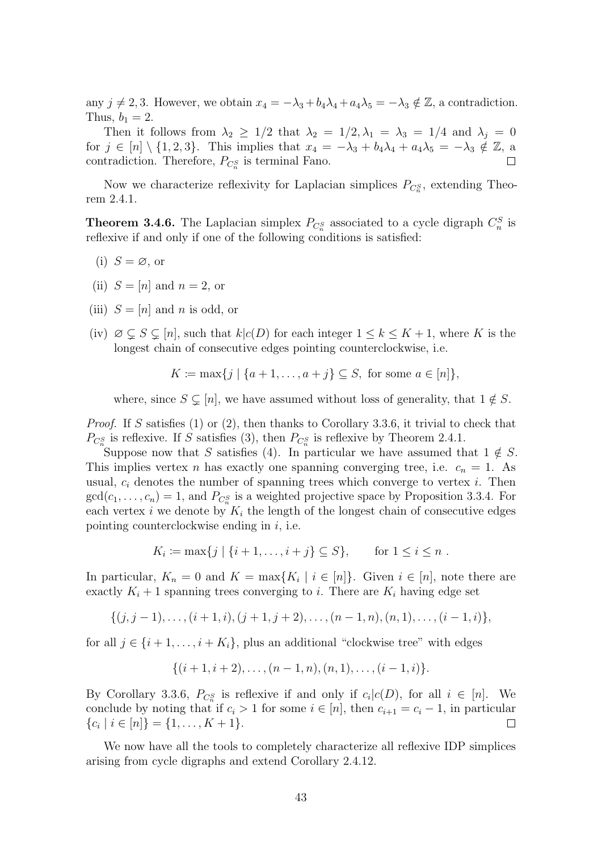any  $j \neq 2, 3$ . However, we obtain  $x_4 = -\lambda_3 + b_4\lambda_4 + a_4\lambda_5 = -\lambda_3 \notin \mathbb{Z}$ , a contradiction. Thus,  $b_1 = 2$ .

Then it follows from  $\lambda_2 \geq 1/2$  that  $\lambda_2 = 1/2, \lambda_1 = \lambda_3 = 1/4$  and  $\lambda_j = 0$ for  $j \in [n] \setminus \{1, 2, 3\}$ . This implies that  $x_4 = -\lambda_3 + b_4\lambda_4 + a_4\lambda_5 = -\lambda_3 \notin \mathbb{Z}$ , a contradiction. Therefore,  $P_{C_n^S}$  is terminal Fano.

Now we characterize reflexivity for Laplacian simplices  $P_{C_n^S}$ , extending Theorem [2.4.1.](#page-22-1)

<span id="page-50-0"></span>**Theorem 3.4.6.** The Laplacian simplex  $P_{C_n^S}$  associated to a cycle digraph  $C_n^S$  is reflexive if and only if one of the following conditions is satisfied:

(i) 
$$
S = \emptyset
$$
, or

- (ii)  $S = [n]$  and  $n = 2$ , or
- (iii)  $S = [n]$  and n is odd, or
- (iv)  $\emptyset \subseteq S \subseteq [n]$ , such that  $k|c(D)$  for each integer  $1 \leq k \leq K+1$ , where K is the longest chain of consecutive edges pointing counterclockwise, i.e.

$$
K \coloneqq \max\{j \mid \{a+1,\ldots,a+j\} \subseteq S, \text{ for some } a \in [n]\},
$$

where, since  $S \subsetneq [n]$ , we have assumed without loss of generality, that  $1 \notin S$ .

Proof. If S satisfies (1) or (2), then thanks to Corollary [3.3.6,](#page-46-0) it trivial to check that  $P_{C_n^S}$  is reflexive. If S satisfies (3), then  $P_{C_n^S}$  is reflexive by Theorem [2.4.1.](#page-22-1)

Suppose now that S satisfies (4). In particular we have assumed that  $1 \notin S$ . This implies vertex *n* has exactly one spanning converging tree, i.e.  $c_n = 1$ . As usual,  $c_i$  denotes the number of spanning trees which converge to vertex i. Then  $gcd(c_1, \ldots, c_n) = 1$ , and  $P_{C_n^S}$  is a weighted projective space by Proposition [3.3.4.](#page-45-1) For each vertex  $i$  we denote by  $K_i$  the length of the longest chain of consecutive edges pointing counterclockwise ending in  $i$ , i.e.

$$
K_i \coloneqq \max\{j \mid \{i+1,\ldots,i+j\} \subseteq S\}, \quad \text{for } 1 \le i \le n .
$$

In particular,  $K_n = 0$  and  $K = \max\{K_i \mid i \in [n]\}\)$ . Given  $i \in [n]$ , note there are exactly  $K_i + 1$  spanning trees converging to i. There are  $K_i$  having edge set

$$
\{(j, j-1), \ldots, (i + 1, i), (j + 1, j + 2), \ldots, (n - 1, n), (n, 1), \ldots, (i - 1, i)\},\
$$

for all  $j \in \{i+1,\ldots,i+K_i\}$ , plus an additional "clockwise tree" with edges

$$
\{(i+1,i+2),\ldots,(n-1,n),(n,1),\ldots,(i-1,i)\}.
$$

By Corollary [3.3.6,](#page-46-0)  $P_{C_n^S}$  is reflexive if and only if  $c_i | c(D)$ , for all  $i \in [n]$ . We conclude by noting that if  $c_i > 1$  for some  $i \in [n]$ , then  $c_{i+1} = c_i - 1$ , in particular  $\{c_i \mid i \in [n]\} = \{1, \ldots, K+1\}.$  $\Box$ 

We now have all the tools to completely characterize all reflexive IDP simplices arising from cycle digraphs and extend Corollary [2.4.12.](#page-31-1)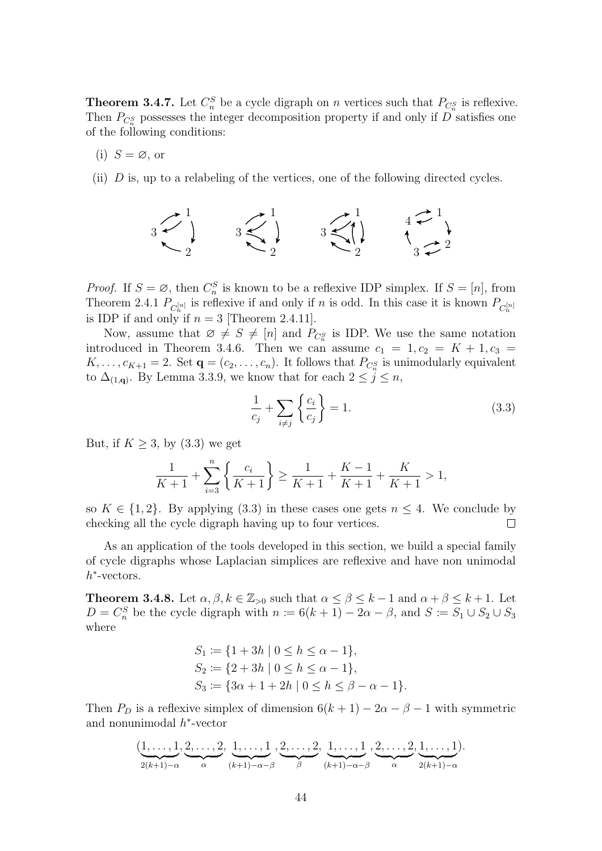**Theorem 3.4.7.** Let  $C_n^S$  be a cycle digraph on n vertices such that  $P_{C_n^S}$  is reflexive. Then  $P_{C_n^S}$  possesses the integer decomposition property if and only if D satisfies one of the following conditions:

(i) 
$$
S = \emptyset
$$
, or

(ii) D is, up to a relabeling of the vertices, one of the following directed cycles.

$$
3 \begin{array}{c} 1 \\ 1 \\ 2 \end{array} \qquad 3 \begin{array}{c} 1 \\ 2 \\ 2 \end{array} \qquad 3 \begin{array}{c} 1 \\ 3 \\ 2 \end{array} \qquad 4 \begin{array}{c} 1 \\ 1 \\ 2 \end{array}
$$

*Proof.* If  $S = \emptyset$ , then  $C_n^S$  is known to be a reflexive IDP simplex. If  $S = [n]$ , from Theorem [2.4.1](#page-22-1)  $P_{C_n^{[n]}}$  is reflexive if and only if n is odd. In this case it is known  $P_{C_n^{[n]}}$ is IDP if and only if  $n = 3$  [Theorem [2.4.11\]](#page-30-0).

Now, assume that  $\varnothing \neq S \neq [n]$  and  $P_{C_n^S}$  is IDP. We use the same notation introduced in Theorem [3.4.6.](#page-50-0) Then we can assume  $c_1 = 1, c_2 = K + 1, c_3 =$  $K, \ldots, c_{K+1} = 2$ . Set  $\mathbf{q} = (c_2, \ldots, c_n)$ . It follows that  $P_{C_n^S}$  is unimodularly equivalent to  $\Delta_{(1,q)}$ . By Lemma [3.3.9,](#page-47-2) we know that for each  $2 \leq j \leq n$ ,

<span id="page-51-1"></span>
$$
\frac{1}{c_j} + \sum_{i \neq j} \left\{ \frac{c_i}{c_j} \right\} = 1. \tag{3.3}
$$

But, if  $K \geq 3$ , by  $(3.3)$  we get

$$
\frac{1}{K+1} + \sum_{i=3}^{n} \left\{ \frac{c_i}{K+1} \right\} \ge \frac{1}{K+1} + \frac{K-1}{K+1} + \frac{K}{K+1} > 1,
$$

so  $K \in \{1, 2\}$ . By applying [\(3.3\)](#page-51-1) in these cases one gets  $n \leq 4$ . We conclude by checking all the cycle digraph having up to four vertices.  $\Box$ 

As an application of the tools developed in this section, we build a special family of cycle digraphs whose Laplacian simplices are reflexive and have non unimodal  $h^*$ -vectors.

<span id="page-51-0"></span>**Theorem 3.4.8.** Let  $\alpha, \beta, k \in \mathbb{Z}_{>0}$  such that  $\alpha \leq \beta \leq k-1$  and  $\alpha + \beta \leq k+1$ . Let  $D = C_n^S$  be the cycle digraph with  $n \coloneqq 6(k+1) - 2\alpha - \beta$ , and  $S \coloneqq S_1 \cup S_2 \cup S_3$ where

$$
S_1 := \{1 + 3h \mid 0 \le h \le \alpha - 1\},
$$
  
\n
$$
S_2 := \{2 + 3h \mid 0 \le h \le \alpha - 1\},
$$
  
\n
$$
S_3 := \{3\alpha + 1 + 2h \mid 0 \le h \le \beta - \alpha - 1\}.
$$

Then  $P_D$  is a reflexive simplex of dimension  $6(k+1) - 2\alpha - \beta - 1$  with symmetric and nonunimodal  $h^*$ -vector

$$
(\underbrace{1,\ldots,1}_{2(k+1)-\alpha},\underbrace{2,\ldots,2}_{\alpha},\underbrace{1,\ldots,1}_{(k+1)-\alpha-\beta},\underbrace{2,\ldots,2}_{\beta},\underbrace{1,\ldots,1}_{(k+1)-\alpha-\beta},\underbrace{2,\ldots,2}_{\alpha},\underbrace{1,\ldots,1}_{2(k+1)-\alpha}).
$$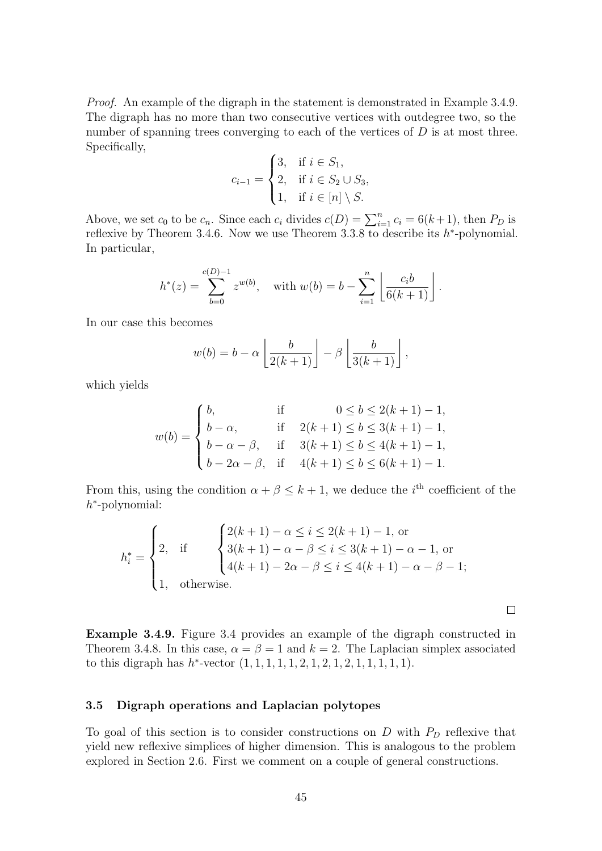Proof. An example of the digraph in the statement is demonstrated in Example [3.4.9.](#page-52-1) The digraph has no more than two consecutive vertices with outdegree two, so the number of spanning trees converging to each of the vertices of  $D$  is at most three. Specifically,

$$
c_{i-1} = \begin{cases} 3, & \text{if } i \in S_1, \\ 2, & \text{if } i \in S_2 \cup S_3, \\ 1, & \text{if } i \in [n] \setminus S. \end{cases}
$$

Above, we set  $c_0$  to be  $c_n$ . Since each  $c_i$  divides  $c(D) = \sum_{i=1}^n c_i = 6(k+1)$ , then  $P_D$  is reflexive by Theorem [3.4.6.](#page-50-0) Now we use Theorem [3.3.8](#page-46-1) to describe its  $h^*$ -polynomial. In particular,

$$
h^*(z) = \sum_{b=0}^{c(D)-1} z^{w(b)}, \text{ with } w(b) = b - \sum_{i=1}^n \left\lfloor \frac{c_i b}{6(k+1)} \right\rfloor.
$$

In our case this becomes

$$
w(b) = b - \alpha \left\lfloor \frac{b}{2(k+1)} \right\rfloor - \beta \left\lfloor \frac{b}{3(k+1)} \right\rfloor,
$$

which yields

$$
w(b) = \begin{cases} b, & \text{if } 0 \le b \le 2(k+1) - 1, \\ b - \alpha, & \text{if } 2(k+1) \le b \le 3(k+1) - 1, \\ b - \alpha - \beta, & \text{if } 3(k+1) \le b \le 4(k+1) - 1, \\ b - 2\alpha - \beta, & \text{if } 4(k+1) \le b \le 6(k+1) - 1. \end{cases}
$$

From this, using the condition  $\alpha + \beta \leq k + 1$ , we deduce the *i*<sup>th</sup> coefficient of the h ∗ -polynomial:

$$
h_i^* = \begin{cases} 2, & \text{if } \begin{cases} 2(k+1) - \alpha \le i \le 2(k+1) - 1, \text{ or} \\ 3(k+1) - \alpha - \beta \le i \le 3(k+1) - \alpha - 1, \text{ or} \\ 4(k+1) - 2\alpha - \beta \le i \le 4(k+1) - \alpha - \beta - 1; \end{cases} \\ 1, & \text{otherwise.} \end{cases}
$$

<span id="page-52-1"></span>Example 3.4.9. Figure [3.4](#page-53-0) provides an example of the digraph constructed in Theorem [3.4.8.](#page-51-0) In this case,  $\alpha = \beta = 1$  and  $k = 2$ . The Laplacian simplex associated to this digraph has  $h^*$ -vector  $(1, 1, 1, 1, 1, 2, 1, 2, 1, 2, 1, 1, 1, 1, 1)$ .

 $\Box$ 

#### <span id="page-52-0"></span>3.5 Digraph operations and Laplacian polytopes

To goal of this section is to consider constructions on  $D$  with  $P_D$  reflexive that yield new reflexive simplices of higher dimension. This is analogous to the problem explored in Section [2.6.](#page-34-0) First we comment on a couple of general constructions.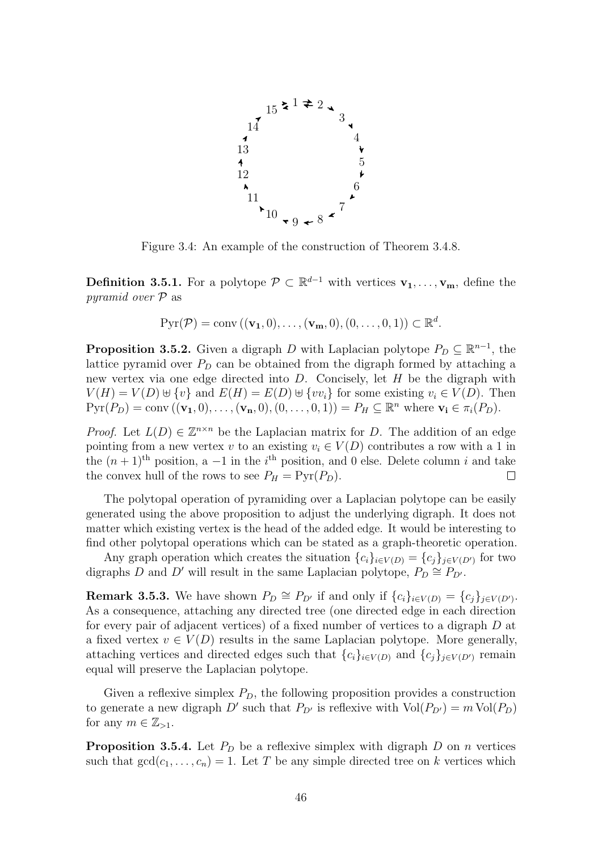<span id="page-53-0"></span>

Figure 3.4: An example of the construction of Theorem [3.4.8.](#page-51-0)

**Definition 3.5.1.** For a polytope  $\mathcal{P} \subset \mathbb{R}^{d-1}$  with vertices  $\mathbf{v}_1, \ldots, \mathbf{v}_m$ , define the pyramid over P as

$$
Pyr(\mathcal{P}) = \text{conv}\left((\mathbf{v_1},0),\ldots,(\mathbf{v_m},0),(0,\ldots,0,1)\right) \subset \mathbb{R}^d.
$$

**Proposition 3.5.2.** Given a digraph D with Laplacian polytope  $P_D \subseteq \mathbb{R}^{n-1}$ , the lattice pyramid over  $P_D$  can be obtained from the digraph formed by attaching a new vertex via one edge directed into  $D$ . Concisely, let  $H$  be the digraph with  $V(H) = V(D) \cup \{v\}$  and  $E(H) = E(D) \cup \{vv_i\}$  for some existing  $v_i \in V(D)$ . Then  $Pyr(P_D) = conv((\mathbf{v_1}, 0), \ldots, (\mathbf{v_n}, 0), (0, \ldots, 0, 1)) = P_H \subseteq \mathbb{R}^n$  where  $\mathbf{v_i} \in \pi_i(P_D)$ .

*Proof.* Let  $L(D) \in \mathbb{Z}^{n \times n}$  be the Laplacian matrix for D. The addition of an edge pointing from a new vertex v to an existing  $v_i \in V(D)$  contributes a row with a 1 in the  $(n+1)$ <sup>th</sup> position, a -1 in the i<sup>th</sup> position, and 0 else. Delete column i and take the convex hull of the rows to see  $P_H = \text{Pyr}(P_D)$ .  $\Box$ 

The polytopal operation of pyramiding over a Laplacian polytope can be easily generated using the above proposition to adjust the underlying digraph. It does not matter which existing vertex is the head of the added edge. It would be interesting to find other polytopal operations which can be stated as a graph-theoretic operation.

Any graph operation which creates the situation  ${c_i}_{i\in V(D)} = {c_j}_{j\in V(D')}$  for two digraphs D and D' will result in the same Laplacian polytope,  $P_D \cong P_{D'}$ .

**Remark 3.5.3.** We have shown  $P_D \cong P_{D'}$  if and only if  $\{c_i\}_{i \in V(D)} = \{c_j\}_{j \in V(D')}$ . As a consequence, attaching any directed tree (one directed edge in each direction for every pair of adjacent vertices) of a fixed number of vertices to a digraph D at a fixed vertex  $v \in V(D)$  results in the same Laplacian polytope. More generally, attaching vertices and directed edges such that  ${c_i}_{i\in V(D)}$  and  ${c_i}_{i\in V(D')}$  remain equal will preserve the Laplacian polytope.

Given a reflexive simplex  $P_D$ , the following proposition provides a construction to generate a new digraph D' such that  $P_{D'}$  is reflexive with  $Vol(P_{D'}) = m Vol(P_D)$ for any  $m \in \mathbb{Z}_{>1}$ .

**Proposition 3.5.4.** Let  $P_D$  be a reflexive simplex with digraph D on n vertices such that  $gcd(c_1, \ldots, c_n) = 1$ . Let T be any simple directed tree on k vertices which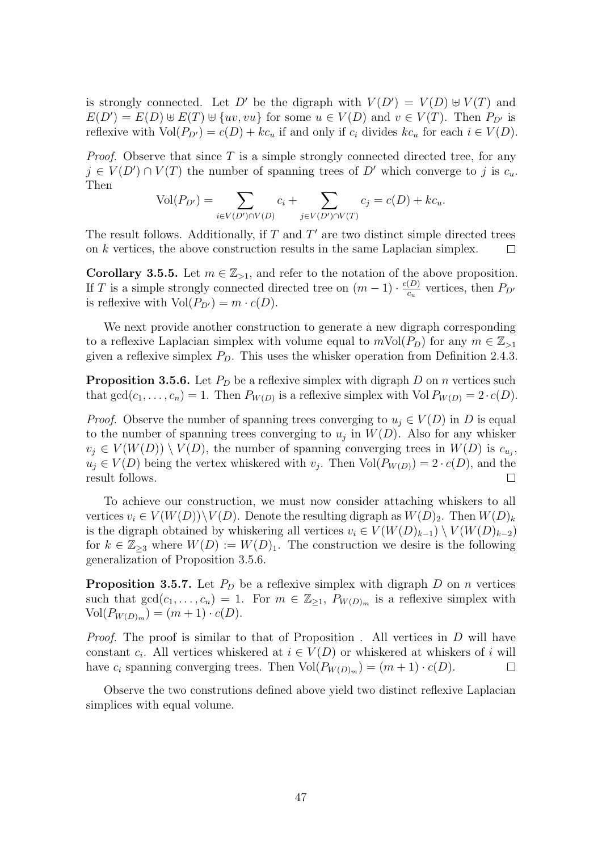is strongly connected. Let D' be the digraph with  $V(D') = V(D) \oplus V(T)$  and  $E(D') = E(D) \oplus E(T) \oplus \{uv, vu\}$  for some  $u \in V(D)$  and  $v \in V(T)$ . Then  $P_{D'}$  is reflexive with  $Vol(P_{D'}) = c(D) + kc_u$  if and only if  $c_i$  divides  $kc_u$  for each  $i \in V(D)$ .

*Proof.* Observe that since  $T$  is a simple strongly connected directed tree, for any  $j \in V(D') \cap V(T)$  the number of spanning trees of D' which converge to j is  $c_u$ . Then

$$
Vol(P_{D'}) = \sum_{i \in V(D') \cap V(D)} c_i + \sum_{j \in V(D') \cap V(T)} c_j = c(D) + kc_u.
$$

The result follows. Additionally, if  $T$  and  $T'$  are two distinct simple directed trees on  $k$  vertices, the above construction results in the same Laplacian simplex.  $\Box$ 

**Corollary 3.5.5.** Let  $m \in \mathbb{Z}_{>1}$ , and refer to the notation of the above proposition. If T is a simple strongly connected directed tree on  $(m-1) \cdot \frac{c(D)}{c}$  $\frac{(D)}{c_u}$  vertices, then  $P_{D'}$ is reflexive with  $Vol(P_{D'}) = m \cdot c(D)$ .

We next provide another construction to generate a new digraph corresponding to a reflexive Laplacian simplex with volume equal to  $m\text{Vol}(P_D)$  for any  $m \in \mathbb{Z}_{\geq 1}$ given a reflexive simplex  $P_D$ . This uses the whisker operation from Definition [2.4.3.](#page-23-1)

<span id="page-54-0"></span>**Proposition 3.5.6.** Let  $P_D$  be a reflexive simplex with digraph D on n vertices such that  $gcd(c_1, \ldots, c_n) = 1$ . Then  $P_{W(D)}$  is a reflexive simplex with  $Vol P_{W(D)} = 2 \cdot c(D)$ .

*Proof.* Observe the number of spanning trees converging to  $u_i \in V(D)$  in D is equal to the number of spanning trees converging to  $u_j$  in  $W(D)$ . Also for any whisker  $v_j \in V(W(D)) \setminus V(D)$ , the number of spanning converging trees in  $W(D)$  is  $c_{u_j}$ ,  $u_j \in V(D)$  being the vertex whiskered with  $v_j$ . Then  $Vol(P_{W(D)}) = 2 \cdot c(D)$ , and the result follows.  $\Box$ 

To achieve our construction, we must now consider attaching whiskers to all vertices  $v_i \in V(W(D)) \setminus V(D)$ . Denote the resulting digraph as  $W(D)_2$ . Then  $W(D)_k$ is the digraph obtained by whiskering all vertices  $v_i \in V(W(D)_{k-1}) \setminus V(W(D)_{k-2})$ for  $k \in \mathbb{Z}_{\geq 3}$  where  $W(D) := W(D)_1$ . The construction we desire is the following generalization of Proposition [3.5.6.](#page-54-0)

**Proposition 3.5.7.** Let  $P_D$  be a reflexive simplex with digraph D on n vertices such that  $gcd(c_1, \ldots, c_n) = 1$ . For  $m \in \mathbb{Z}_{\geq 1}$ ,  $P_{W(D)_m}$  is a reflexive simplex with  $Vol(P_{W(D)_m}) = (m + 1) \cdot c(D).$ 

*Proof.* The proof is similar to that of Proposition . All vertices in  $D$  will have constant  $c_i$ . All vertices whiskered at  $i \in V(D)$  or whiskered at whiskers of i will have  $c_i$  spanning converging trees. Then  $Vol(P_{W(D)_m}) = (m+1) \cdot c(D)$ .  $\Box$ 

Observe the two construtions defined above yield two distinct reflexive Laplacian simplices with equal volume.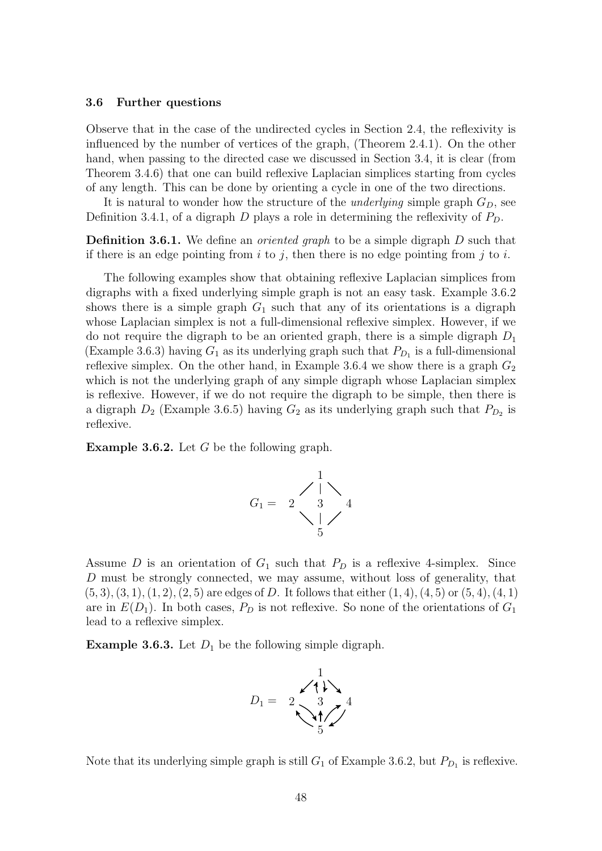#### <span id="page-55-0"></span>3.6 Further questions

Observe that in the case of the undirected cycles in Section [2.4,](#page-22-0) the reflexivity is influenced by the number of vertices of the graph, (Theorem [2.4.1\)](#page-22-1). On the other hand, when passing to the directed case we discussed in Section [3.4,](#page-47-0) it is clear (from Theorem [3.4.6\)](#page-50-0) that one can build reflexive Laplacian simplices starting from cycles of any length. This can be done by orienting a cycle in one of the two directions.

It is natural to wonder how the structure of the *underlying* simple graph  $G_D$ , see Definition [3.4.1,](#page-47-3) of a digraph D plays a role in determining the reflexivity of  $P_D$ .

**Definition 3.6.1.** We define an *oriented graph* to be a simple digraph D such that if there is an edge pointing from  $i$  to  $j$ , then there is no edge pointing from  $j$  to  $i$ .

The following examples show that obtaining reflexive Laplacian simplices from digraphs with a fixed underlying simple graph is not an easy task. Example [3.6.2](#page-55-1) shows there is a simple graph  $G_1$  such that any of its orientations is a digraph whose Laplacian simplex is not a full-dimensional reflexive simplex. However, if we do not require the digraph to be an oriented graph, there is a simple digraph  $D_1$ (Example [3.6.3\)](#page-55-2) having  $G_1$  as its underlying graph such that  $P_{D_1}$  is a full-dimensional reflexive simplex. On the other hand, in Example [3.6.4](#page-56-0) we show there is a graph  $G_2$ which is not the underlying graph of any simple digraph whose Laplacian simplex is reflexive. However, if we do not require the digraph to be simple, then there is a digraph  $D_2$  (Example [3.6.5\)](#page-56-1) having  $G_2$  as its underlying graph such that  $P_{D_2}$  is reflexive.

<span id="page-55-1"></span>**Example 3.6.2.** Let  $G$  be the following graph.



Assume D is an orientation of  $G_1$  such that  $P_D$  is a reflexive 4-simplex. Since D must be strongly connected, we may assume, without loss of generality, that  $(5, 3), (3, 1), (1, 2), (2, 5)$  are edges of D. It follows that either  $(1, 4), (4, 5)$  or  $(5, 4), (4, 1)$ are in  $E(D_1)$ . In both cases,  $P_D$  is not reflexive. So none of the orientations of  $G_1$ lead to a reflexive simplex.

<span id="page-55-2"></span>**Example 3.6.3.** Let  $D_1$  be the following simple digraph.



Note that its underlying simple graph is still  $G_1$  of Example [3.6.2,](#page-55-1) but  $P_{D_1}$  is reflexive.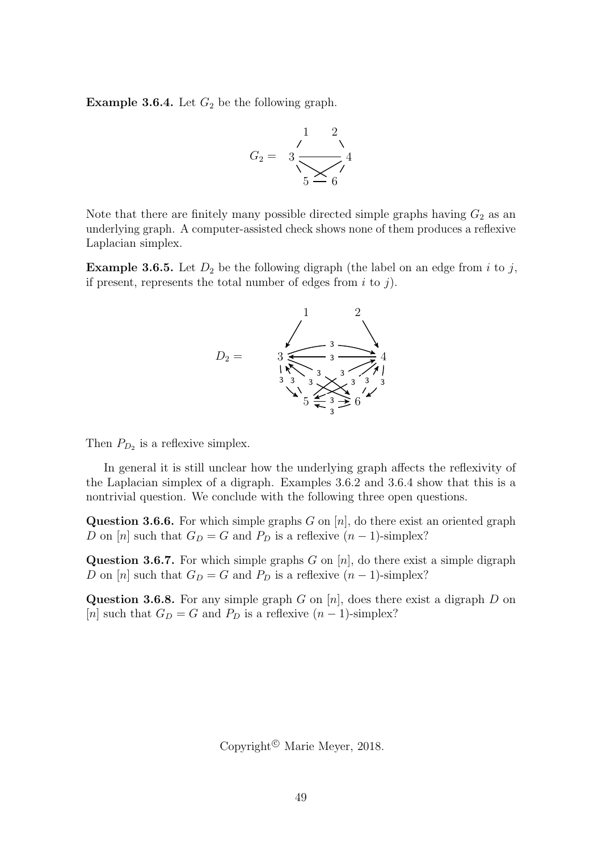<span id="page-56-0"></span>**Example 3.6.4.** Let  $G_2$  be the following graph.



Note that there are finitely many possible directed simple graphs having  $G_2$  as an underlying graph. A computer-assisted check shows none of them produces a reflexive Laplacian simplex.

<span id="page-56-1"></span>**Example 3.6.5.** Let  $D_2$  be the following digraph (the label on an edge from i to j, if present, represents the total number of edges from  $i$  to  $j$ ).



Then  $P_{D_2}$  is a reflexive simplex.

In general it is still unclear how the underlying graph affects the reflexivity of the Laplacian simplex of a digraph. Examples [3.6.2](#page-55-1) and [3.6.4](#page-56-0) show that this is a nontrivial question. We conclude with the following three open questions.

**Question 3.6.6.** For which simple graphs G on  $[n]$ , do there exist an oriented graph D on [n] such that  $G_D = G$  and  $P_D$  is a reflexive  $(n-1)$ -simplex?

Question 3.6.7. For which simple graphs  $G$  on  $[n]$ , do there exist a simple digraph D on [n] such that  $G_D = G$  and  $P_D$  is a reflexive  $(n-1)$ -simplex?

**Question 3.6.8.** For any simple graph G on  $[n]$ , does there exist a digraph D on [n] such that  $G_D = G$  and  $P_D$  is a reflexive  $(n-1)$ -simplex?

Copyright<sup> $\odot$ </sup> Marie Meyer, 2018.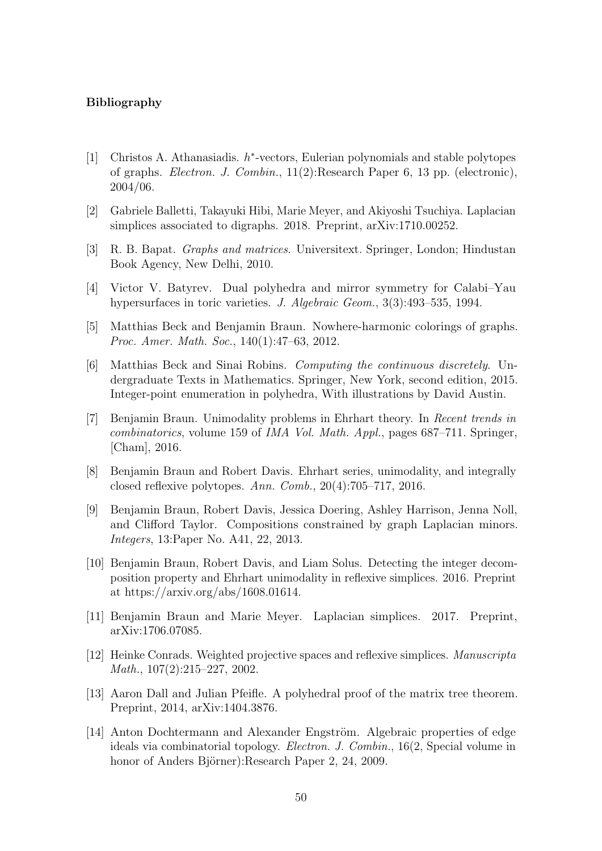## Bibliography

- <span id="page-57-12"></span><span id="page-57-0"></span>[1] Christos A. Athanasiadis.  $h^*$ -vectors, Eulerian polynomials and stable polytopes of graphs. Electron. J. Combin., 11(2):Research Paper 6, 13 pp. (electronic), 2004/06.
- <span id="page-57-13"></span>[2] Gabriele Balletti, Takayuki Hibi, Marie Meyer, and Akiyoshi Tsuchiya. Laplacian simplices associated to digraphs. 2018. Preprint, arXiv:1710.00252.
- <span id="page-57-6"></span>[3] R. B. Bapat. Graphs and matrices. Universitext. Springer, London; Hindustan Book Agency, New Delhi, 2010.
- <span id="page-57-2"></span>[4] Victor V. Batyrev. Dual polyhedra and mirror symmetry for Calabi–Yau hypersurfaces in toric varieties. J. Algebraic Geom., 3(3):493–535, 1994.
- <span id="page-57-7"></span>[5] Matthias Beck and Benjamin Braun. Nowhere-harmonic colorings of graphs. Proc. Amer. Math. Soc., 140(1):47–63, 2012.
- <span id="page-57-1"></span>[6] Matthias Beck and Sinai Robins. Computing the continuous discretely. Undergraduate Texts in Mathematics. Springer, New York, second edition, 2015. Integer-point enumeration in polyhedra, With illustrations by David Austin.
- <span id="page-57-3"></span>[7] Benjamin Braun. Unimodality problems in Ehrhart theory. In Recent trends in combinatorics, volume 159 of IMA Vol. Math. Appl., pages 687–711. Springer, [Cham], 2016.
- <span id="page-57-4"></span>[8] Benjamin Braun and Robert Davis. Ehrhart series, unimodality, and integrally closed reflexive polytopes. Ann. Comb., 20(4):705–717, 2016.
- <span id="page-57-8"></span>[9] Benjamin Braun, Robert Davis, Jessica Doering, Ashley Harrison, Jenna Noll, and Clifford Taylor. Compositions constrained by graph Laplacian minors. Integers, 13:Paper No. A41, 22, 2013.
- <span id="page-57-5"></span>[10] Benjamin Braun, Robert Davis, and Liam Solus. Detecting the integer decomposition property and Ehrhart unimodality in reflexive simplices. 2016. Preprint at https://arxiv.org/abs/1608.01614.
- <span id="page-57-10"></span>[11] Benjamin Braun and Marie Meyer. Laplacian simplices. 2017. Preprint, arXiv:1706.07085.
- <span id="page-57-14"></span>[12] Heinke Conrads. Weighted projective spaces and reflexive simplices. Manuscripta Math., 107(2):215–227, 2002.
- <span id="page-57-9"></span>[13] Aaron Dall and Julian Pfeifle. A polyhedral proof of the matrix tree theorem. Preprint, 2014, arXiv:1404.3876.
- <span id="page-57-11"></span>[14] Anton Dochtermann and Alexander Engström. Algebraic properties of edge ideals via combinatorial topology. Electron. J. Combin., 16(2, Special volume in honor of Anders Björner):Research Paper 2, 24, 2009.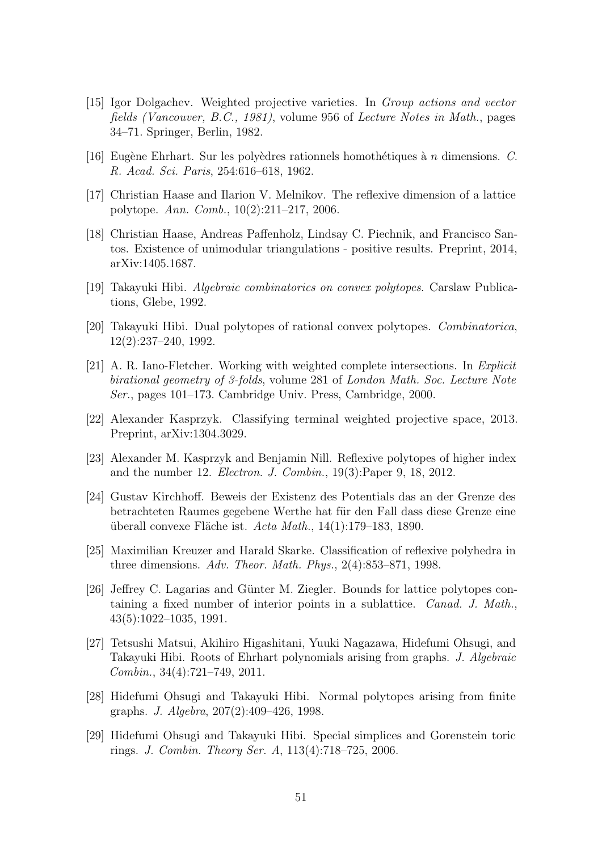- <span id="page-58-12"></span>[15] Igor Dolgachev. Weighted projective varieties. In Group actions and vector fields (Vancouver, B.C., 1981), volume 956 of Lecture Notes in Math., pages 34–71. Springer, Berlin, 1982.
- <span id="page-58-4"></span>[16] Eugène Ehrhart. Sur les polyèdres rationnels homothétiques à n dimensions. C. R. Acad. Sci. Paris, 254:616–618, 1962.
- <span id="page-58-0"></span>[17] Christian Haase and Ilarion V. Melnikov. The reflexive dimension of a lattice polytope. Ann. Comb., 10(2):211–217, 2006.
- <span id="page-58-11"></span>[18] Christian Haase, Andreas Paffenholz, Lindsay C. Piechnik, and Francisco Santos. Existence of unimodular triangulations - positive results. Preprint, 2014, arXiv:1405.1687.
- <span id="page-58-5"></span>[19] Takayuki Hibi. Algebraic combinatorics on convex polytopes. Carslaw Publications, Glebe, 1992.
- <span id="page-58-6"></span>[20] Takayuki Hibi. Dual polytopes of rational convex polytopes. Combinatorica, 12(2):237–240, 1992.
- <span id="page-58-13"></span>[21] A. R. Iano-Fletcher. Working with weighted complete intersections. In Explicit birational geometry of 3-folds, volume 281 of London Math. Soc. Lecture Note Ser., pages 101–173. Cambridge Univ. Press, Cambridge, 2000.
- <span id="page-58-14"></span>[22] Alexander Kasprzyk. Classifying terminal weighted projective space, 2013. Preprint, arXiv:1304.3029.
- <span id="page-58-3"></span>[23] Alexander M. Kasprzyk and Benjamin Nill. Reflexive polytopes of higher index and the number 12. Electron. J. Combin., 19(3):Paper 9, 18, 2012.
- <span id="page-58-10"></span>[24] Gustav Kirchhoff. Beweis der Existenz des Potentials das an der Grenze des betrachteten Raumes gegebene Werthe hat für den Fall dass diese Grenze eine überall convexe Fläche ist.  $Acta Math., 14(1):179-183, 1890.$
- <span id="page-58-2"></span>[25] Maximilian Kreuzer and Harald Skarke. Classification of reflexive polyhedra in three dimensions. Adv. Theor. Math. Phys., 2(4):853–871, 1998.
- <span id="page-58-1"></span>[26] Jeffrey C. Lagarias and Günter M. Ziegler. Bounds for lattice polytopes containing a fixed number of interior points in a sublattice. Canad. J. Math., 43(5):1022–1035, 1991.
- <span id="page-58-8"></span>[27] Tetsushi Matsui, Akihiro Higashitani, Yuuki Nagazawa, Hidefumi Ohsugi, and Takayuki Hibi. Roots of Ehrhart polynomials arising from graphs. J. Algebraic Combin., 34(4):721–749, 2011.
- <span id="page-58-9"></span>[28] Hidefumi Ohsugi and Takayuki Hibi. Normal polytopes arising from finite graphs. J. Algebra, 207(2):409–426, 1998.
- <span id="page-58-7"></span>[29] Hidefumi Ohsugi and Takayuki Hibi. Special simplices and Gorenstein toric rings. J. Combin. Theory Ser. A, 113(4):718–725, 2006.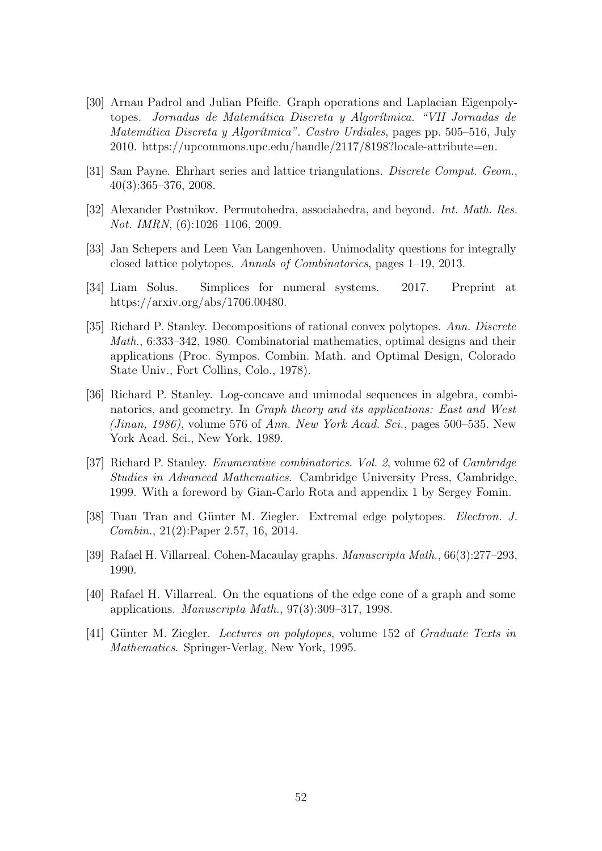- <span id="page-59-7"></span>[30] Arnau Padrol and Julian Pfeifle. Graph operations and Laplacian Eigenpolytopes. Jornadas de Matemática Discreta y Algorítmica. "VII Jornadas de Matemática Discreta y Algorítmica". Castro Urdiales, pages pp. 505–516, July 2010. https://upcommons.upc.edu/handle/2117/8198?locale-attribute=en.
- <span id="page-59-3"></span>[31] Sam Payne. Ehrhart series and lattice triangulations. Discrete Comput. Geom., 40(3):365–376, 2008.
- <span id="page-59-10"></span>[32] Alexander Postnikov. Permutohedra, associahedra, and beyond. Int. Math. Res. Not. IMRN, (6):1026–1106, 2009.
- <span id="page-59-2"></span>[33] Jan Schepers and Leen Van Langenhoven. Unimodality questions for integrally closed lattice polytopes. Annals of Combinatorics, pages 1–19, 2013.
- <span id="page-59-4"></span>[34] Liam Solus. Simplices for numeral systems. 2017. Preprint at https://arxiv.org/abs/1706.00480.
- <span id="page-59-0"></span>[35] Richard P. Stanley. Decompositions of rational convex polytopes. Ann. Discrete Math., 6:333–342, 1980. Combinatorial mathematics, optimal designs and their applications (Proc. Sympos. Combin. Math. and Optimal Design, Colorado State Univ., Fort Collins, Colo., 1978).
- <span id="page-59-1"></span>[36] Richard P. Stanley. Log-concave and unimodal sequences in algebra, combinatorics, and geometry. In Graph theory and its applications: East and West (Jinan, 1986), volume 576 of Ann. New York Acad. Sci., pages 500–535. New York Acad. Sci., New York, 1989.
- <span id="page-59-11"></span>[37] Richard P. Stanley. Enumerative combinatorics. Vol. 2, volume 62 of Cambridge Studies in Advanced Mathematics. Cambridge University Press, Cambridge, 1999. With a foreword by Gian-Carlo Rota and appendix 1 by Sergey Fomin.
- <span id="page-59-5"></span>[38] Tuan Tran and Günter M. Ziegler. Extremal edge polytopes. *Electron. J.* Combin., 21(2):Paper 2.57, 16, 2014.
- <span id="page-59-9"></span>[39] Rafael H. Villarreal. Cohen-Macaulay graphs. Manuscripta Math., 66(3):277–293, 1990.
- <span id="page-59-6"></span>[40] Rafael H. Villarreal. On the equations of the edge cone of a graph and some applications. Manuscripta Math., 97(3):309–317, 1998.
- <span id="page-59-8"></span>[41] Günter M. Ziegler. Lectures on polytopes, volume 152 of Graduate Texts in Mathematics. Springer-Verlag, New York, 1995.